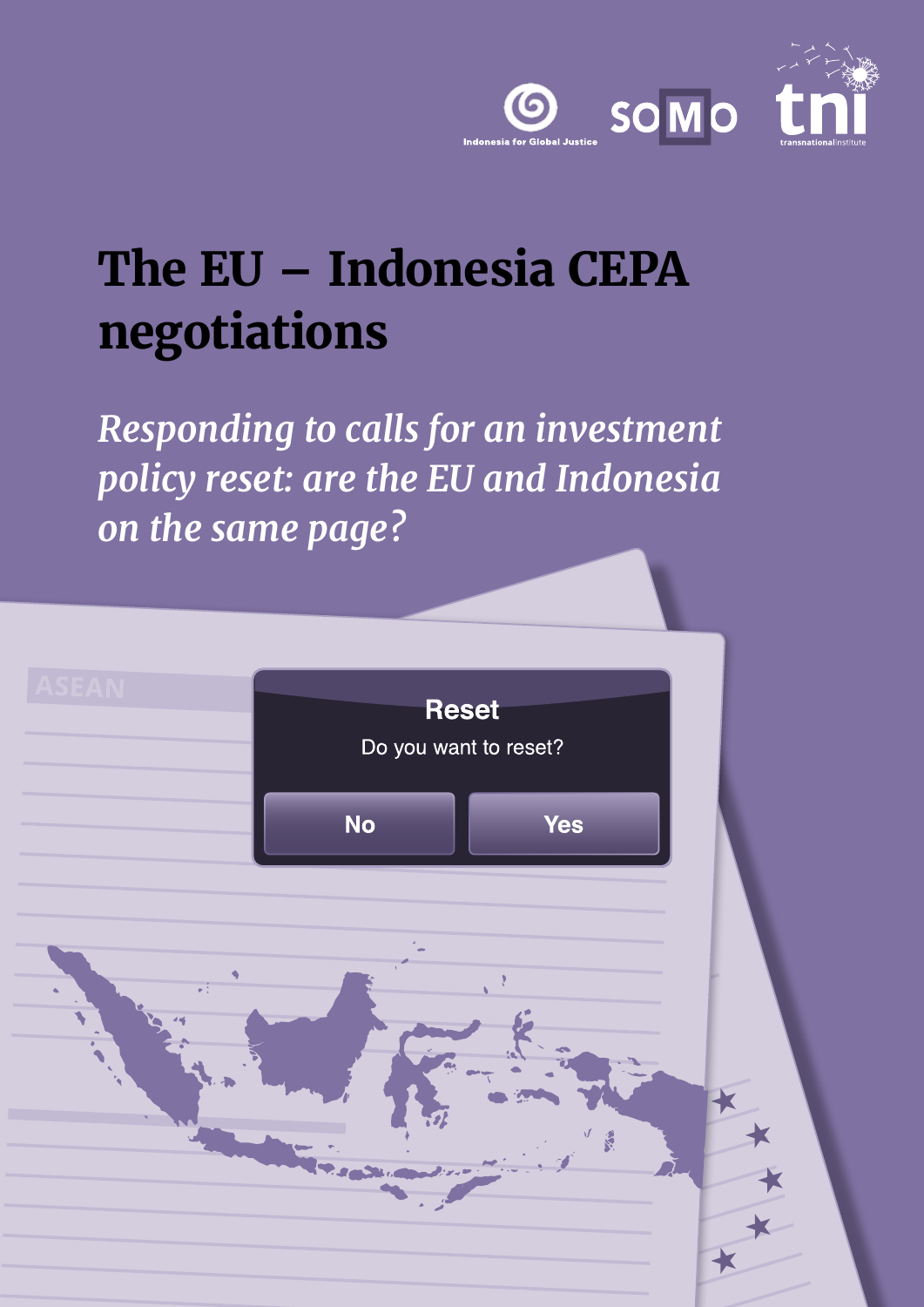

# **The EU – Indonesia CEPA negotiations**

*Responding to calls for an investment policy reset: are the EU and Indonesia on the same page?*

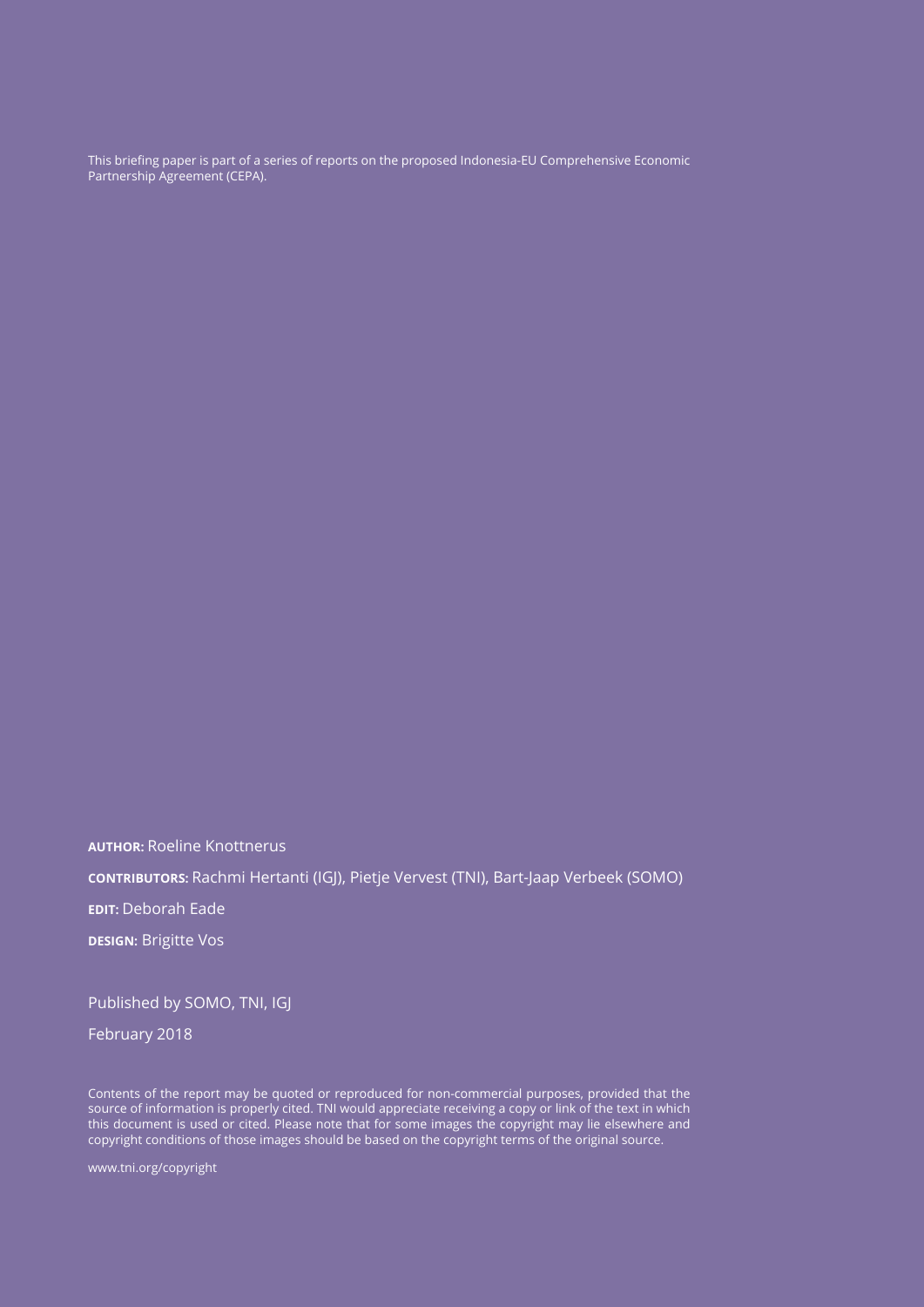This briefing paper is part of a series of reports on the proposed Indonesia-EU Comprehensive Economic Partnership Agreement (CEPA).

**AUTHOR:** Roeline Knottnerus **CONTRIBUTORS:** Rachmi Hertanti (IGJ), Pietje Vervest (TNI), Bart-Jaap Verbeek (SOMO)

**EDIT:** Deborah Eade

**DESIGN:** Brigitte Vos

Published by SOMO, TNI, IGJ

February 2018

Contents of the report may be quoted or reproduced for non-commercial purposes, provided that the source of information is properly cited. TNI would appreciate receiving a copy or link of the text in which this document is used or cited. Please note that for some images the copyright may lie elsewhere and copyright conditions of those images should be based on the copyright terms of the original source.

www.tni.org/copyright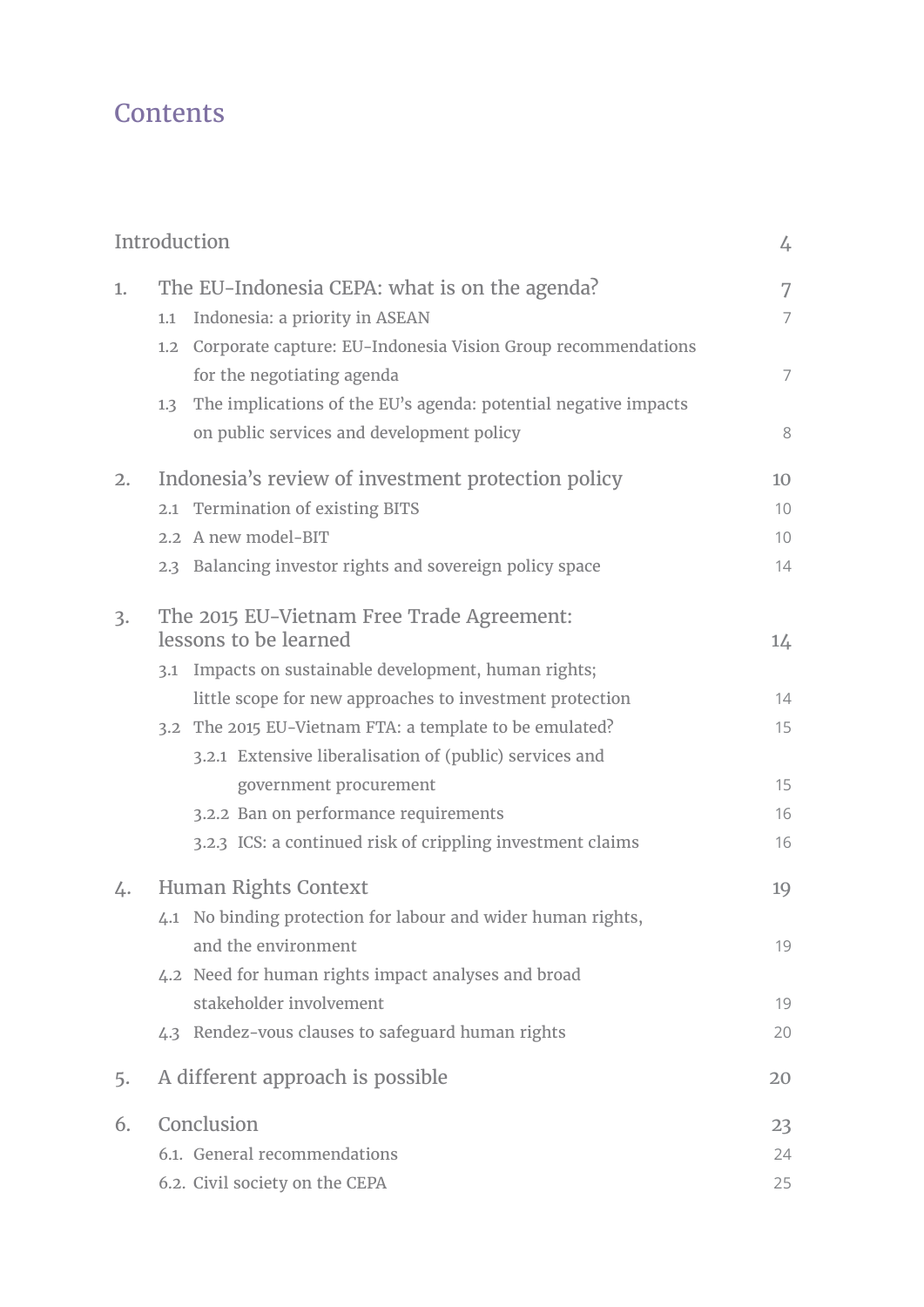# **Contents**

|    | Introduction                                                           | 4              |  |  |  |  |
|----|------------------------------------------------------------------------|----------------|--|--|--|--|
| 1. | The EU-Indonesia CEPA: what is on the agenda?                          |                |  |  |  |  |
|    | Indonesia: a priority in ASEAN<br>1.1                                  | 7              |  |  |  |  |
|    | Corporate capture: EU-Indonesia Vision Group recommendations<br>1.2    |                |  |  |  |  |
|    | for the negotiating agenda                                             | $\overline{7}$ |  |  |  |  |
|    | The implications of the EU's agenda: potential negative impacts<br>1.3 |                |  |  |  |  |
|    | on public services and development policy                              | 8              |  |  |  |  |
| 2. | Indonesia's review of investment protection policy                     |                |  |  |  |  |
|    | 2.1 Termination of existing BITS                                       |                |  |  |  |  |
|    | 2.2 A new model-BIT                                                    |                |  |  |  |  |
|    | 2.3 Balancing investor rights and sovereign policy space               | 14             |  |  |  |  |
| 3. | The 2015 EU-Vietnam Free Trade Agreement:                              |                |  |  |  |  |
|    | lessons to be learned                                                  |                |  |  |  |  |
|    | 3.1 Impacts on sustainable development, human rights;                  |                |  |  |  |  |
|    | little scope for new approaches to investment protection               | 14             |  |  |  |  |
|    | 3.2 The 2015 EU-Vietnam FTA: a template to be emulated?                | 15             |  |  |  |  |
|    | 3.2.1 Extensive liberalisation of (public) services and                |                |  |  |  |  |
|    | government procurement                                                 | 15             |  |  |  |  |
|    | 3.2.2 Ban on performance requirements                                  | 16             |  |  |  |  |
|    | 3.2.3 ICS: a continued risk of crippling investment claims             | 16             |  |  |  |  |
| 4. | Human Rights Context                                                   | 19             |  |  |  |  |
|    | 4.1 No binding protection for labour and wider human rights,           |                |  |  |  |  |
|    | and the environment                                                    | 19             |  |  |  |  |
|    | 4.2 Need for human rights impact analyses and broad                    |                |  |  |  |  |
|    | stakeholder involvement                                                | 19             |  |  |  |  |
|    | 4.3 Rendez-vous clauses to safeguard human rights                      | 20             |  |  |  |  |
| 5. | A different approach is possible                                       | 20             |  |  |  |  |
| 6. | Conclusion                                                             |                |  |  |  |  |
|    | 6.1. General recommendations                                           | 24             |  |  |  |  |
|    | 6.2. Civil society on the CEPA                                         | 25             |  |  |  |  |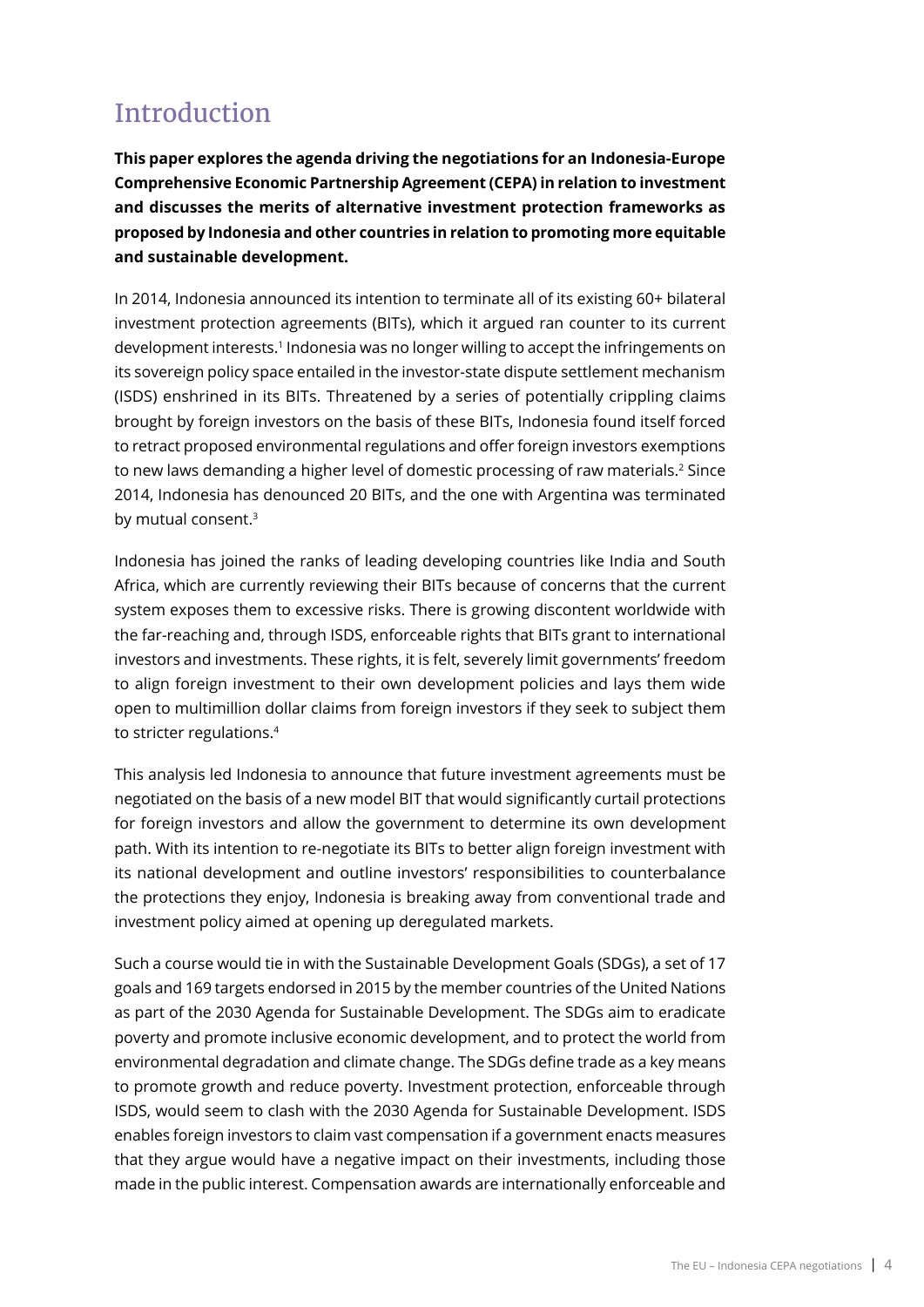# <span id="page-3-0"></span>**Introduction**

**This paper explores the agenda driving the negotiations for an Indonesia-Europe Comprehensive Economic Partnership Agreement (CEPA) in relation to investment and discusses the merits of alternative investment protection frameworks as proposed by Indonesia and other countries in relation to promoting more equitable and sustainable development.**

In 2014, Indonesia announced its intention to terminate all of its existing 60+ bilateral investment protection agreements (BITs), which it argued ran counter to its current development interests.<sup>1</sup> Indonesia was no longer willing to accept the infringements on its sovereign policy space entailed in the investor-state dispute settlement mechanism (ISDS) enshrined in its BITs. Threatened by a series of potentially crippling claims brought by foreign investors on the basis of these BITs, Indonesia found itself forced to retract proposed environmental regulations and offer foreign investors exemptions to new laws demanding a higher level of domestic processing of raw materials.<sup>2</sup> Since 2014, Indonesia has denounced 20 BITs, and the one with Argentina was terminated by mutual consent.<sup>3</sup>

Indonesia has joined the ranks of leading developing countries like India and South Africa, which are currently reviewing their BITs because of concerns that the current system exposes them to excessive risks. There is growing discontent worldwide with the far-reaching and, through ISDS, enforceable rights that BITs grant to international investors and investments. These rights, it is felt, severely limit governments' freedom to align foreign investment to their own development policies and lays them wide open to multimillion dollar claims from foreign investors if they seek to subject them to stricter regulations.4

This analysis led Indonesia to announce that future investment agreements must be negotiated on the basis of a new model BIT that would significantly curtail protections for foreign investors and allow the government to determine its own development path. With its intention to re-negotiate its BITs to better align foreign investment with its national development and outline investors' responsibilities to counterbalance the protections they enjoy, Indonesia is breaking away from conventional trade and investment policy aimed at opening up deregulated markets.

Such a course would tie in with the Sustainable Development Goals (SDGs), a set of 17 goals and 169 targets endorsed in 2015 by the member countries of the United Nations as part of the 2030 Agenda for Sustainable Development. The SDGs aim to eradicate poverty and promote inclusive economic development, and to protect the world from environmental degradation and climate change. The SDGs define trade as a key means to promote growth and reduce poverty. Investment protection, enforceable through ISDS, would seem to clash with the 2030 Agenda for Sustainable Development. ISDS enables foreign investors to claim vast compensation if a government enacts measures that they argue would have a negative impact on their investments, including those made in the public interest. Compensation awards are internationally enforceable and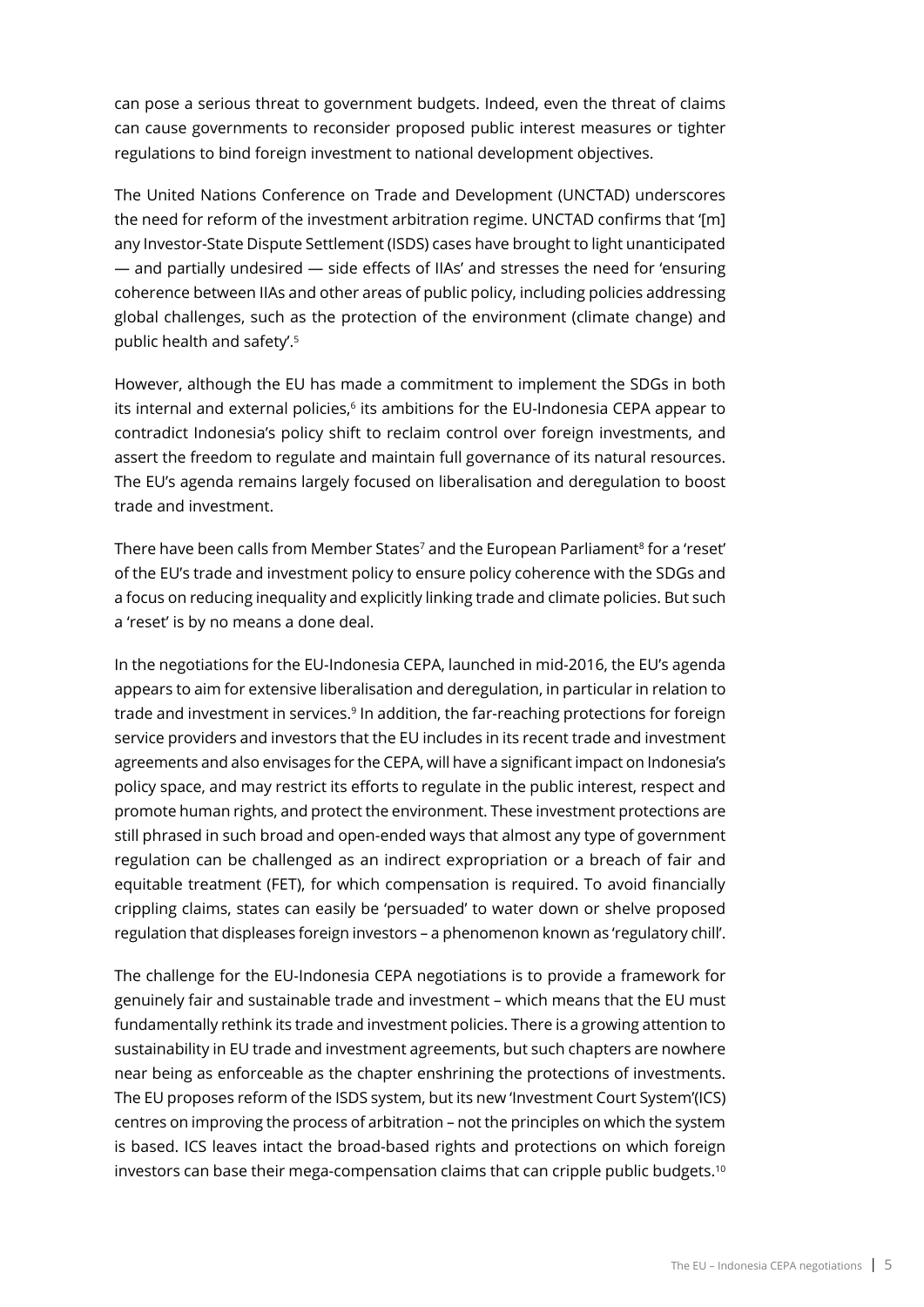can pose a serious threat to government budgets. Indeed, even the threat of claims can cause governments to reconsider proposed public interest measures or tighter regulations to bind foreign investment to national development objectives.

The United Nations Conference on Trade and Development (UNCTAD) underscores the need for reform of the investment arbitration regime. UNCTAD confirms that '[m] any Investor-State Dispute Settlement (ISDS) cases have brought to light unanticipated — and partially undesired — side effects of IIAs' and stresses the need for 'ensuring coherence between IIAs and other areas of public policy, including policies addressing global challenges, such as the protection of the environment (climate change) and public health and safety'.5

However, although the EU has made a commitment to implement the SDGs in both its internal and external policies,<sup>6</sup> its ambitions for the EU-Indonesia CEPA appear to contradict Indonesia's policy shift to reclaim control over foreign investments, and assert the freedom to regulate and maintain full governance of its natural resources. The EU's agenda remains largely focused on liberalisation and deregulation to boost trade and investment.

There have been calls from Member States<sup>7</sup> and the European Parliament<sup>8</sup> for a 'reset' of the EU's trade and investment policy to ensure policy coherence with the SDGs and a focus on reducing inequality and explicitly linking trade and climate policies. But such a 'reset' is by no means a done deal.

In the negotiations for the EU-Indonesia CEPA, launched in mid-2016, the EU's agenda appears to aim for extensive liberalisation and deregulation, in particular in relation to trade and investment in services.<sup>9</sup> In addition, the far-reaching protections for foreign service providers and investors that the EU includes in its recent trade and investment agreements and also envisages for the CEPA, will have a significant impact on Indonesia's policy space, and may restrict its efforts to regulate in the public interest, respect and promote human rights, and protect the environment. These investment protections are still phrased in such broad and open-ended ways that almost any type of government regulation can be challenged as an indirect expropriation or a breach of fair and equitable treatment (FET), for which compensation is required. To avoid financially crippling claims, states can easily be 'persuaded' to water down or shelve proposed regulation that displeases foreign investors – a phenomenon known as 'regulatory chill'.

The challenge for the EU-Indonesia CEPA negotiations is to provide a framework for genuinely fair and sustainable trade and investment – which means that the EU must fundamentally rethink its trade and investment policies. There is a growing attention to sustainability in EU trade and investment agreements, but such chapters are nowhere near being as enforceable as the chapter enshrining the protections of investments. The EU proposes reform of the ISDS system, but its new 'Investment Court System'(ICS) centres on improving the process of arbitration – not the principles on which the system is based. ICS leaves intact the broad-based rights and protections on which foreign investors can base their mega-compensation claims that can cripple public budgets.<sup>10</sup>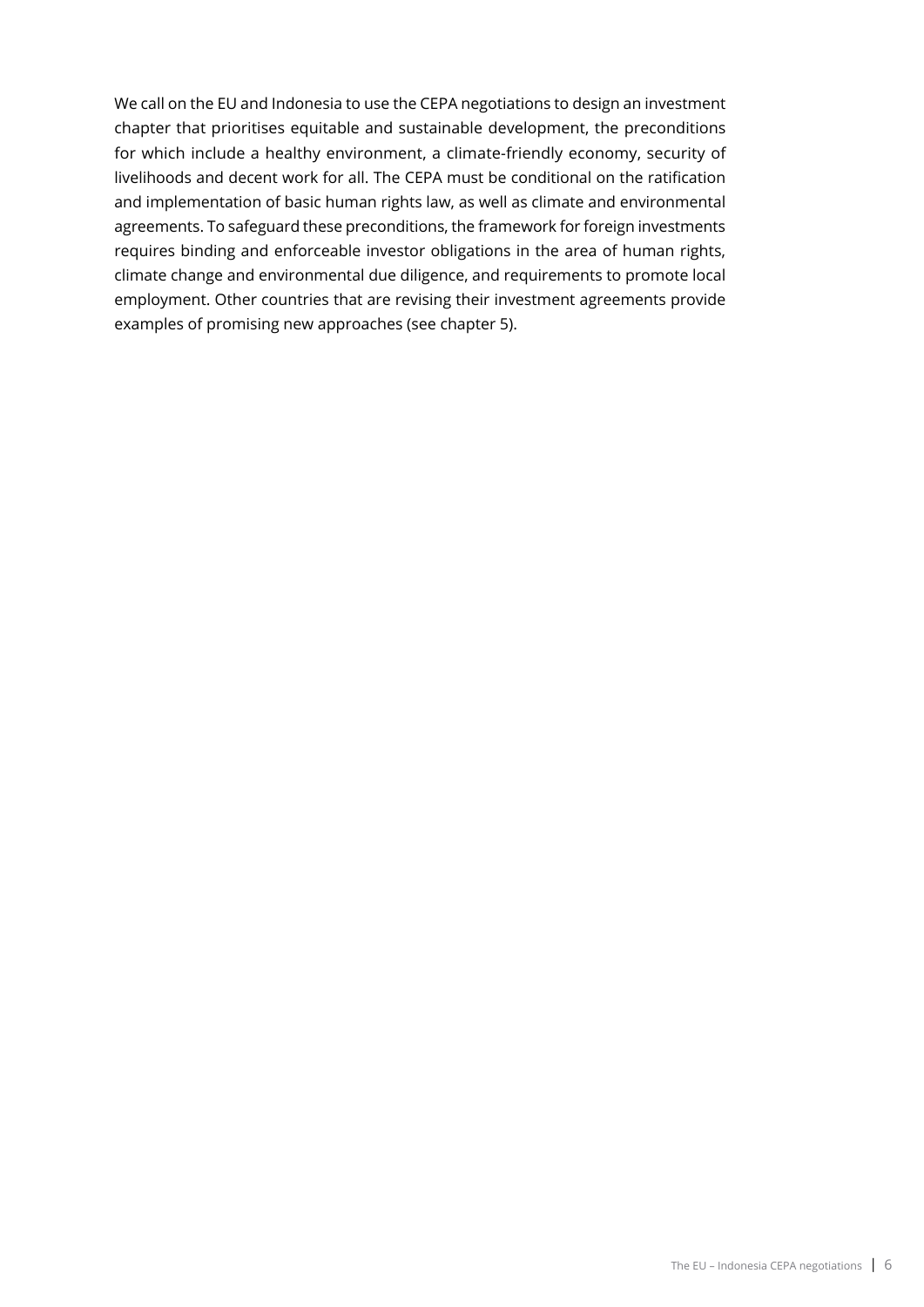We call on the EU and Indonesia to use the CEPA negotiations to design an investment chapter that prioritises equitable and sustainable development, the preconditions for which include a healthy environment, a climate-friendly economy, security of livelihoods and decent work for all. The CEPA must be conditional on the ratification and implementation of basic human rights law, as well as climate and environmental agreements. To safeguard these preconditions, the framework for foreign investments requires binding and enforceable investor obligations in the area of human rights, climate change and environmental due diligence, and requirements to promote local employment. Other countries that are revising their investment agreements provide examples of promising new approaches (see chapter 5).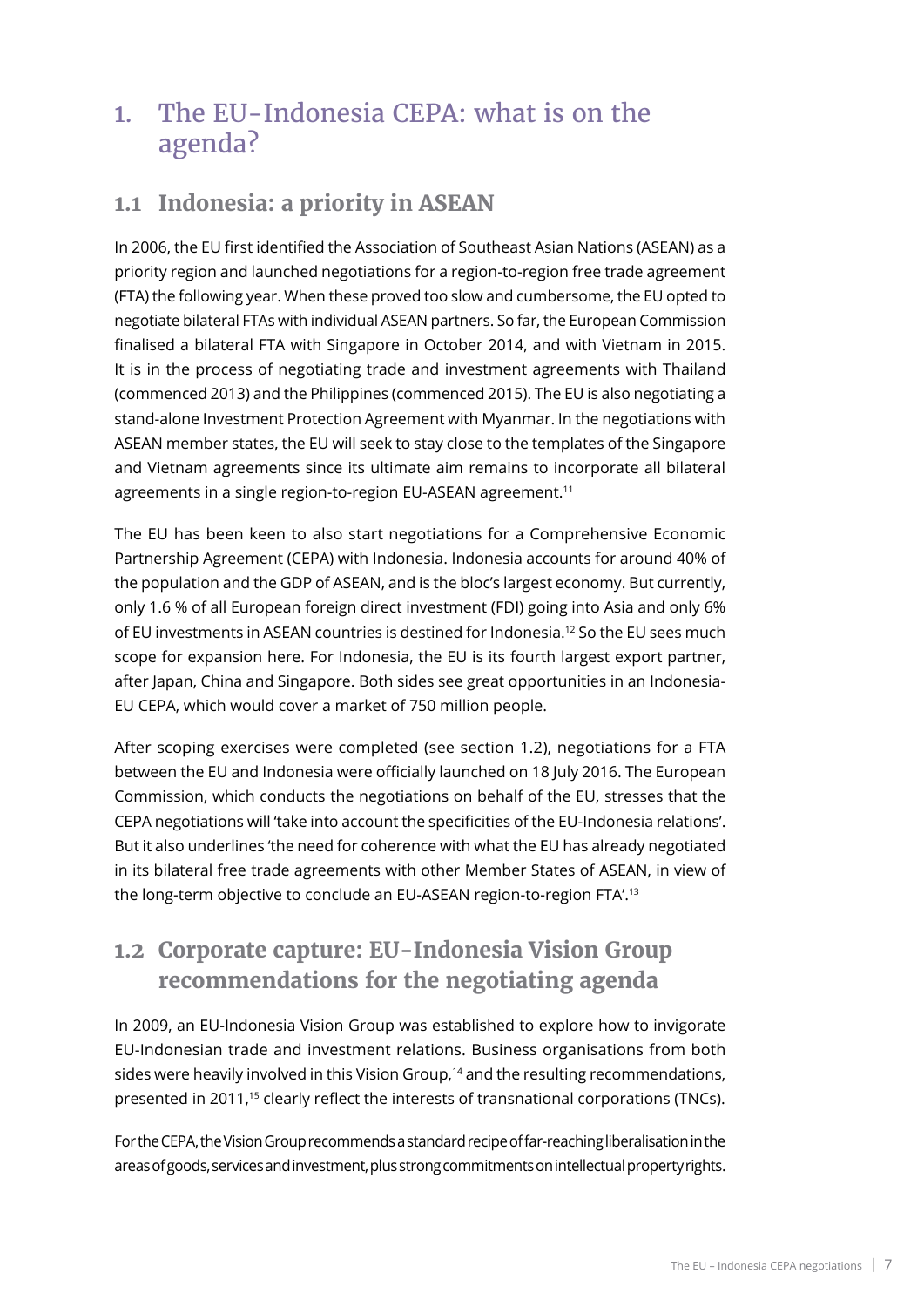# <span id="page-6-0"></span>1. The EU-Indonesia CEPA: what is on the agenda?

#### **1.1 Indonesia: a priority in ASEAN**

In 2006, the EU first identified the Association of Southeast Asian Nations (ASEAN) as a priority region and launched negotiations for a region-to-region free trade agreement (FTA) the following year. When these proved too slow and cumbersome, the EU opted to negotiate bilateral FTAs with individual ASEAN partners. So far, the European Commission finalised a bilateral FTA with Singapore in October 2014, and with Vietnam in 2015. It is in the process of negotiating trade and investment agreements with Thailand (commenced 2013) and the Philippines (commenced 2015). The EU is also negotiating a stand-alone Investment Protection Agreement with Myanmar. In the negotiations with ASEAN member states, the EU will seek to stay close to the templates of the Singapore and Vietnam agreements since its ultimate aim remains to incorporate all bilateral agreements in a single region-to-region EU-ASEAN agreement.<sup>11</sup>

The EU has been keen to also start negotiations for a Comprehensive Economic Partnership Agreement (CEPA) with Indonesia. Indonesia accounts for around 40% of the population and the GDP of ASEAN, and is the bloc's largest economy. But currently, only 1.6 % of all European foreign direct investment (FDI) going into Asia and only 6% of EU investments in ASEAN countries is destined for Indonesia.12 So the EU sees much scope for expansion here. For Indonesia, the EU is its fourth largest export partner, after Japan, China and Singapore. Both sides see great opportunities in an Indonesia-EU CEPA, which would cover a market of 750 million people.

After scoping exercises were completed (see section 1.2), negotiations for a FTA between the EU and Indonesia were officially launched on 18 July 2016. The European Commission, which conducts the negotiations on behalf of the EU, stresses that the CEPA negotiations will 'take into account the specificities of the EU-Indonesia relations'. But it also underlines 'the need for coherence with what the EU has already negotiated in its bilateral free trade agreements with other Member States of ASEAN, in view of the long-term objective to conclude an EU-ASEAN region-to-region FTA'.13

### **1.2 Corporate capture: EU-Indonesia Vision Group recommendations for the negotiating agenda**

In 2009, an EU-Indonesia Vision Group was established to explore how to invigorate EU-Indonesian trade and investment relations. Business organisations from both sides were heavily involved in this Vision Group,<sup>14</sup> and the resulting recommendations, presented in 2011,<sup>15</sup> clearly reflect the interests of transnational corporations (TNCs).

For the CEPA, the Vision Group recommends a standard recipe of far-reaching liberalisation in the areas of goods, services and investment, plus strong commitments on intellectual property rights.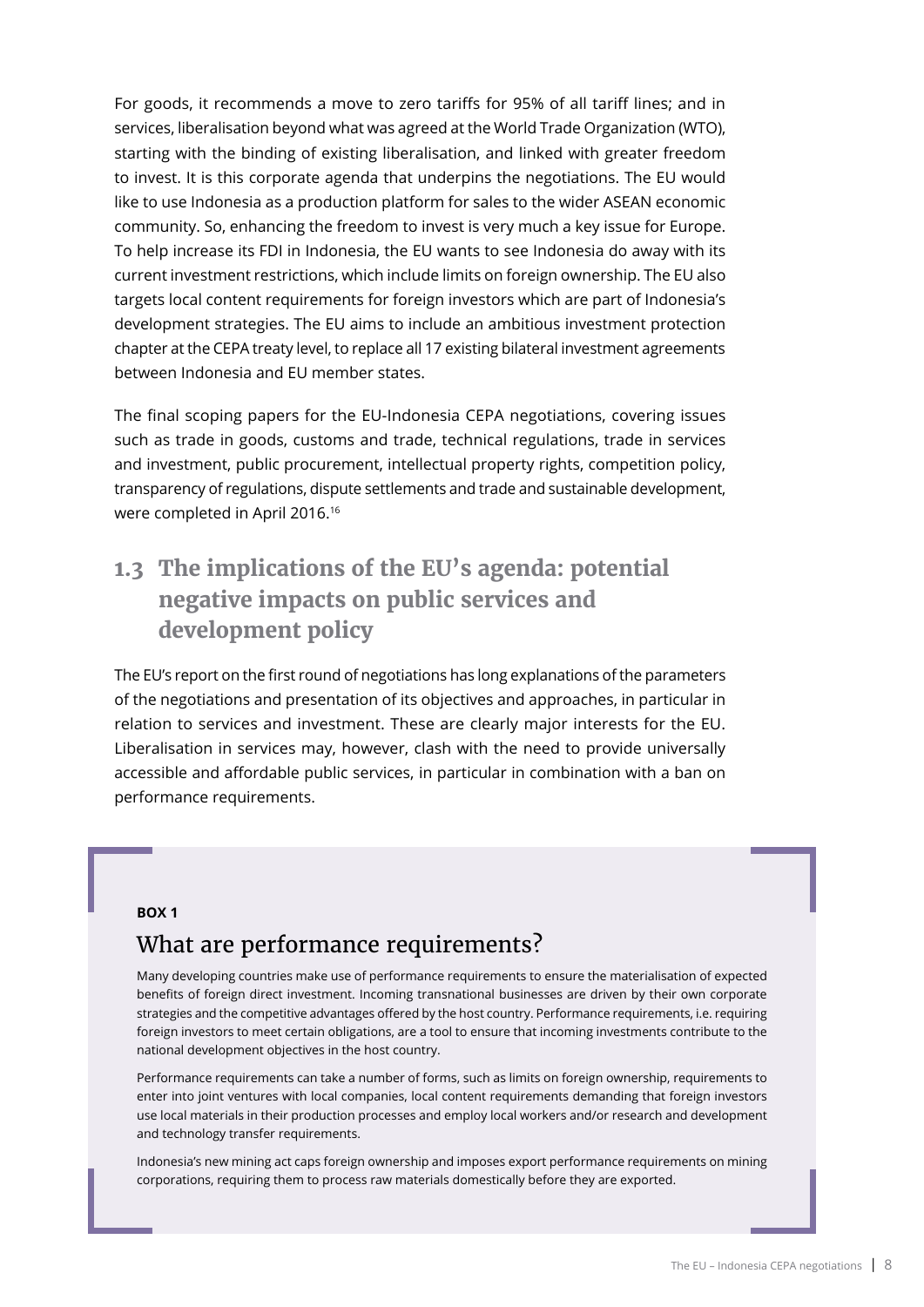<span id="page-7-0"></span>For goods, it recommends a move to zero tariffs for 95% of all tariff lines; and in services, liberalisation beyond what was agreed at the World Trade Organization (WTO), starting with the binding of existing liberalisation, and linked with greater freedom to invest. It is this corporate agenda that underpins the negotiations. The EU would like to use Indonesia as a production platform for sales to the wider ASEAN economic community. So, enhancing the freedom to invest is very much a key issue for Europe. To help increase its FDI in Indonesia, the EU wants to see Indonesia do away with its current investment restrictions, which include limits on foreign ownership. The EU also targets local content requirements for foreign investors which are part of Indonesia's development strategies. The EU aims to include an ambitious investment protection chapter at the CEPA treaty level, to replace all 17 existing bilateral investment agreements between Indonesia and EU member states.

The final scoping papers for the EU-Indonesia CEPA negotiations, covering issues such as trade in goods, customs and trade, technical regulations, trade in services and investment, public procurement, intellectual property rights, competition policy, transparency of regulations, dispute settlements and trade and sustainable development, were completed in April 2016.16

### **1.3 The implications of the EU's agenda: potential negative impacts on public services and development policy**

The EU's report on the first round of negotiations has long explanations of the parameters of the negotiations and presentation of its objectives and approaches, in particular in relation to services and investment. These are clearly major interests for the EU. Liberalisation in services may, however, clash with the need to provide universally accessible and affordable public services, in particular in combination with a ban on performance requirements.

#### **BOX 1**

#### What are performance requirements?

Many developing countries make use of performance requirements to ensure the materialisation of expected benefits of foreign direct investment. Incoming transnational businesses are driven by their own corporate strategies and the competitive advantages offered by the host country. Performance requirements, i.e. requiring foreign investors to meet certain obligations, are a tool to ensure that incoming investments contribute to the national development objectives in the host country.

Performance requirements can take a number of forms, such as limits on foreign ownership, requirements to enter into joint ventures with local companies, local content requirements demanding that foreign investors use local materials in their production processes and employ local workers and/or research and development and technology transfer requirements.

Indonesia's new mining act caps foreign ownership and imposes export performance requirements on mining corporations, requiring them to process raw materials domestically before they are exported.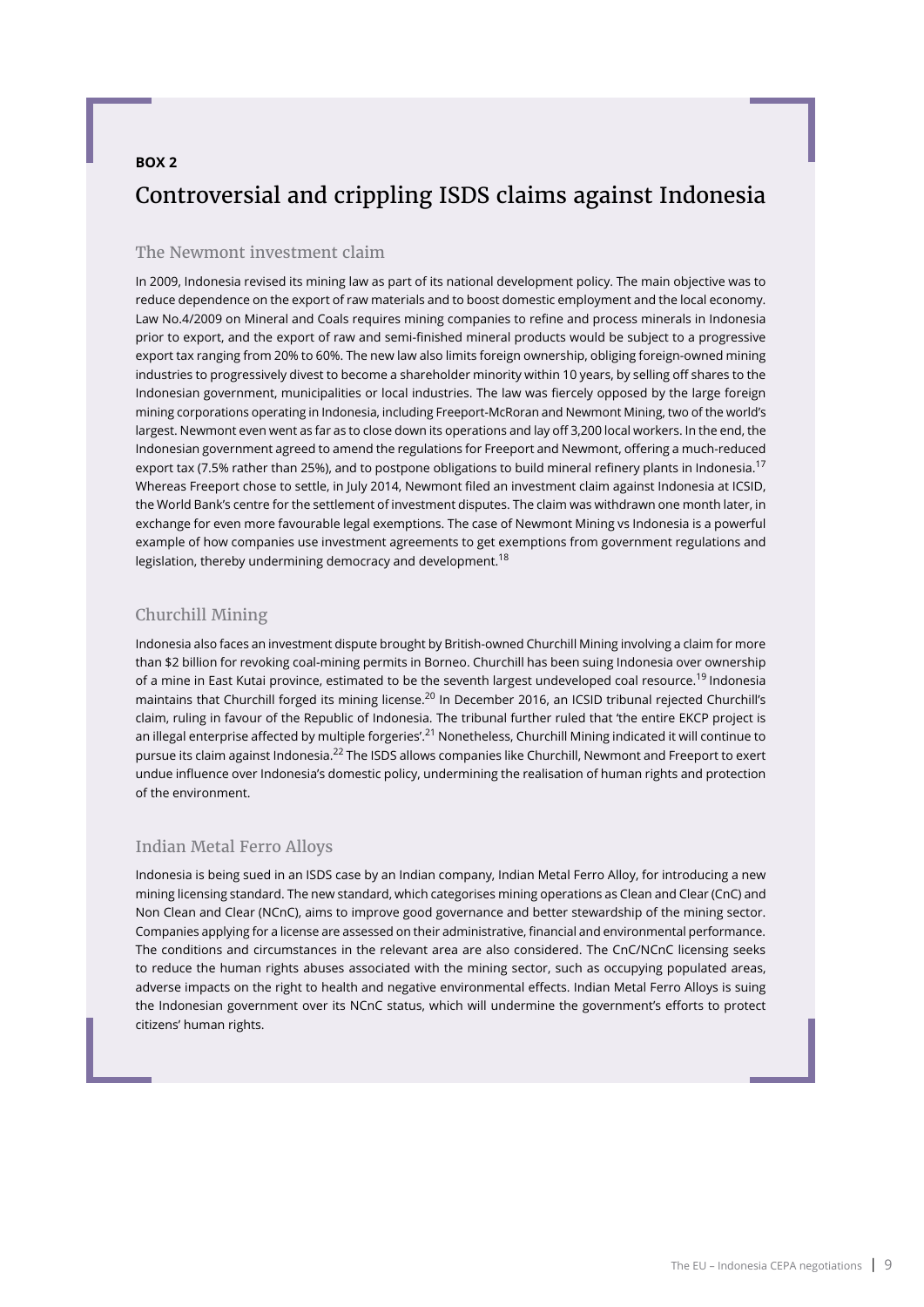#### **BOX 2**

### Controversial and crippling ISDS claims against Indonesia

#### The Newmont investment claim

In 2009, Indonesia revised its mining law as part of its national development policy. The main objective was to reduce dependence on the export of raw materials and to boost domestic employment and the local economy. Law No.4/2009 on Mineral and Coals requires mining companies to refine and process minerals in Indonesia prior to export, and the export of raw and semi-finished mineral products would be subject to a progressive export tax ranging from 20% to 60%. The new law also limits foreign ownership, obliging foreign-owned mining industries to progressively divest to become a shareholder minority within 10 years, by selling off shares to the Indonesian government, municipalities or local industries. The law was fiercely opposed by the large foreign mining corporations operating in Indonesia, including Freeport-McRoran and Newmont Mining, two of the world's largest. Newmont even went as far as to close down its operations and lay off 3,200 local workers. In the end, the Indonesian government agreed to amend the regulations for Freeport and Newmont, offering a much-reduced export tax (7.5% rather than 25%), and to postpone obligations to build mineral refinery plants in Indonesia.<sup>17</sup> Whereas Freeport chose to settle, in July 2014, Newmont filed an investment claim against Indonesia at ICSID, the World Bank's centre for the settlement of investment disputes. The claim was withdrawn one month later, in exchange for even more favourable legal exemptions. The case of Newmont Mining vs Indonesia is a powerful example of how companies use investment agreements to get exemptions from government regulations and legislation, thereby undermining democracy and development.<sup>18</sup>

#### Churchill Mining

Indonesia also faces an investment dispute brought by British-owned Churchill Mining involving a claim for more than \$2 billion for revoking coal-mining permits in Borneo. Churchill has been suing Indonesia over ownership of a mine in East Kutai province, estimated to be the seventh largest undeveloped coal resource.<sup>19</sup> Indonesia maintains that Churchill forged its mining license.<sup>20</sup> In December 2016, an ICSID tribunal rejected Churchill's claim, ruling in favour of the Republic of Indonesia. The tribunal further ruled that 'the entire EKCP project is an illegal enterprise affected by multiple forgeries'.<sup>21</sup> Nonetheless, Churchill Mining indicated it will continue to pursue its claim against Indonesia.<sup>22</sup> The ISDS allows companies like Churchill, Newmont and Freeport to exert undue influence over Indonesia's domestic policy, undermining the realisation of human rights and protection of the environment.

#### Indian Metal Ferro Alloys

Indonesia is being sued in an ISDS case by an Indian company, Indian Metal Ferro Alloy, for introducing a new mining licensing standard. The new standard, which categorises mining operations as Clean and Clear (CnC) and Non Clean and Clear (NCnC), aims to improve good governance and better stewardship of the mining sector. Companies applying for a license are assessed on their administrative, financial and environmental performance. The conditions and circumstances in the relevant area are also considered. The CnC/NCnC licensing seeks to reduce the human rights abuses associated with the mining sector, such as occupying populated areas, adverse impacts on the right to health and negative environmental effects. Indian Metal Ferro Alloys is suing the Indonesian government over its NCnC status, which will undermine the government's efforts to protect citizens' human rights.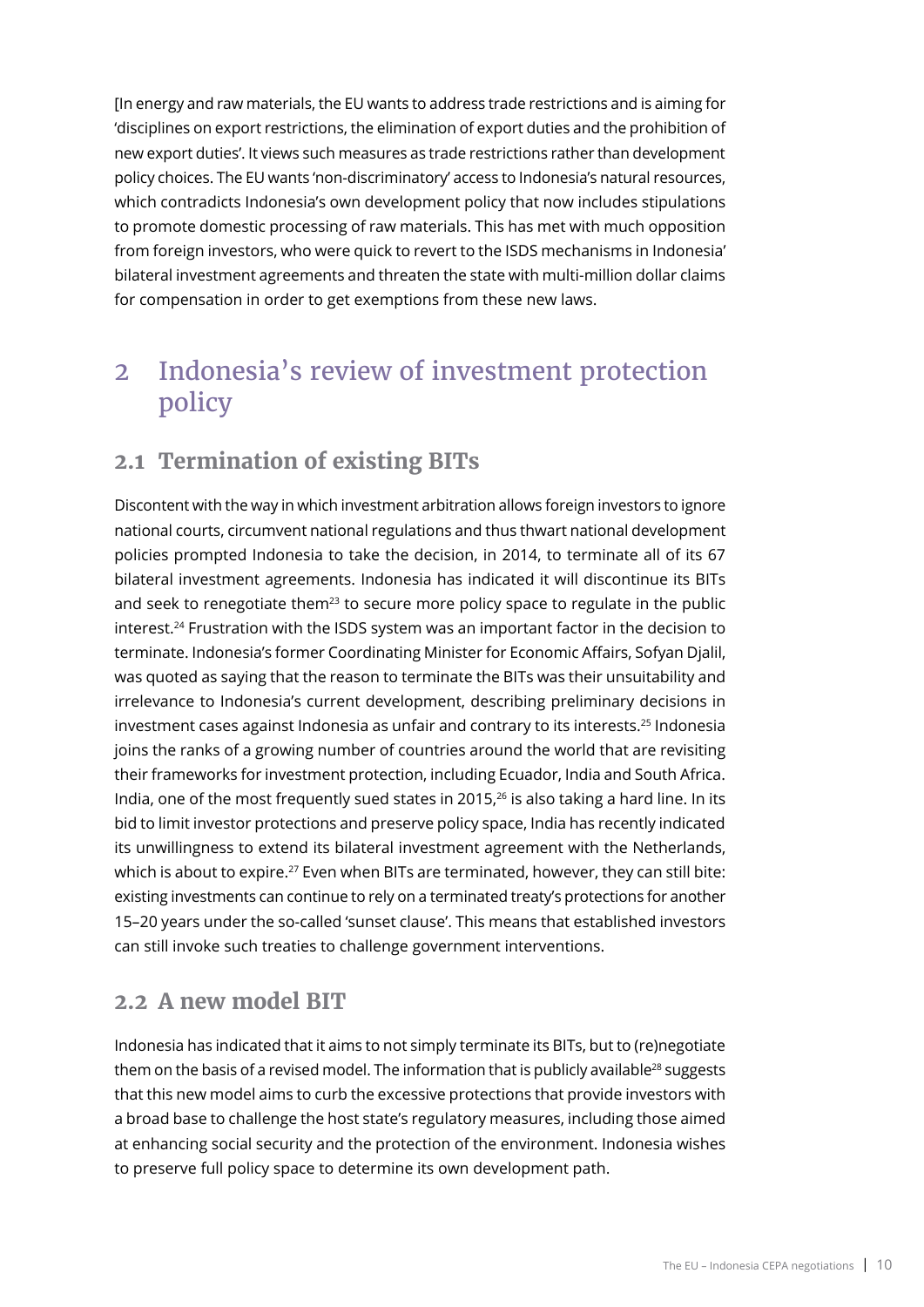<span id="page-9-0"></span>[In energy and raw materials, the EU wants to address trade restrictions and is aiming for 'disciplines on export restrictions, the elimination of export duties and the prohibition of new export duties'. It views such measures as trade restrictions rather than development policy choices. The EU wants 'non-discriminatory' access to Indonesia's natural resources, which contradicts Indonesia's own development policy that now includes stipulations to promote domestic processing of raw materials. This has met with much opposition from foreign investors, who were quick to revert to the ISDS mechanisms in Indonesia' bilateral investment agreements and threaten the state with multi-million dollar claims for compensation in order to get exemptions from these new laws.

# 2 Indonesia's review of investment protection policy

### **2.1 Termination of existing BITs**

Discontent with the way in which investment arbitration allows foreign investors to ignore national courts, circumvent national regulations and thus thwart national development policies prompted Indonesia to take the decision, in 2014, to terminate all of its 67 bilateral investment agreements. Indonesia has indicated it will discontinue its BITs and seek to renegotiate them<sup>23</sup> to secure more policy space to regulate in the public interest.24 Frustration with the ISDS system was an important factor in the decision to terminate. Indonesia's former Coordinating Minister for Economic Affairs, Sofyan Djalil, was quoted as saying that the reason to terminate the BITs was their unsuitability and irrelevance to Indonesia's current development, describing preliminary decisions in investment cases against Indonesia as unfair and contrary to its interests.<sup>25</sup> Indonesia joins the ranks of a growing number of countries around the world that are revisiting their frameworks for investment protection, including Ecuador, India and South Africa. India, one of the most frequently sued states in 2015,<sup>26</sup> is also taking a hard line. In its bid to limit investor protections and preserve policy space, India has recently indicated its unwillingness to extend its bilateral investment agreement with the Netherlands, which is about to expire.<sup>27</sup> Even when BITs are terminated, however, they can still bite: existing investments can continue to rely on a terminated treaty's protections for another 15–20 years under the so-called 'sunset clause'. This means that established investors can still invoke such treaties to challenge government interventions.

#### **2.2 A new model BIT**

Indonesia has indicated that it aims to not simply terminate its BITs, but to (re)negotiate them on the basis of a revised model. The information that is publicly available<sup>28</sup> suggests that this new model aims to curb the excessive protections that provide investors with a broad base to challenge the host state's regulatory measures, including those aimed at enhancing social security and the protection of the environment. Indonesia wishes to preserve full policy space to determine its own development path.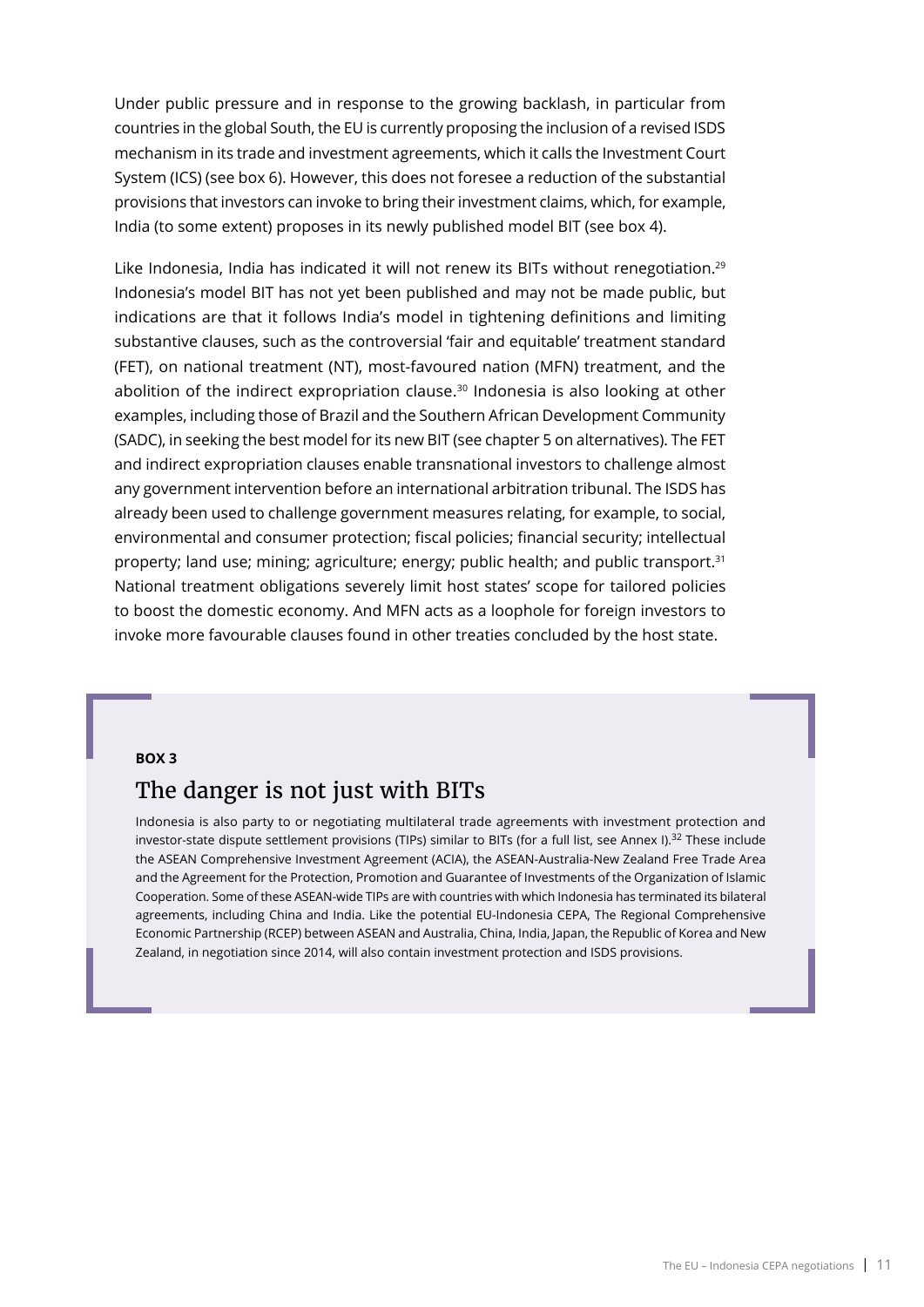Under public pressure and in response to the growing backlash, in particular from countries in the global South, the EU is currently proposing the inclusion of a revised ISDS mechanism in its trade and investment agreements, which it calls the Investment Court System (ICS) (see box 6). However, this does not foresee a reduction of the substantial provisions that investors can invoke to bring their investment claims, which, for example, India (to some extent) proposes in its newly published model BIT (see box 4).

Like Indonesia, India has indicated it will not renew its BITs without renegotiation.<sup>29</sup> Indonesia's model BIT has not yet been published and may not be made public, but indications are that it follows India's model in tightening definitions and limiting substantive clauses, such as the controversial 'fair and equitable' treatment standard (FET), on national treatment (NT), most-favoured nation (MFN) treatment, and the abolition of the indirect expropriation clause.<sup>30</sup> Indonesia is also looking at other examples, including those of Brazil and the Southern African Development Community (SADC), in seeking the best model for its new BIT (see chapter 5 on alternatives). The FET and indirect expropriation clauses enable transnational investors to challenge almost any government intervention before an international arbitration tribunal. The ISDS has already been used to challenge government measures relating, for example, to social, environmental and consumer protection; fiscal policies; financial security; intellectual property; land use; mining; agriculture; energy; public health; and public transport.<sup>31</sup> National treatment obligations severely limit host states' scope for tailored policies to boost the domestic economy. And MFN acts as a loophole for foreign investors to invoke more favourable clauses found in other treaties concluded by the host state.

#### **BOX 3**

#### The danger is not just with BITs

Indonesia is also party to or negotiating multilateral trade agreements with investment protection and investor-state dispute settlement provisions (TIPs) similar to BITs (for a full list, see Annex I).<sup>32</sup> These include the ASEAN Comprehensive Investment Agreement (ACIA), the ASEAN-Australia-New Zealand Free Trade Area and the Agreement for the Protection, Promotion and Guarantee of Investments of the Organization of Islamic Cooperation. Some of these ASEAN-wide TIPs are with countries with which Indonesia has terminated its bilateral agreements, including China and India. Like the potential EU-Indonesia CEPA, The Regional Comprehensive Economic Partnership (RCEP) between ASEAN and Australia, China, India, Japan, the Republic of Korea and New Zealand, in negotiation since 2014, will also contain investment protection and ISDS provisions.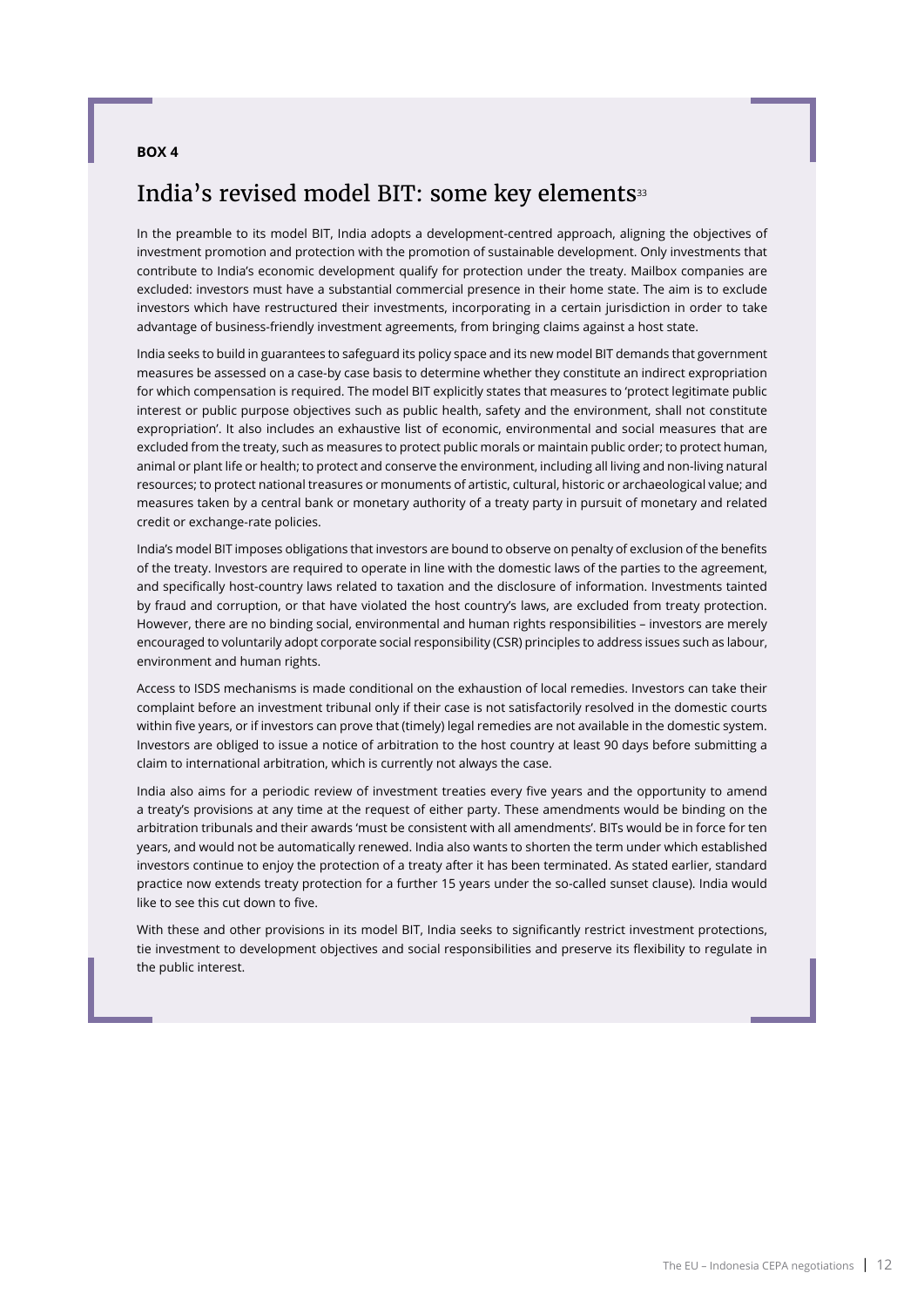#### **BOX 4**

#### India's revised model BIT: some key elements<sup>33</sup>

In the preamble to its model BIT, India adopts a development-centred approach, aligning the objectives of investment promotion and protection with the promotion of sustainable development. Only investments that contribute to India's economic development qualify for protection under the treaty. Mailbox companies are excluded: investors must have a substantial commercial presence in their home state. The aim is to exclude investors which have restructured their investments, incorporating in a certain jurisdiction in order to take advantage of business-friendly investment agreements, from bringing claims against a host state.

India seeks to build in guarantees to safeguard its policy space and its new model BIT demands that government measures be assessed on a case-by case basis to determine whether they constitute an indirect expropriation for which compensation is required. The model BIT explicitly states that measures to 'protect legitimate public interest or public purpose objectives such as public health, safety and the environment, shall not constitute expropriation'. It also includes an exhaustive list of economic, environmental and social measures that are excluded from the treaty, such as measures to protect public morals or maintain public order; to protect human, animal or plant life or health; to protect and conserve the environment, including all living and non-living natural resources; to protect national treasures or monuments of artistic, cultural, historic or archaeological value; and measures taken by a central bank or monetary authority of a treaty party in pursuit of monetary and related credit or exchange-rate policies.

India's model BIT imposes obligations that investors are bound to observe on penalty of exclusion of the benefits of the treaty. Investors are required to operate in line with the domestic laws of the parties to the agreement, and specifically host-country laws related to taxation and the disclosure of information. Investments tainted by fraud and corruption, or that have violated the host country's laws, are excluded from treaty protection. However, there are no binding social, environmental and human rights responsibilities – investors are merely encouraged to voluntarily adopt corporate social responsibility (CSR) principles to address issues such as labour, environment and human rights.

Access to ISDS mechanisms is made conditional on the exhaustion of local remedies. Investors can take their complaint before an investment tribunal only if their case is not satisfactorily resolved in the domestic courts within five years, or if investors can prove that (timely) legal remedies are not available in the domestic system. Investors are obliged to issue a notice of arbitration to the host country at least 90 days before submitting a claim to international arbitration, which is currently not always the case.

India also aims for a periodic review of investment treaties every five years and the opportunity to amend a treaty's provisions at any time at the request of either party. These amendments would be binding on the arbitration tribunals and their awards 'must be consistent with all amendments'. BITs would be in force for ten years, and would not be automatically renewed. India also wants to shorten the term under which established investors continue to enjoy the protection of a treaty after it has been terminated. As stated earlier, standard practice now extends treaty protection for a further 15 years under the so-called sunset clause). India would like to see this cut down to five.

With these and other provisions in its model BIT, India seeks to significantly restrict investment protections, tie investment to development objectives and social responsibilities and preserve its flexibility to regulate in the public interest.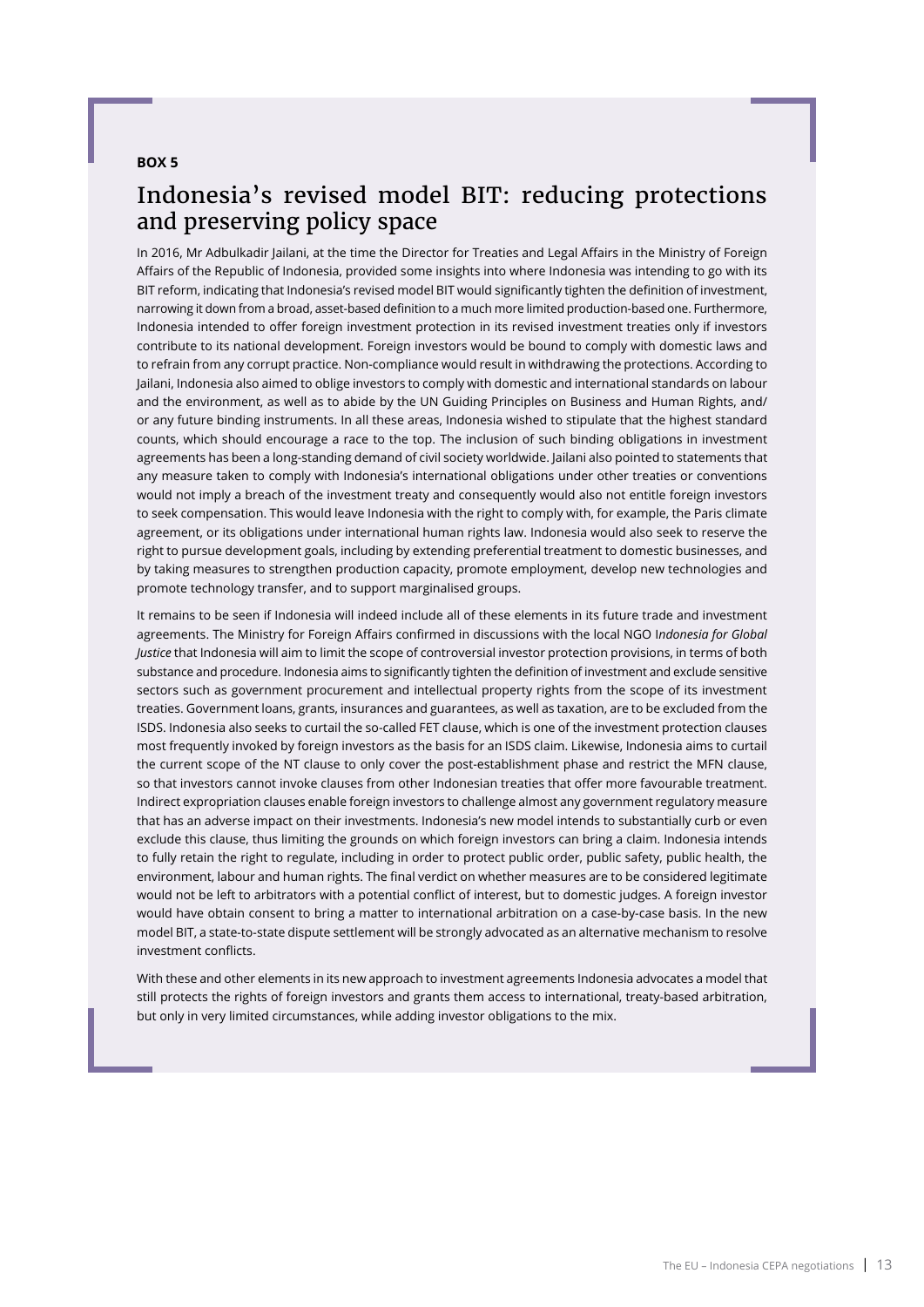#### **BOX 5**

#### Indonesia's revised model BIT: reducing protections and preserving policy space

In 2016, Mr Adbulkadir Jailani, at the time the Director for Treaties and Legal Affairs in the Ministry of Foreign Affairs of the Republic of Indonesia, provided some insights into where Indonesia was intending to go with its BIT reform, indicating that Indonesia's revised model BIT would significantly tighten the definition of investment, narrowing it down from a broad, asset-based definition to a much more limited production-based one. Furthermore, Indonesia intended to offer foreign investment protection in its revised investment treaties only if investors contribute to its national development. Foreign investors would be bound to comply with domestic laws and to refrain from any corrupt practice. Non-compliance would result in withdrawing the protections. According to Jailani, Indonesia also aimed to oblige investors to comply with domestic and international standards on labour and the environment, as well as to abide by the UN Guiding Principles on Business and Human Rights, and/ or any future binding instruments. In all these areas, Indonesia wished to stipulate that the highest standard counts, which should encourage a race to the top. The inclusion of such binding obligations in investment agreements has been a long-standing demand of civil society worldwide. Jailani also pointed to statements that any measure taken to comply with Indonesia's international obligations under other treaties or conventions would not imply a breach of the investment treaty and consequently would also not entitle foreign investors to seek compensation. This would leave Indonesia with the right to comply with, for example, the Paris climate agreement, or its obligations under international human rights law. Indonesia would also seek to reserve the right to pursue development goals, including by extending preferential treatment to domestic businesses, and by taking measures to strengthen production capacity, promote employment, develop new technologies and promote technology transfer, and to support marginalised groups.

It remains to be seen if Indonesia will indeed include all of these elements in its future trade and investment agreements. The Ministry for Foreign Affairs confirmed in discussions with the local NGO I*ndonesia for Global Justice* that Indonesia will aim to limit the scope of controversial investor protection provisions, in terms of both substance and procedure. Indonesia aims to significantly tighten the definition of investment and exclude sensitive sectors such as government procurement and intellectual property rights from the scope of its investment treaties. Government loans, grants, insurances and guarantees, as well as taxation, are to be excluded from the ISDS. Indonesia also seeks to curtail the so-called FET clause, which is one of the investment protection clauses most frequently invoked by foreign investors as the basis for an ISDS claim. Likewise, Indonesia aims to curtail the current scope of the NT clause to only cover the post-establishment phase and restrict the MFN clause, so that investors cannot invoke clauses from other Indonesian treaties that offer more favourable treatment. Indirect expropriation clauses enable foreign investors to challenge almost any government regulatory measure that has an adverse impact on their investments. Indonesia's new model intends to substantially curb or even exclude this clause, thus limiting the grounds on which foreign investors can bring a claim. Indonesia intends to fully retain the right to regulate, including in order to protect public order, public safety, public health, the environment, labour and human rights. The final verdict on whether measures are to be considered legitimate would not be left to arbitrators with a potential conflict of interest, but to domestic judges. A foreign investor would have obtain consent to bring a matter to international arbitration on a case-by-case basis. In the new model BIT, a state-to-state dispute settlement will be strongly advocated as an alternative mechanism to resolve investment conflicts.

With these and other elements in its new approach to investment agreements Indonesia advocates a model that still protects the rights of foreign investors and grants them access to international, treaty-based arbitration, but only in very limited circumstances, while adding investor obligations to the mix.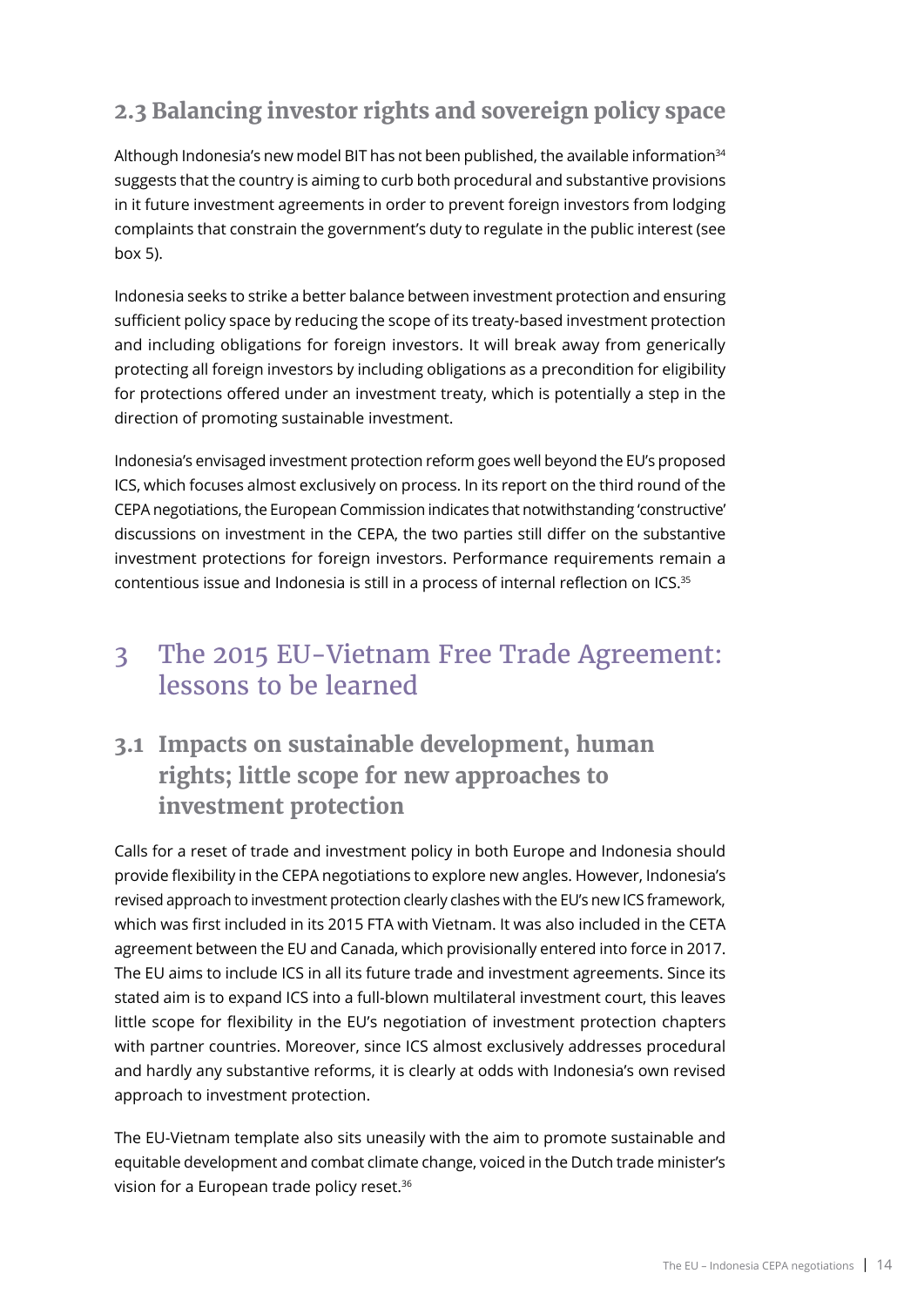## <span id="page-13-0"></span>**2.3 Balancing investor rights and sovereign policy space**

Although Indonesia's new model BIT has not been published, the available information $34$ suggests that the country is aiming to curb both procedural and substantive provisions in it future investment agreements in order to prevent foreign investors from lodging complaints that constrain the government's duty to regulate in the public interest (see box 5).

Indonesia seeks to strike a better balance between investment protection and ensuring sufficient policy space by reducing the scope of its treaty-based investment protection and including obligations for foreign investors. It will break away from generically protecting all foreign investors by including obligations as a precondition for eligibility for protections offered under an investment treaty, which is potentially a step in the direction of promoting sustainable investment.

Indonesia's envisaged investment protection reform goes well beyond the EU's proposed ICS, which focuses almost exclusively on process. In its report on the third round of the CEPA negotiations, the European Commission indicates that notwithstanding 'constructive' discussions on investment in the CEPA, the two parties still differ on the substantive investment protections for foreign investors. Performance requirements remain a contentious issue and Indonesia is still in a process of internal reflection on ICS.<sup>35</sup>

### 3 The 2015 EU-Vietnam Free Trade Agreement: lessons to be learned

### **3.1 Impacts on sustainable development, human rights; little scope for new approaches to investment protection**

Calls for a reset of trade and investment policy in both Europe and Indonesia should provide flexibility in the CEPA negotiations to explore new angles. However, Indonesia's revised approach to investment protection clearly clashes with the EU's new ICS framework, which was first included in its 2015 FTA with Vietnam. It was also included in the CETA agreement between the EU and Canada, which provisionally entered into force in 2017. The EU aims to include ICS in all its future trade and investment agreements. Since its stated aim is to expand ICS into a full-blown multilateral investment court, this leaves little scope for flexibility in the EU's negotiation of investment protection chapters with partner countries. Moreover, since ICS almost exclusively addresses procedural and hardly any substantive reforms, it is clearly at odds with Indonesia's own revised approach to investment protection.

The EU-Vietnam template also sits uneasily with the aim to promote sustainable and equitable development and combat climate change, voiced in the Dutch trade minister's vision for a European trade policy reset.<sup>36</sup>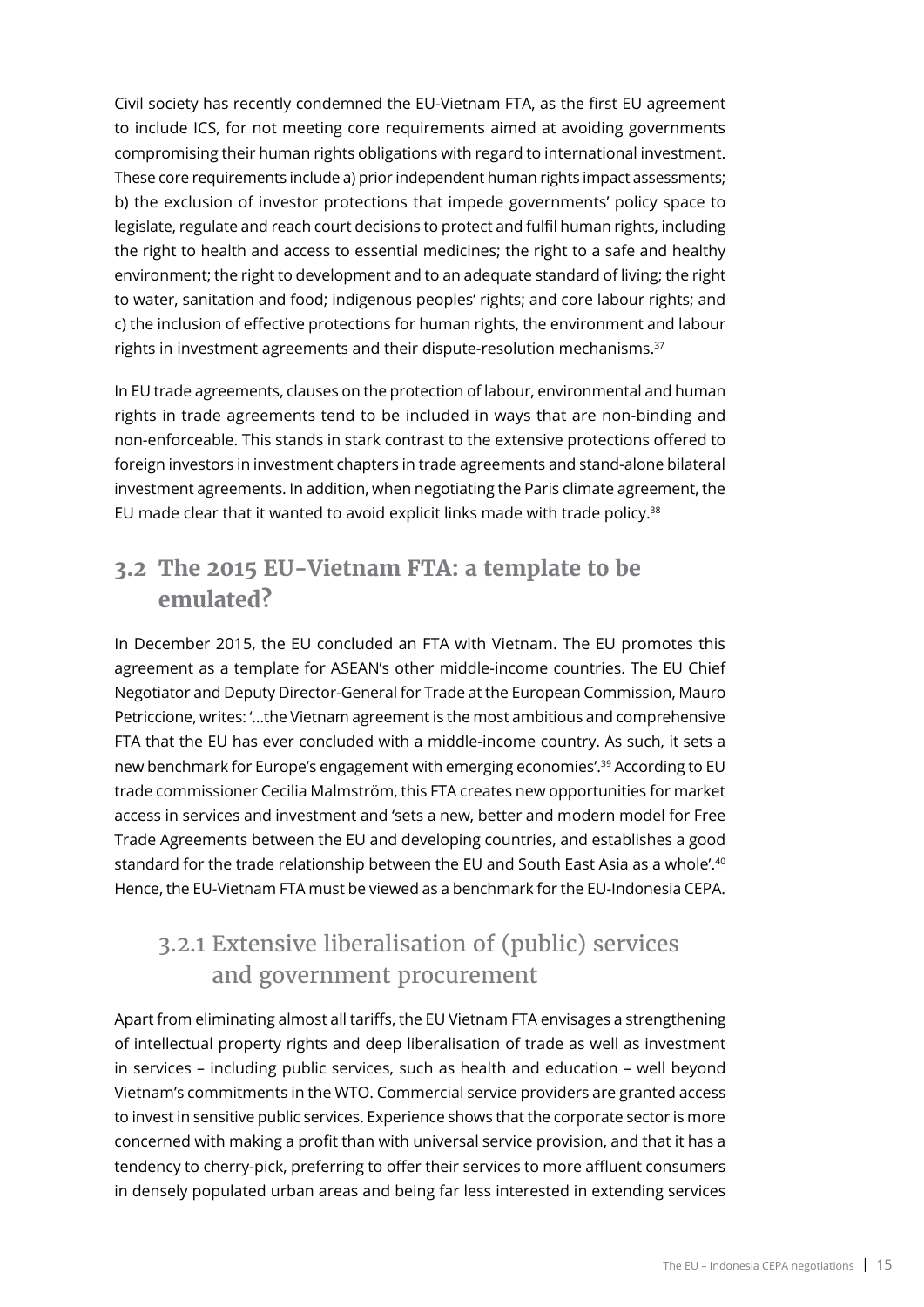<span id="page-14-0"></span>Civil society has recently condemned the EU-Vietnam FTA, as the first EU agreement to include ICS, for not meeting core requirements aimed at avoiding governments compromising their human rights obligations with regard to international investment. These core requirements include a) prior independent human rights impact assessments; b) the exclusion of investor protections that impede governments' policy space to legislate, regulate and reach court decisions to protect and fulfil human rights, including the right to health and access to essential medicines; the right to a safe and healthy environment; the right to development and to an adequate standard of living; the right to water, sanitation and food; indigenous peoples' rights; and core labour rights; and c) the inclusion of effective protections for human rights, the environment and labour rights in investment agreements and their dispute-resolution mechanisms.<sup>37</sup>

In EU trade agreements, clauses on the protection of labour, environmental and human rights in trade agreements tend to be included in ways that are non-binding and non-enforceable. This stands in stark contrast to the extensive protections offered to foreign investors in investment chapters in trade agreements and stand-alone bilateral investment agreements. In addition, when negotiating the Paris climate agreement, the EU made clear that it wanted to avoid explicit links made with trade policy.<sup>38</sup>

#### **3.2 The 2015 EU-Vietnam FTA: a template to be emulated?**

In December 2015, the EU concluded an FTA with Vietnam. The EU promotes this agreement as a template for ASEAN's other middle-income countries. The EU Chief Negotiator and Deputy Director-General for Trade at the European Commission, Mauro Petriccione, writes: '…the Vietnam agreement is the most ambitious and comprehensive FTA that the EU has ever concluded with a middle-income country. As such, it sets a new benchmark for Europe's engagement with emerging economies'.39 According to EU trade commissioner Cecilia Malmström, this FTA creates new opportunities for market access in services and investment and 'sets a new, better and modern model for Free Trade Agreements between the EU and developing countries, and establishes a good standard for the trade relationship between the EU and South East Asia as a whole'.40 Hence, the EU-Vietnam FTA must be viewed as a benchmark for the EU-Indonesia CEPA.

### 3.2.1 Extensive liberalisation of (public) services and government procurement

Apart from eliminating almost all tariffs, the EU Vietnam FTA envisages a strengthening of intellectual property rights and deep liberalisation of trade as well as investment in services – including public services, such as health and education – well beyond Vietnam's commitments in the WTO. Commercial service providers are granted access to invest in sensitive public services. Experience shows that the corporate sector is more concerned with making a profit than with universal service provision, and that it has a tendency to cherry-pick, preferring to offer their services to more affluent consumers in densely populated urban areas and being far less interested in extending services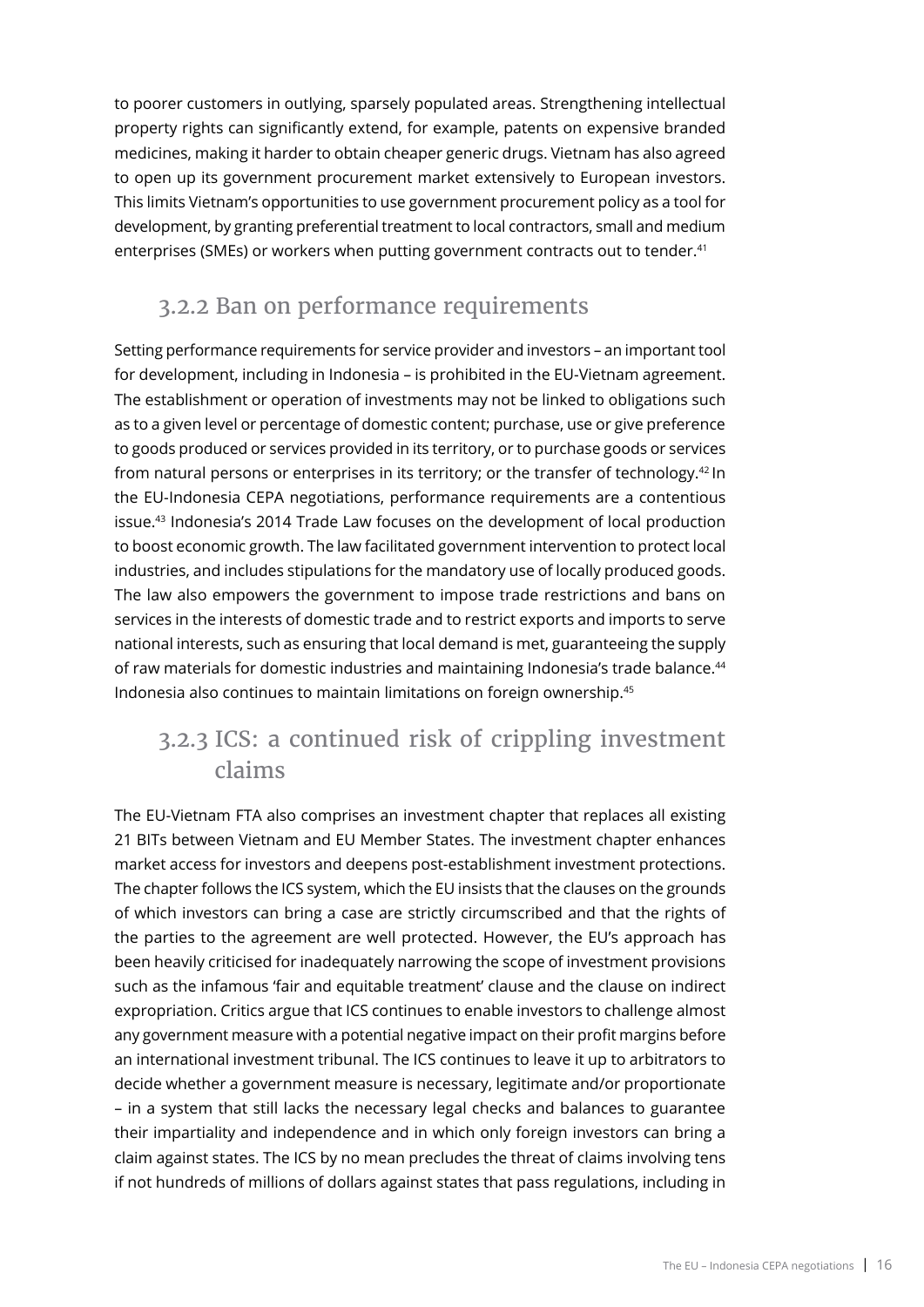<span id="page-15-0"></span>to poorer customers in outlying, sparsely populated areas. Strengthening intellectual property rights can significantly extend, for example, patents on expensive branded medicines, making it harder to obtain cheaper generic drugs. Vietnam has also agreed to open up its government procurement market extensively to European investors. This limits Vietnam's opportunities to use government procurement policy as a tool for development, by granting preferential treatment to local contractors, small and medium enterprises (SMEs) or workers when putting government contracts out to tender.<sup>41</sup>

### 3.2.2 Ban on performance requirements

Setting performance requirements for service provider and investors – an important tool for development, including in Indonesia – is prohibited in the EU-Vietnam agreement. The establishment or operation of investments may not be linked to obligations such as to a given level or percentage of domestic content; purchase, use or give preference to goods produced or services provided in its territory, or to purchase goods or services from natural persons or enterprises in its territory; or the transfer of technology.42 In the EU-Indonesia CEPA negotiations, performance requirements are a contentious issue.43 Indonesia's 2014 Trade Law focuses on the development of local production to boost economic growth. The law facilitated government intervention to protect local industries, and includes stipulations for the mandatory use of locally produced goods. The law also empowers the government to impose trade restrictions and bans on services in the interests of domestic trade and to restrict exports and imports to serve national interests, such as ensuring that local demand is met, guaranteeing the supply of raw materials for domestic industries and maintaining Indonesia's trade balance.44 Indonesia also continues to maintain limitations on foreign ownership.45

### 3.2.3 ICS: a continued risk of crippling investment claims

The EU-Vietnam FTA also comprises an investment chapter that replaces all existing 21 BITs between Vietnam and EU Member States. The investment chapter enhances market access for investors and deepens post-establishment investment protections. The chapter follows the ICS system, which the EU insists that the clauses on the grounds of which investors can bring a case are strictly circumscribed and that the rights of the parties to the agreement are well protected. However, the EU's approach has been heavily criticised for inadequately narrowing the scope of investment provisions such as the infamous 'fair and equitable treatment' clause and the clause on indirect expropriation. Critics argue that ICS continues to enable investors to challenge almost any government measure with a potential negative impact on their profit margins before an international investment tribunal. The ICS continues to leave it up to arbitrators to decide whether a government measure is necessary, legitimate and/or proportionate – in a system that still lacks the necessary legal checks and balances to guarantee their impartiality and independence and in which only foreign investors can bring a claim against states. The ICS by no mean precludes the threat of claims involving tens if not hundreds of millions of dollars against states that pass regulations, including in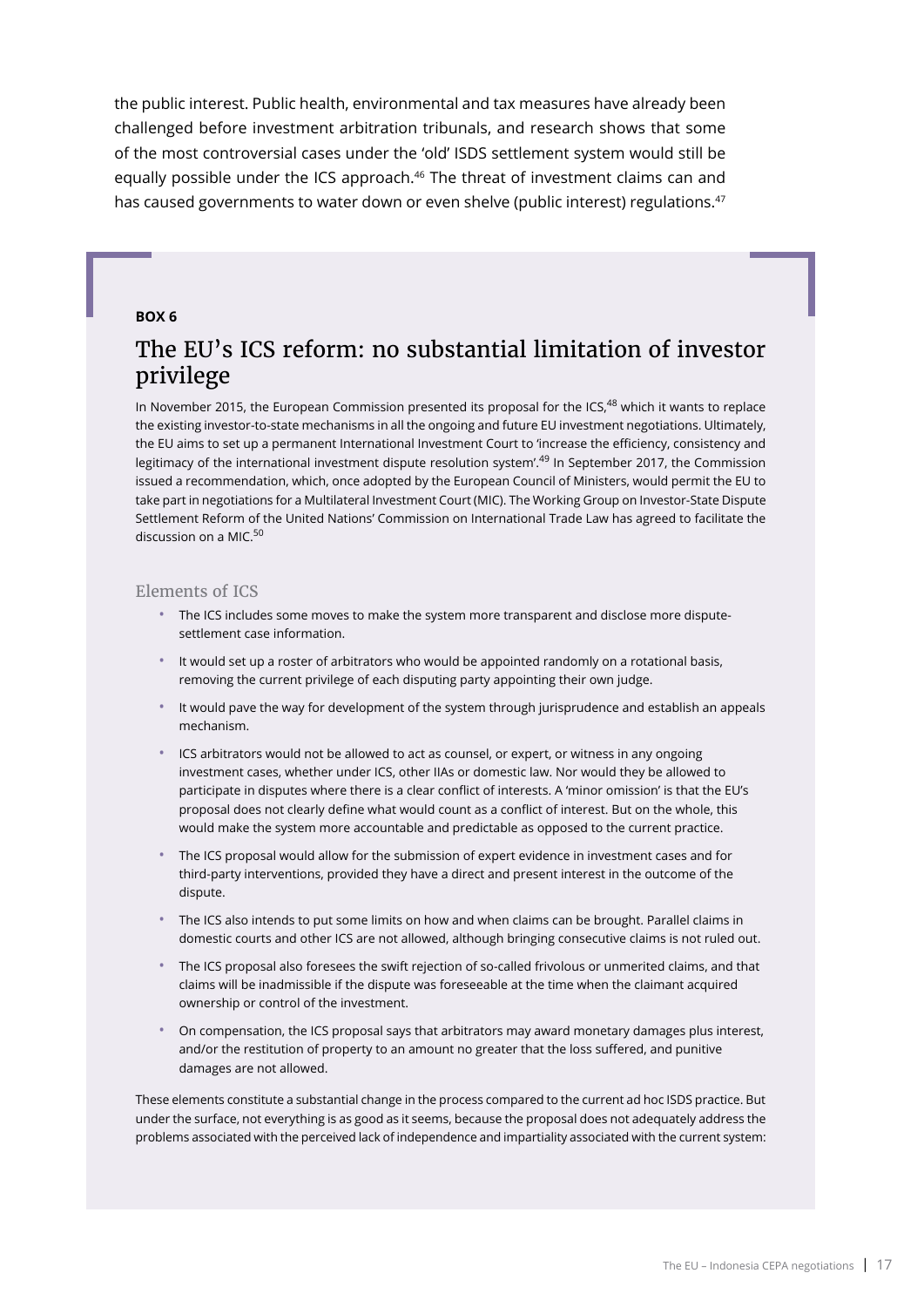the public interest. Public health, environmental and tax measures have already been challenged before investment arbitration tribunals, and research shows that some of the most controversial cases under the 'old' ISDS settlement system would still be equally possible under the ICS approach.<sup>46</sup> The threat of investment claims can and has caused governments to water down or even shelve (public interest) regulations.<sup>47</sup>

#### **BOX 6**

### The EU's ICS reform: no substantial limitation of investor privilege

In November 2015, the European Commission presented its proposal for the ICS.<sup>48</sup> which it wants to replace the existing investor-to-state mechanisms in all the ongoing and future EU investment negotiations. Ultimately, the EU aims to set up a permanent International Investment Court to 'increase the efficiency, consistency and legitimacy of the international investment dispute resolution system'.<sup>49</sup> In September 2017, the Commission issued a recommendation, which, once adopted by the European Council of Ministers, would permit the EU to take part in negotiations for a Multilateral Investment Court (MIC). The Working Group on Investor-State Dispute Settlement Reform of the United Nations' Commission on International Trade Law has agreed to facilitate the discussion on a MIC.<sup>50</sup>

#### Elements of ICS

- The ICS includes some moves to make the system more transparent and disclose more disputesettlement case information.
- It would set up a roster of arbitrators who would be appointed randomly on a rotational basis, removing the current privilege of each disputing party appointing their own judge.
- It would pave the way for development of the system through jurisprudence and establish an appeals mechanism.
- ICS arbitrators would not be allowed to act as counsel, or expert, or witness in any ongoing investment cases, whether under ICS, other IIAs or domestic law. Nor would they be allowed to participate in disputes where there is a clear conflict of interests. A 'minor omission' is that the EU's proposal does not clearly define what would count as a conflict of interest. But on the whole, this would make the system more accountable and predictable as opposed to the current practice.
- The ICS proposal would allow for the submission of expert evidence in investment cases and for third-party interventions, provided they have a direct and present interest in the outcome of the dispute.
- The ICS also intends to put some limits on how and when claims can be brought. Parallel claims in domestic courts and other ICS are not allowed, although bringing consecutive claims is not ruled out.
- The ICS proposal also foresees the swift rejection of so-called frivolous or unmerited claims, and that claims will be inadmissible if the dispute was foreseeable at the time when the claimant acquired ownership or control of the investment.
- On compensation, the ICS proposal says that arbitrators may award monetary damages plus interest, and/or the restitution of property to an amount no greater that the loss suffered, and punitive damages are not allowed.

These elements constitute a substantial change in the process compared to the current ad hoc ISDS practice. But under the surface, not everything is as good as it seems, because the proposal does not adequately address the problems associated with the perceived lack of independence and impartiality associated with the current system: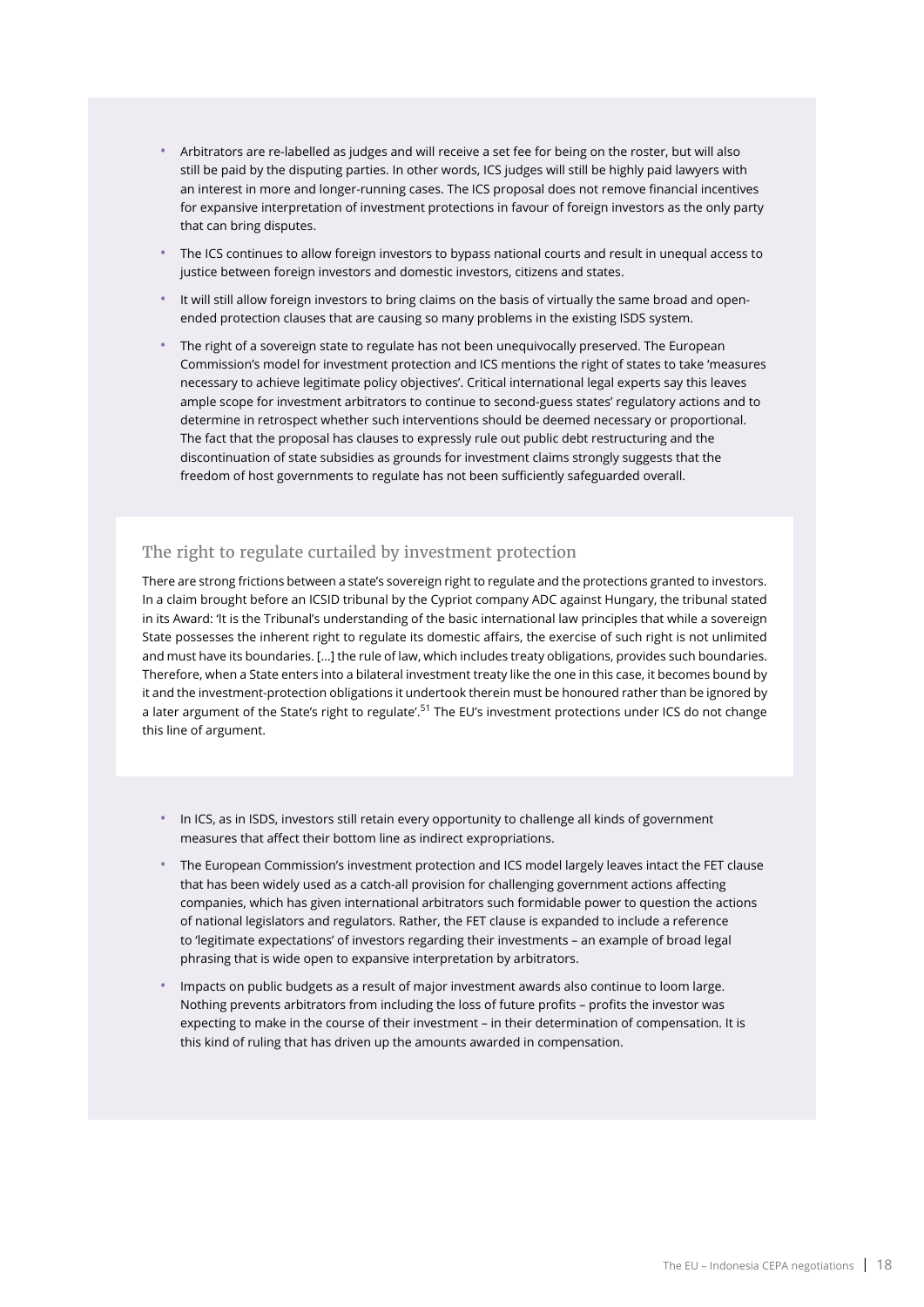- Arbitrators are re-labelled as judges and will receive a set fee for being on the roster, but will also still be paid by the disputing parties. In other words, ICS judges will still be highly paid lawyers with an interest in more and longer-running cases. The ICS proposal does not remove financial incentives for expansive interpretation of investment protections in favour of foreign investors as the only party that can bring disputes.
- The ICS continues to allow foreign investors to bypass national courts and result in unequal access to justice between foreign investors and domestic investors, citizens and states.
- It will still allow foreign investors to bring claims on the basis of virtually the same broad and openended protection clauses that are causing so many problems in the existing ISDS system.
- The right of a sovereign state to regulate has not been unequivocally preserved. The European Commission's model for investment protection and ICS mentions the right of states to take 'measures necessary to achieve legitimate policy objectives'. Critical international legal experts say this leaves ample scope for investment arbitrators to continue to second-guess states' regulatory actions and to determine in retrospect whether such interventions should be deemed necessary or proportional. The fact that the proposal has clauses to expressly rule out public debt restructuring and the discontinuation of state subsidies as grounds for investment claims strongly suggests that the freedom of host governments to regulate has not been sufficiently safeguarded overall.

#### The right to regulate curtailed by investment protection

There are strong frictions between a state's sovereign right to regulate and the protections granted to investors. In a claim brought before an ICSID tribunal by the Cypriot company ADC against Hungary, the tribunal stated in its Award: 'It is the Tribunal's understanding of the basic international law principles that while a sovereign State possesses the inherent right to regulate its domestic affairs, the exercise of such right is not unlimited and must have its boundaries. […] the rule of law, which includes treaty obligations, provides such boundaries. Therefore, when a State enters into a bilateral investment treaty like the one in this case, it becomes bound by it and the investment-protection obligations it undertook therein must be honoured rather than be ignored by a later argument of the State's right to regulate'.<sup>51</sup> The EU's investment protections under ICS do not change this line of argument.

- In ICS, as in ISDS, investors still retain every opportunity to challenge all kinds of government measures that affect their bottom line as indirect expropriations.
- The European Commission's investment protection and ICS model largely leaves intact the FET clause that has been widely used as a catch-all provision for challenging government actions affecting companies, which has given international arbitrators such formidable power to question the actions of national legislators and regulators. Rather, the FET clause is expanded to include a reference to 'legitimate expectations' of investors regarding their investments – an example of broad legal phrasing that is wide open to expansive interpretation by arbitrators.
- Impacts on public budgets as a result of major investment awards also continue to loom large. Nothing prevents arbitrators from including the loss of future profits – profits the investor was expecting to make in the course of their investment – in their determination of compensation. It is this kind of ruling that has driven up the amounts awarded in compensation.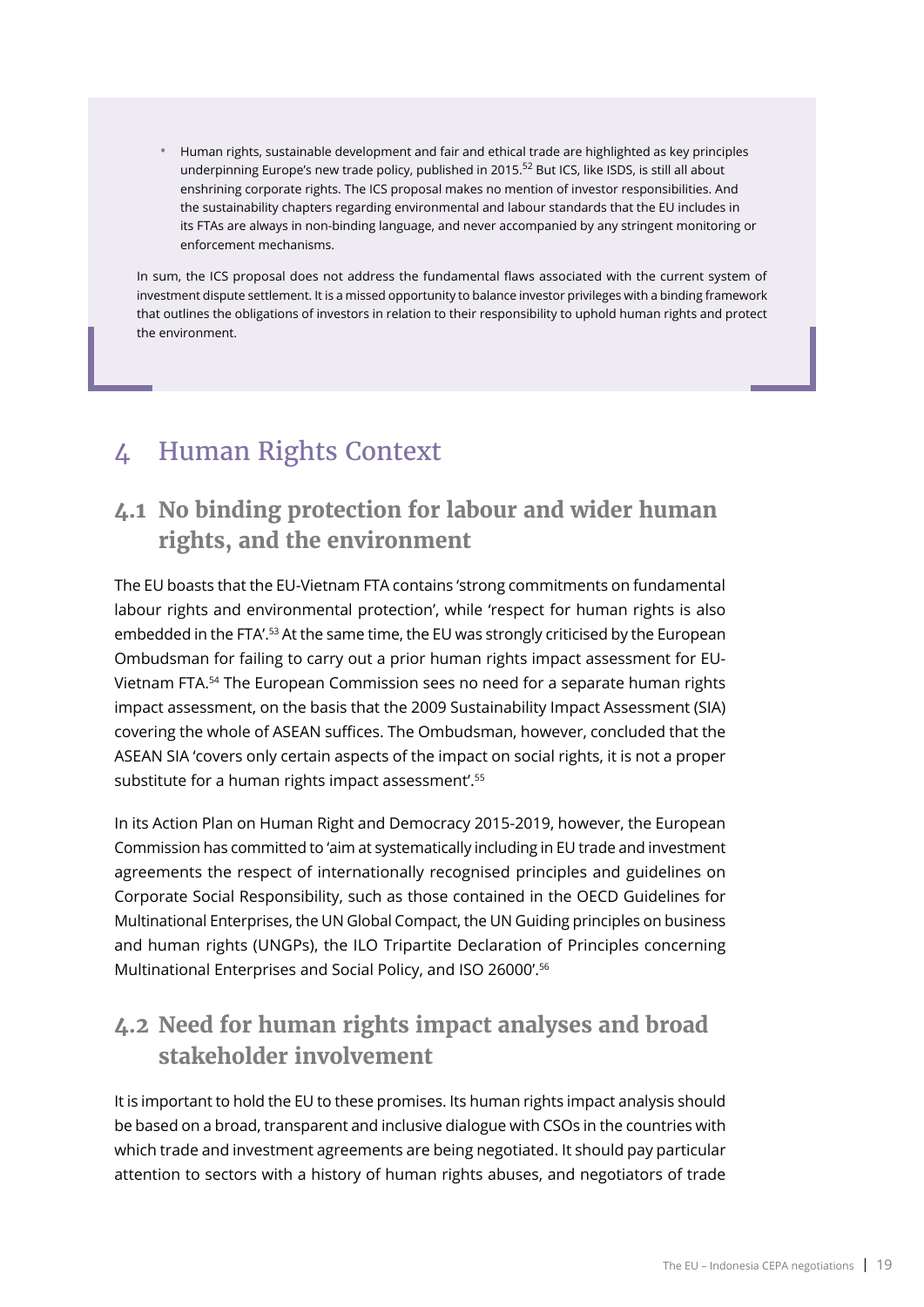<span id="page-18-0"></span>• Human rights, sustainable development and fair and ethical trade are highlighted as key principles underpinning Europe's new trade policy, published in 2015.<sup>52</sup> But ICS, like ISDS, is still all about enshrining corporate rights. The ICS proposal makes no mention of investor responsibilities. And the sustainability chapters regarding environmental and labour standards that the EU includes in its FTAs are always in non-binding language, and never accompanied by any stringent monitoring or enforcement mechanisms.

In sum, the ICS proposal does not address the fundamental flaws associated with the current system of investment dispute settlement. It is a missed opportunity to balance investor privileges with a binding framework that outlines the obligations of investors in relation to their responsibility to uphold human rights and protect the environment.

# 4 Human Rights Context

### **4.1 No binding protection for labour and wider human rights, and the environment**

The EU boasts that the EU-Vietnam FTA contains 'strong commitments on fundamental labour rights and environmental protection', while 'respect for human rights is also embedded in the FTA'.<sup>53</sup> At the same time, the EU was strongly criticised by the European Ombudsman for failing to carry out a prior human rights impact assessment for EU-Vietnam FTA.54 The European Commission sees no need for a separate human rights impact assessment, on the basis that the 2009 Sustainability Impact Assessment (SIA) covering the whole of ASEAN suffices. The Ombudsman, however, concluded that the ASEAN SIA 'covers only certain aspects of the impact on social rights, it is not a proper substitute for a human rights impact assessment'.<sup>55</sup>

In its Action Plan on Human Right and Democracy 2015-2019, however, the European Commission has committed to 'aim at systematically including in EU trade and investment agreements the respect of internationally recognised principles and guidelines on Corporate Social Responsibility, such as those contained in the OECD Guidelines for Multinational Enterprises, the UN Global Compact, the UN Guiding principles on business and human rights (UNGPs), the ILO Tripartite Declaration of Principles concerning Multinational Enterprises and Social Policy, and ISO 26000'.56

### **4.2 Need for human rights impact analyses and broad stakeholder involvement**

It is important to hold the EU to these promises. Its human rights impact analysis should be based on a broad, transparent and inclusive dialogue with CSOs in the countries with which trade and investment agreements are being negotiated. It should pay particular attention to sectors with a history of human rights abuses, and negotiators of trade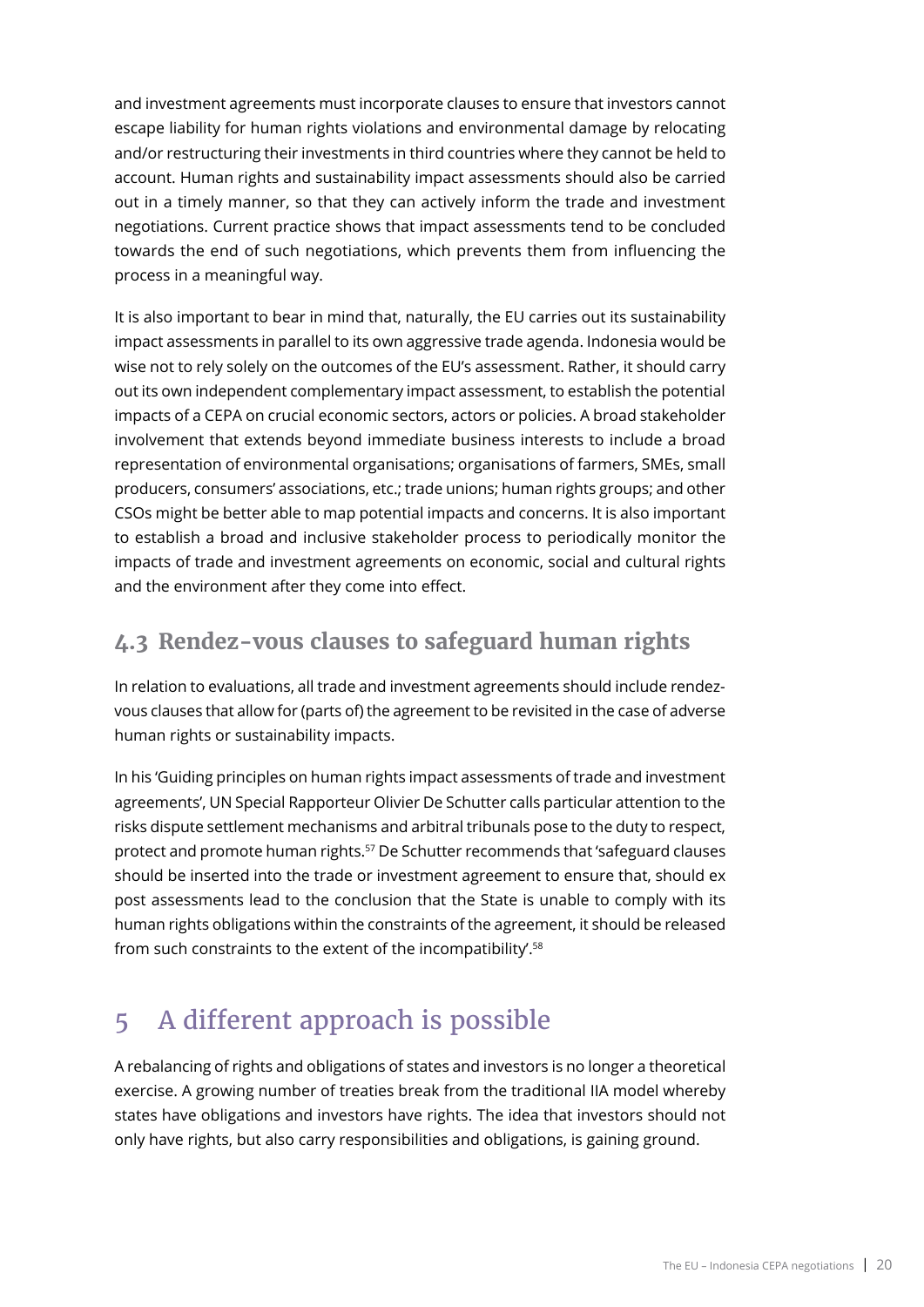<span id="page-19-0"></span>and investment agreements must incorporate clauses to ensure that investors cannot escape liability for human rights violations and environmental damage by relocating and/or restructuring their investments in third countries where they cannot be held to account. Human rights and sustainability impact assessments should also be carried out in a timely manner, so that they can actively inform the trade and investment negotiations. Current practice shows that impact assessments tend to be concluded towards the end of such negotiations, which prevents them from influencing the process in a meaningful way.

It is also important to bear in mind that, naturally, the EU carries out its sustainability impact assessments in parallel to its own aggressive trade agenda. Indonesia would be wise not to rely solely on the outcomes of the EU's assessment. Rather, it should carry out its own independent complementary impact assessment, to establish the potential impacts of a CEPA on crucial economic sectors, actors or policies. A broad stakeholder involvement that extends beyond immediate business interests to include a broad representation of environmental organisations; organisations of farmers, SMEs, small producers, consumers' associations, etc.; trade unions; human rights groups; and other CSOs might be better able to map potential impacts and concerns. It is also important to establish a broad and inclusive stakeholder process to periodically monitor the impacts of trade and investment agreements on economic, social and cultural rights and the environment after they come into effect.

### **4.3 Rendez-vous clauses to safeguard human rights**

In relation to evaluations, all trade and investment agreements should include rendezvous clauses that allow for (parts of) the agreement to be revisited in the case of adverse human rights or sustainability impacts.

In his 'Guiding principles on human rights impact assessments of trade and investment agreements', UN Special Rapporteur Olivier De Schutter calls particular attention to the risks dispute settlement mechanisms and arbitral tribunals pose to the duty to respect, protect and promote human rights.57 De Schutter recommends that 'safeguard clauses should be inserted into the trade or investment agreement to ensure that, should ex post assessments lead to the conclusion that the State is unable to comply with its human rights obligations within the constraints of the agreement, it should be released from such constraints to the extent of the incompatibility'.58

# 5 A different approach is possible

A rebalancing of rights and obligations of states and investors is no longer a theoretical exercise. A growing number of treaties break from the traditional IIA model whereby states have obligations and investors have rights. The idea that investors should not only have rights, but also carry responsibilities and obligations, is gaining ground.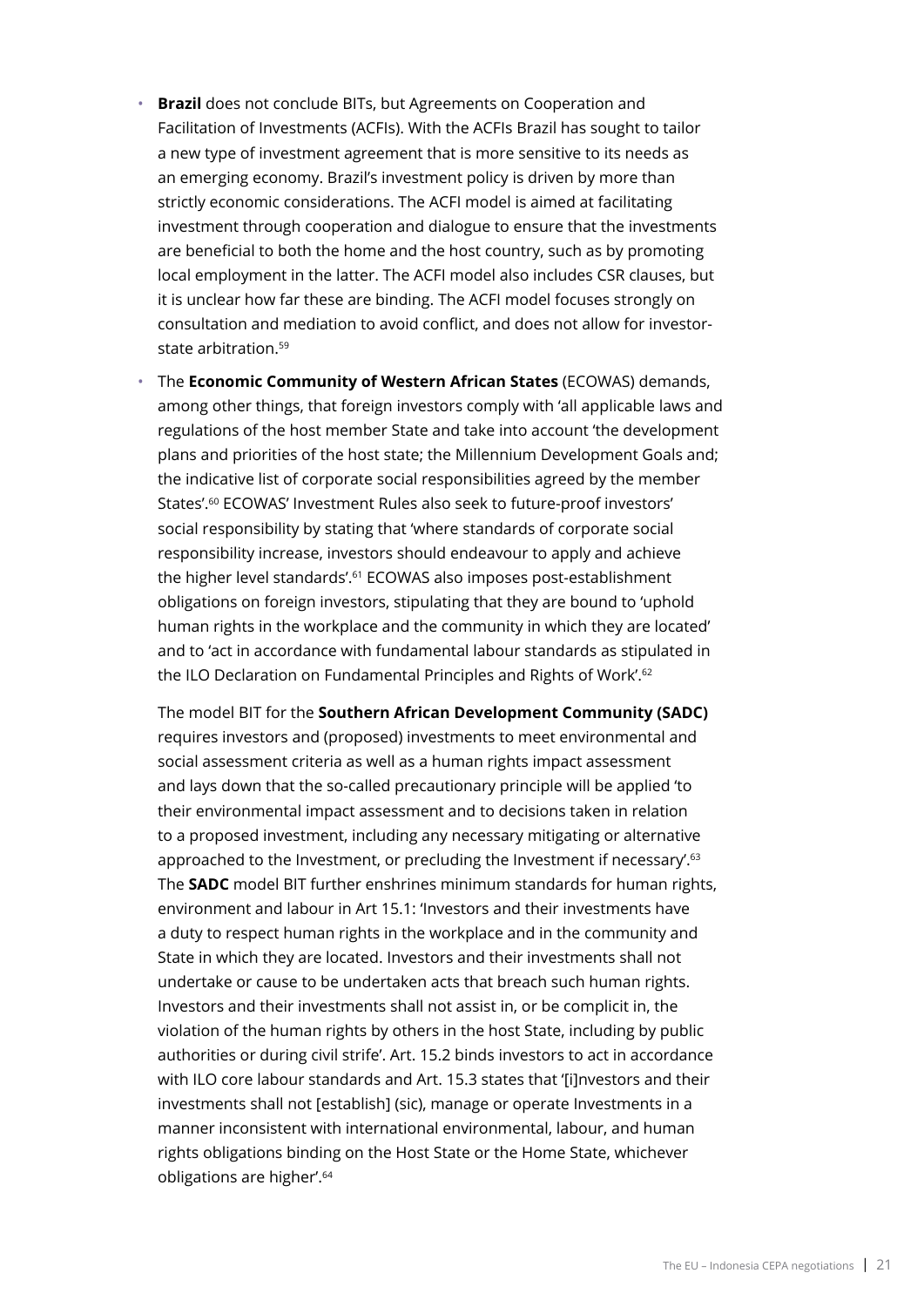- **Brazil** does not conclude BITs, but Agreements on Cooperation and Facilitation of Investments (ACFIs). With the ACFIs Brazil has sought to tailor a new type of investment agreement that is more sensitive to its needs as an emerging economy. Brazil's investment policy is driven by more than strictly economic considerations. The ACFI model is aimed at facilitating investment through cooperation and dialogue to ensure that the investments are beneficial to both the home and the host country, such as by promoting local employment in the latter. The ACFI model also includes CSR clauses, but it is unclear how far these are binding. The ACFI model focuses strongly on consultation and mediation to avoid conflict, and does not allow for investorstate arbitration.<sup>59</sup>
- The **Economic Community of Western African States** (ECOWAS) demands, among other things, that foreign investors comply with 'all applicable laws and regulations of the host member State and take into account 'the development plans and priorities of the host state; the Millennium Development Goals and; the indicative list of corporate social responsibilities agreed by the member States'.60 ECOWAS' Investment Rules also seek to future-proof investors' social responsibility by stating that 'where standards of corporate social responsibility increase, investors should endeavour to apply and achieve the higher level standards'.61 ECOWAS also imposes post-establishment obligations on foreign investors, stipulating that they are bound to 'uphold human rights in the workplace and the community in which they are located' and to 'act in accordance with fundamental labour standards as stipulated in the ILO Declaration on Fundamental Principles and Rights of Work'.62

The model BIT for the **Southern African Development Community (SADC)** requires investors and (proposed) investments to meet environmental and social assessment criteria as well as a human rights impact assessment and lays down that the so-called precautionary principle will be applied 'to their environmental impact assessment and to decisions taken in relation to a proposed investment, including any necessary mitigating or alternative approached to the Investment, or precluding the Investment if necessary'.<sup>63</sup> The **SADC** model BIT further enshrines minimum standards for human rights, environment and labour in Art 15.1: 'Investors and their investments have a duty to respect human rights in the workplace and in the community and State in which they are located. Investors and their investments shall not undertake or cause to be undertaken acts that breach such human rights. Investors and their investments shall not assist in, or be complicit in, the violation of the human rights by others in the host State, including by public authorities or during civil strife'. Art. 15.2 binds investors to act in accordance with ILO core labour standards and Art. 15.3 states that '[i]nvestors and their investments shall not [establish] (sic), manage or operate Investments in a manner inconsistent with international environmental, labour, and human rights obligations binding on the Host State or the Home State, whichever obligations are higher'.64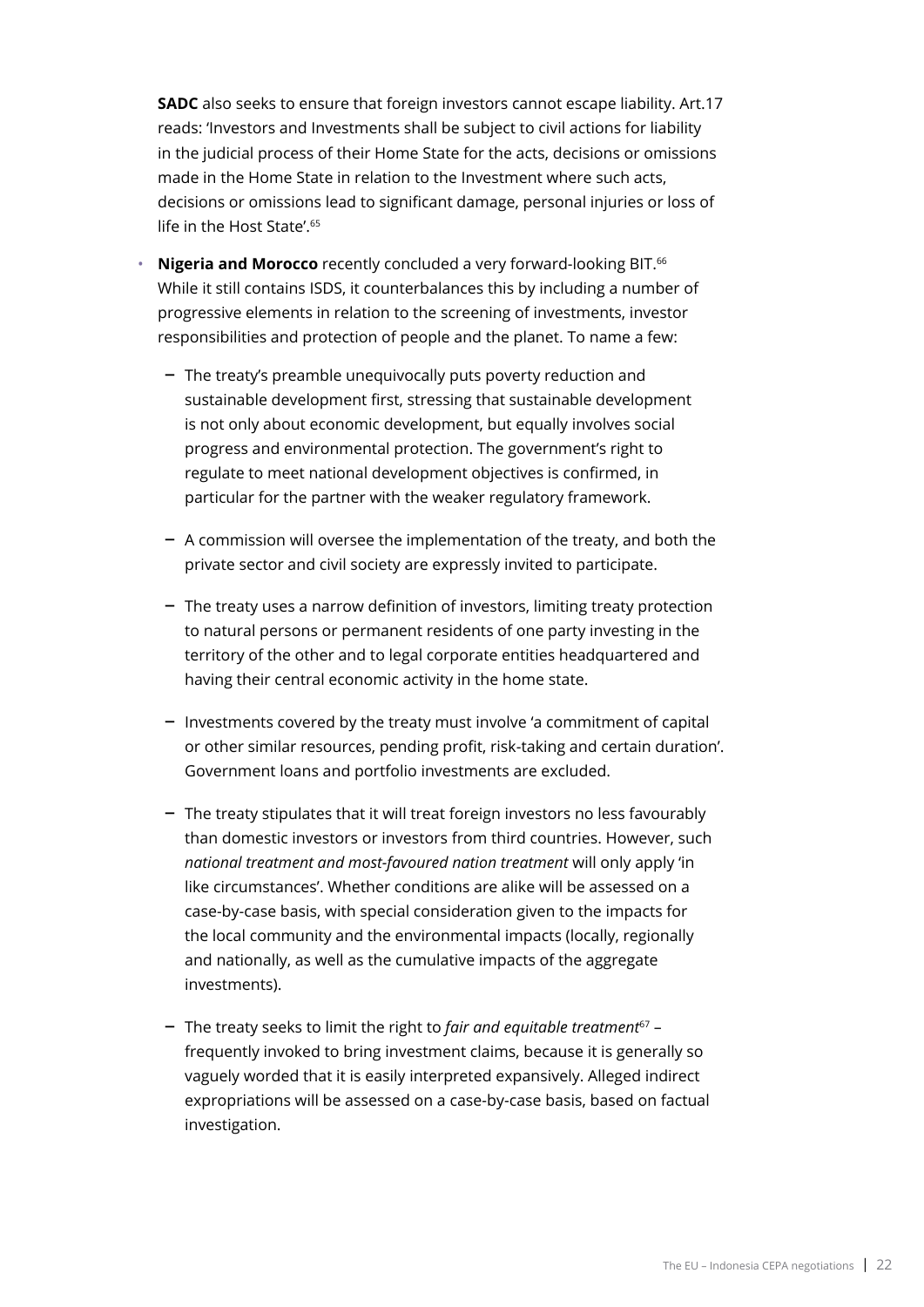**SADC** also seeks to ensure that foreign investors cannot escape liability. Art.17 reads: 'Investors and Investments shall be subject to civil actions for liability in the judicial process of their Home State for the acts, decisions or omissions made in the Home State in relation to the Investment where such acts, decisions or omissions lead to significant damage, personal injuries or loss of life in the Host State'.<sup>65</sup>

- **Nigeria and Morocco** recently concluded a very forward-looking BIT.<sup>66</sup> While it still contains ISDS, it counterbalances this by including a number of progressive elements in relation to the screening of investments, investor responsibilities and protection of people and the planet. To name a few:
	- The treaty's preamble unequivocally puts poverty reduction and sustainable development first, stressing that sustainable development is not only about economic development, but equally involves social progress and environmental protection. The government's right to regulate to meet national development objectives is confirmed, in particular for the partner with the weaker regulatory framework.
	- A commission will oversee the implementation of the treaty, and both the private sector and civil society are expressly invited to participate.
	- The treaty uses a narrow definition of investors, limiting treaty protection to natural persons or permanent residents of one party investing in the territory of the other and to legal corporate entities headquartered and having their central economic activity in the home state.
	- Investments covered by the treaty must involve 'a commitment of capital or other similar resources, pending profit, risk-taking and certain duration'. Government loans and portfolio investments are excluded.
	- The treaty stipulates that it will treat foreign investors no less favourably than domestic investors or investors from third countries. However, such *national treatment and most-favoured nation treatment* will only apply 'in like circumstances'. Whether conditions are alike will be assessed on a case-by-case basis, with special consideration given to the impacts for the local community and the environmental impacts (locally, regionally and nationally, as well as the cumulative impacts of the aggregate investments).
	- The treaty seeks to limit the right to *fair and equitable treatment*67 frequently invoked to bring investment claims, because it is generally so vaguely worded that it is easily interpreted expansively. Alleged indirect expropriations will be assessed on a case-by-case basis, based on factual investigation.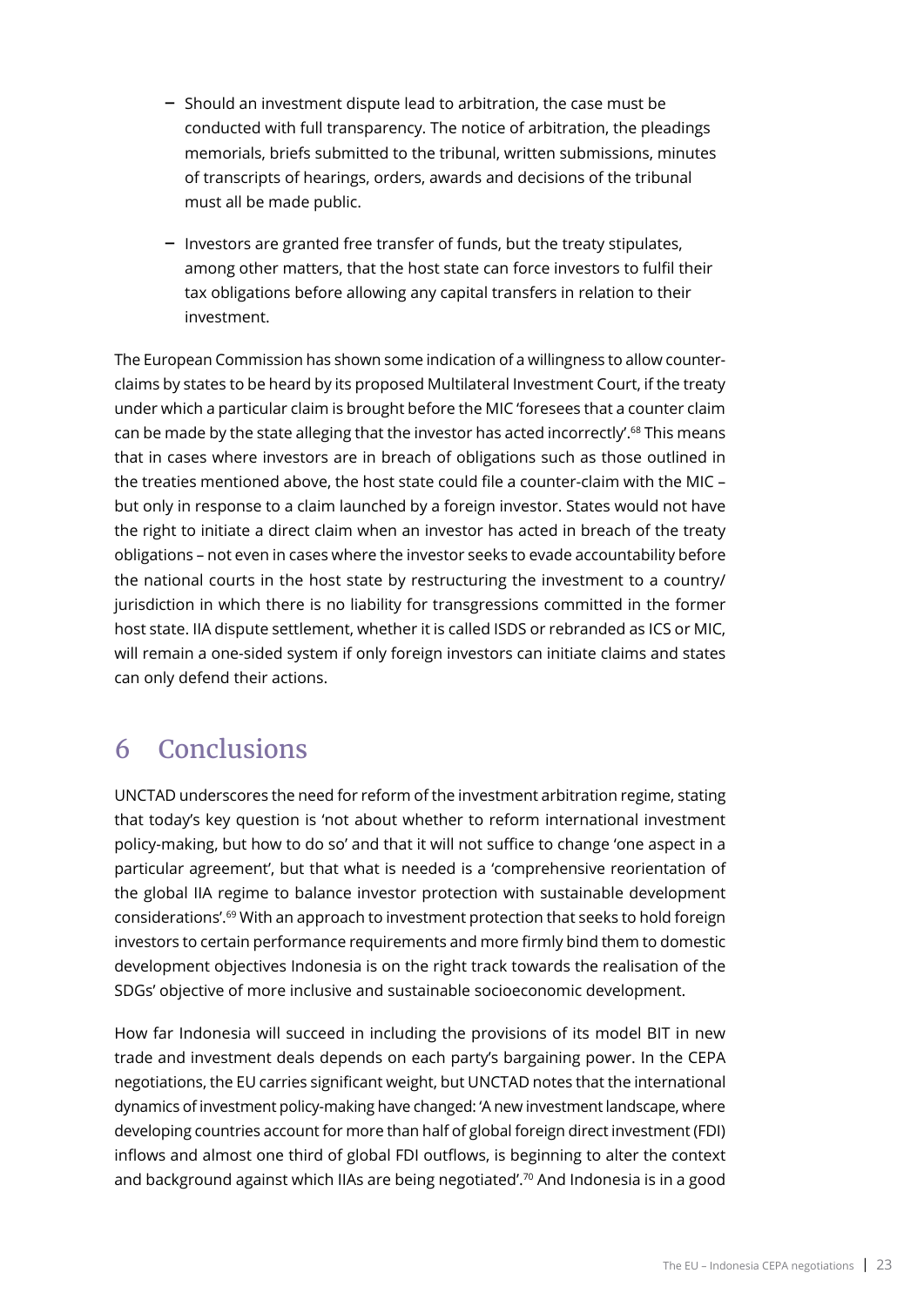- <span id="page-22-0"></span>– Should an investment dispute lead to arbitration, the case must be conducted with full transparency. The notice of arbitration, the pleadings memorials, briefs submitted to the tribunal, written submissions, minutes of transcripts of hearings, orders, awards and decisions of the tribunal must all be made public.
- Investors are granted free transfer of funds, but the treaty stipulates, among other matters, that the host state can force investors to fulfil their tax obligations before allowing any capital transfers in relation to their investment.

The European Commission has shown some indication of a willingness to allow counterclaims by states to be heard by its proposed Multilateral Investment Court, if the treaty under which a particular claim is brought before the MIC 'foresees that a counter claim can be made by the state alleging that the investor has acted incorrectly'.<sup>68</sup> This means that in cases where investors are in breach of obligations such as those outlined in the treaties mentioned above, the host state could file a counter-claim with the MIC – but only in response to a claim launched by a foreign investor. States would not have the right to initiate a direct claim when an investor has acted in breach of the treaty obligations – not even in cases where the investor seeks to evade accountability before the national courts in the host state by restructuring the investment to a country/ jurisdiction in which there is no liability for transgressions committed in the former host state. IIA dispute settlement, whether it is called ISDS or rebranded as ICS or MIC, will remain a one-sided system if only foreign investors can initiate claims and states can only defend their actions.

# 6 Conclusions

UNCTAD underscores the need for reform of the investment arbitration regime, stating that today's key question is 'not about whether to reform international investment policy-making, but how to do so' and that it will not suffice to change 'one aspect in a particular agreement', but that what is needed is a 'comprehensive reorientation of the global IIA regime to balance investor protection with sustainable development considerations'.69 With an approach to investment protection that seeks to hold foreign investors to certain performance requirements and more firmly bind them to domestic development objectives Indonesia is on the right track towards the realisation of the SDGs' objective of more inclusive and sustainable socioeconomic development.

How far Indonesia will succeed in including the provisions of its model BIT in new trade and investment deals depends on each party's bargaining power. In the CEPA negotiations, the EU carries significant weight, but UNCTAD notes that the international dynamics of investment policy-making have changed: 'A new investment landscape, where developing countries account for more than half of global foreign direct investment (FDI) inflows and almost one third of global FDI outflows, is beginning to alter the context and background against which IIAs are being negotiated'.70 And Indonesia is in a good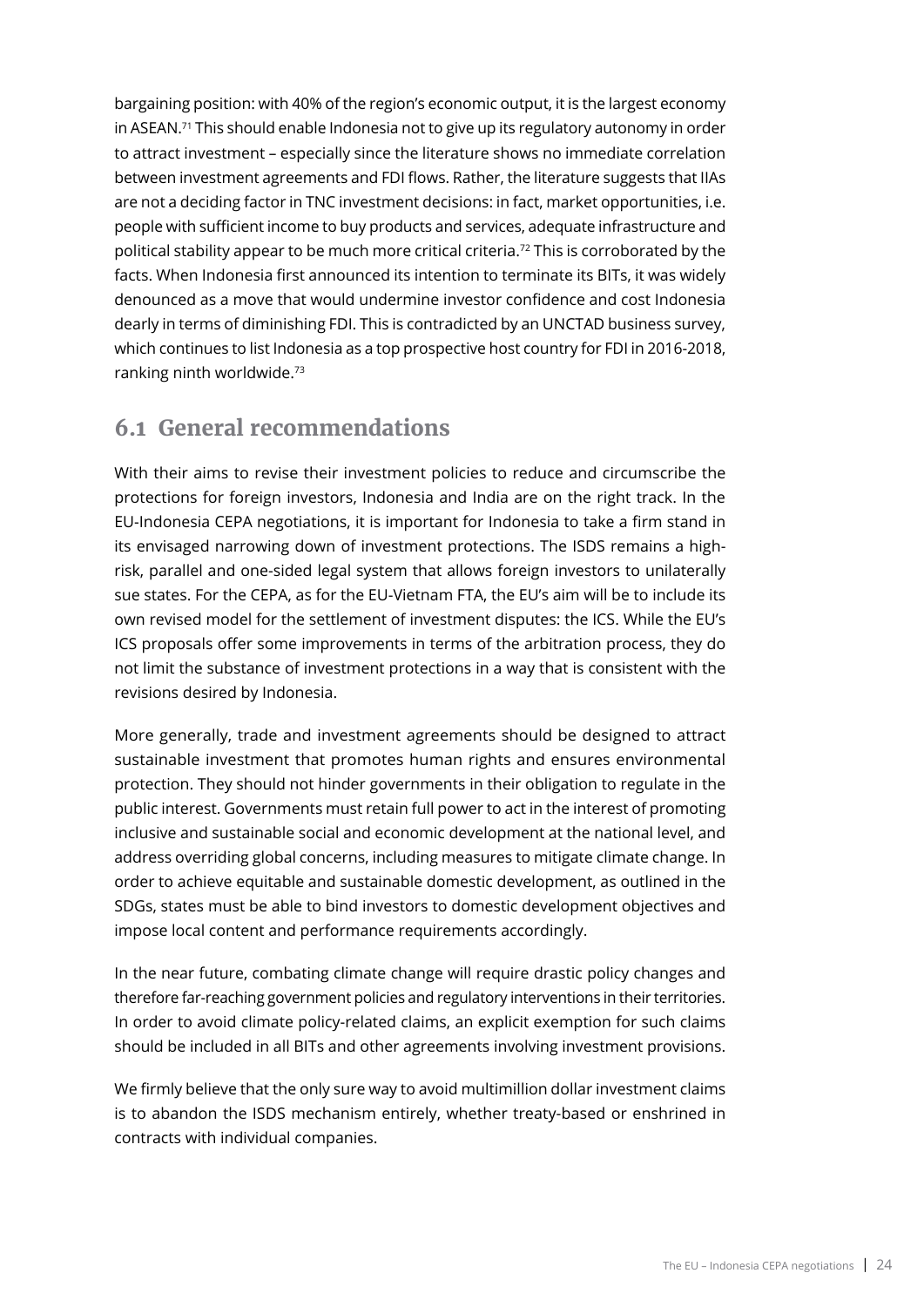<span id="page-23-0"></span>bargaining position: with 40% of the region's economic output, it is the largest economy in ASEAN.71 This should enable Indonesia not to give up its regulatory autonomy in order to attract investment – especially since the literature shows no immediate correlation between investment agreements and FDI flows. Rather, the literature suggests that IIAs are not a deciding factor in TNC investment decisions: in fact, market opportunities, i.e. people with sufficient income to buy products and services, adequate infrastructure and political stability appear to be much more critical criteria.<sup>72</sup> This is corroborated by the facts. When Indonesia first announced its intention to terminate its BITs, it was widely denounced as a move that would undermine investor confidence and cost Indonesia dearly in terms of diminishing FDI. This is contradicted by an UNCTAD business survey, which continues to list Indonesia as a top prospective host country for FDI in 2016-2018, ranking ninth worldwide.73

#### **6.1 General recommendations**

With their aims to revise their investment policies to reduce and circumscribe the protections for foreign investors, Indonesia and India are on the right track. In the EU-Indonesia CEPA negotiations, it is important for Indonesia to take a firm stand in its envisaged narrowing down of investment protections. The ISDS remains a highrisk, parallel and one-sided legal system that allows foreign investors to unilaterally sue states. For the CEPA, as for the EU-Vietnam FTA, the EU's aim will be to include its own revised model for the settlement of investment disputes: the ICS. While the EU's ICS proposals offer some improvements in terms of the arbitration process, they do not limit the substance of investment protections in a way that is consistent with the revisions desired by Indonesia.

More generally, trade and investment agreements should be designed to attract sustainable investment that promotes human rights and ensures environmental protection. They should not hinder governments in their obligation to regulate in the public interest. Governments must retain full power to act in the interest of promoting inclusive and sustainable social and economic development at the national level, and address overriding global concerns, including measures to mitigate climate change. In order to achieve equitable and sustainable domestic development, as outlined in the SDGs, states must be able to bind investors to domestic development objectives and impose local content and performance requirements accordingly.

In the near future, combating climate change will require drastic policy changes and therefore far-reaching government policies and regulatory interventions in their territories. In order to avoid climate policy-related claims, an explicit exemption for such claims should be included in all BITs and other agreements involving investment provisions.

We firmly believe that the only sure way to avoid multimillion dollar investment claims is to abandon the ISDS mechanism entirely, whether treaty-based or enshrined in contracts with individual companies.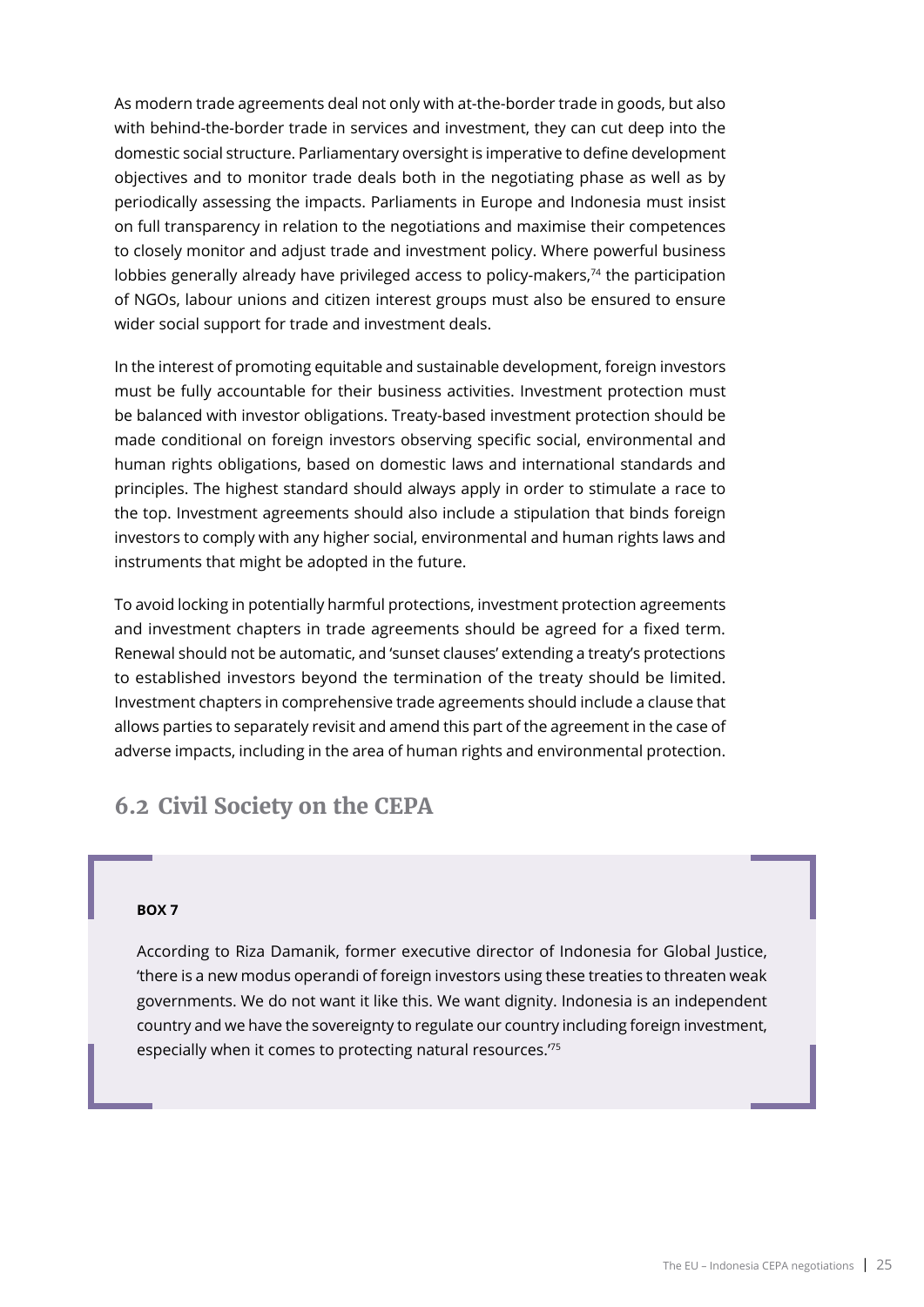<span id="page-24-0"></span>As modern trade agreements deal not only with at-the-border trade in goods, but also with behind-the-border trade in services and investment, they can cut deep into the domestic social structure. Parliamentary oversight is imperative to define development objectives and to monitor trade deals both in the negotiating phase as well as by periodically assessing the impacts. Parliaments in Europe and Indonesia must insist on full transparency in relation to the negotiations and maximise their competences to closely monitor and adjust trade and investment policy. Where powerful business lobbies generally already have privileged access to policy-makers,<sup>74</sup> the participation of NGOs, labour unions and citizen interest groups must also be ensured to ensure wider social support for trade and investment deals.

In the interest of promoting equitable and sustainable development, foreign investors must be fully accountable for their business activities. Investment protection must be balanced with investor obligations. Treaty-based investment protection should be made conditional on foreign investors observing specific social, environmental and human rights obligations, based on domestic laws and international standards and principles. The highest standard should always apply in order to stimulate a race to the top. Investment agreements should also include a stipulation that binds foreign investors to comply with any higher social, environmental and human rights laws and instruments that might be adopted in the future.

To avoid locking in potentially harmful protections, investment protection agreements and investment chapters in trade agreements should be agreed for a fixed term. Renewal should not be automatic, and 'sunset clauses' extending a treaty's protections to established investors beyond the termination of the treaty should be limited. Investment chapters in comprehensive trade agreements should include a clause that allows parties to separately revisit and amend this part of the agreement in the case of adverse impacts, including in the area of human rights and environmental protection.

### **6.2 Civil Society on the CEPA**

#### **BOX 7**

According to Riza Damanik, former executive director of Indonesia for Global Justice, 'there is a new modus operandi of foreign investors using these treaties to threaten weak governments. We do not want it like this. We want dignity. Indonesia is an independent country and we have the sovereignty to regulate our country including foreign investment, especially when it comes to protecting natural resources.'75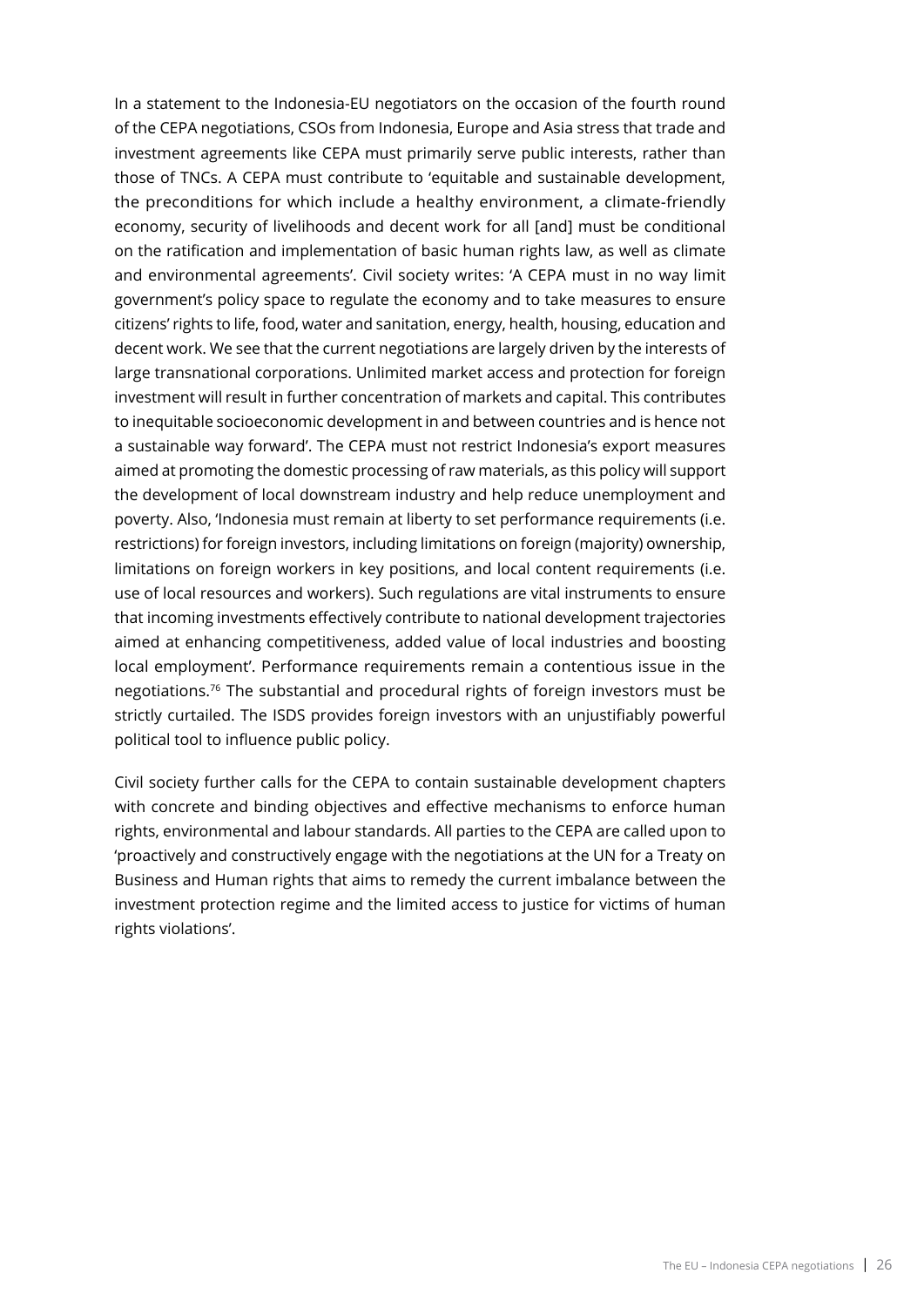In a statement to the Indonesia-EU negotiators on the occasion of the fourth round of the CEPA negotiations, CSOs from Indonesia, Europe and Asia stress that trade and investment agreements like CEPA must primarily serve public interests, rather than those of TNCs. A CEPA must contribute to 'equitable and sustainable development, the preconditions for which include a healthy environment, a climate-friendly economy, security of livelihoods and decent work for all [and] must be conditional on the ratification and implementation of basic human rights law, as well as climate and environmental agreements'. Civil society writes: 'A CEPA must in no way limit government's policy space to regulate the economy and to take measures to ensure citizens' rights to life, food, water and sanitation, energy, health, housing, education and decent work. We see that the current negotiations are largely driven by the interests of large transnational corporations. Unlimited market access and protection for foreign investment will result in further concentration of markets and capital. This contributes to inequitable socioeconomic development in and between countries and is hence not a sustainable way forward'. The CEPA must not restrict Indonesia's export measures aimed at promoting the domestic processing of raw materials, as this policy will support the development of local downstream industry and help reduce unemployment and poverty. Also, 'Indonesia must remain at liberty to set performance requirements (i.e. restrictions) for foreign investors, including limitations on foreign (majority) ownership, limitations on foreign workers in key positions, and local content requirements (i.e. use of local resources and workers). Such regulations are vital instruments to ensure that incoming investments effectively contribute to national development trajectories aimed at enhancing competitiveness, added value of local industries and boosting local employment'. Performance requirements remain a contentious issue in the negotiations.76 The substantial and procedural rights of foreign investors must be strictly curtailed. The ISDS provides foreign investors with an unjustifiably powerful political tool to influence public policy.

Civil society further calls for the CEPA to contain sustainable development chapters with concrete and binding objectives and effective mechanisms to enforce human rights, environmental and labour standards. All parties to the CEPA are called upon to 'proactively and constructively engage with the negotiations at the UN for a Treaty on Business and Human rights that aims to remedy the current imbalance between the investment protection regime and the limited access to justice for victims of human rights violations'.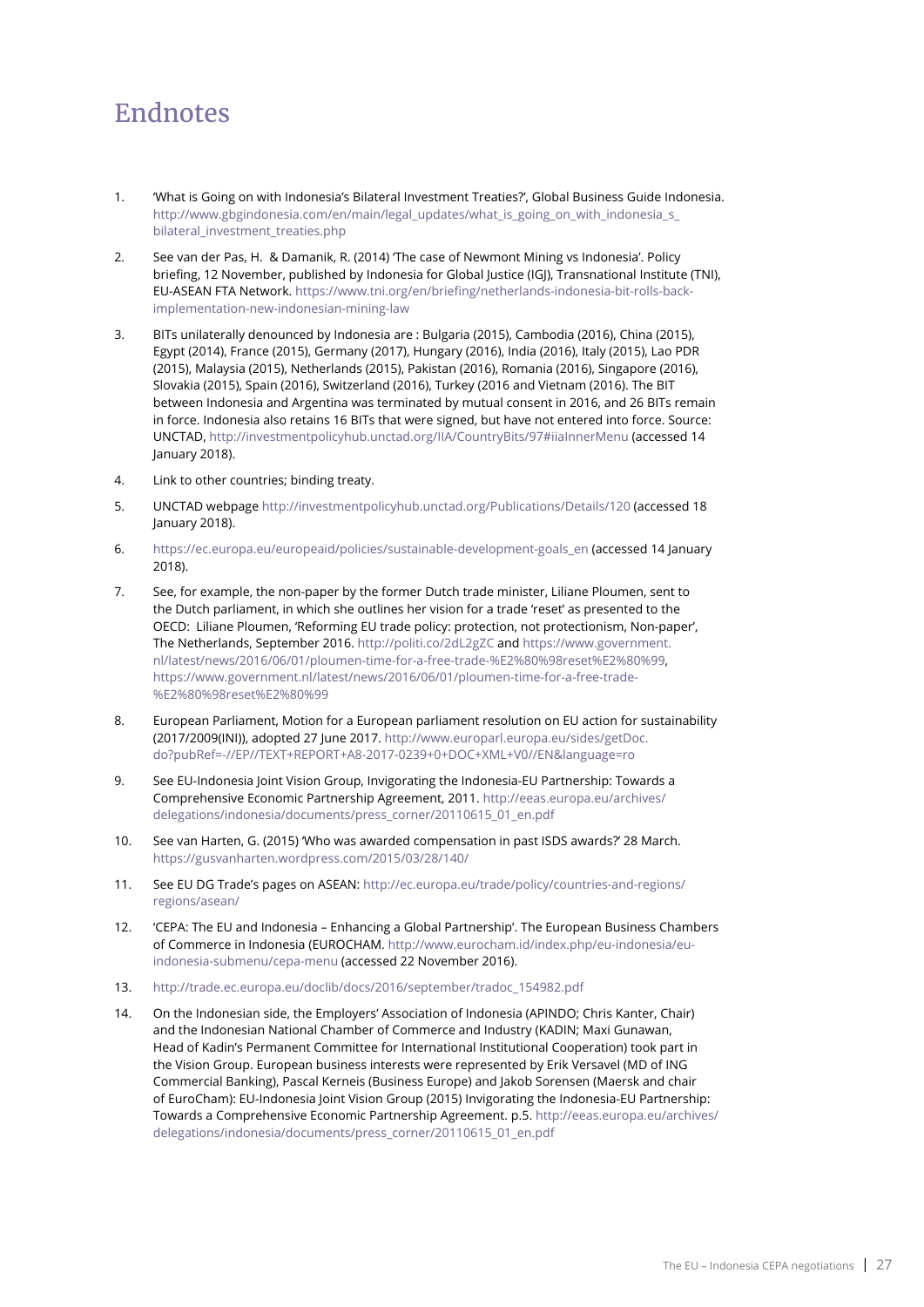# Endnotes

- 1. 'What is Going on with Indonesia's Bilateral Investment Treaties?', Global Business Guide Indonesia. http://www.gbgindonesia.com/en/main/legal\_updates/what\_is\_going\_on\_with\_indonesia\_s [bilateral\\_investment\\_treaties.php](http://www.gbgindonesia.com/en/main/legal_updates/what_is_going_on_with_indonesia_s_bilateral_investment_treaties.php)
- 2. See van der Pas, H. & Damanik, R. (2014) 'The case of Newmont Mining vs Indonesia'. Policy briefing, 12 November, published by Indonesia for Global Justice (IGJ), Transnational Institute (TNI), EU-ASEAN FTA Network. [https://www.tni.org/en/briefing/netherlands-indonesia-bit-rolls-back](https://www.tni.org/en/briefing/netherlands-indonesia-bit-rolls-back-implementation-new-indonesian-mining-law)[implementation-new-indonesian-mining-law](https://www.tni.org/en/briefing/netherlands-indonesia-bit-rolls-back-implementation-new-indonesian-mining-law)
- 3. BITs unilaterally denounced by Indonesia are : Bulgaria (2015), Cambodia (2016), China (2015), Egypt (2014), France (2015), Germany (2017), Hungary (2016), India (2016), Italy (2015), Lao PDR (2015), Malaysia (2015), Netherlands (2015), Pakistan (2016), Romania (2016), Singapore (2016), Slovakia (2015), Spain (2016), Switzerland (2016), Turkey (2016 and Vietnam (2016). The BIT between Indonesia and Argentina was terminated by mutual consent in 2016, and 26 BITs remain in force. Indonesia also retains 16 BITs that were signed, but have not entered into force. Source: UNCTAD, <http://investmentpolicyhub.unctad.org/IIA/CountryBits/97#iiaInnerMenu> (accessed 14 January 2018).
- 4. Link to other countries; binding treaty.
- 5. UNCTAD webpage <http://investmentpolicyhub.unctad.org/Publications/Details/120> (accessed 18 January 2018).
- 6. [https://ec.europa.eu/europeaid/policies/sustainable-development-goals\\_en](https://ec.europa.eu/europeaid/policies/sustainable-development-goals_en) (accessed 14 January 2018).
- 7. See, for example, the non-paper by the former Dutch trade minister, Liliane Ploumen, sent to the Dutch parliament, in which she outlines her vision for a trade 'reset' as presented to the OECD: Liliane Ploumen, 'Reforming EU trade policy: protection, not protectionism, Non-paper', The Netherlands, September 2016. <http://politi.co/2dL2gZC>and [https://www.government.](https://www.government.nl/latest/news/2016/06/01/ploumen-time-for-a-free-trade-%E2%80%98reset%E2%80%99) [nl/latest/news/2016/06/01/ploumen-time-for-a-free-trade-%E2%80%98reset%E2%80%99,](https://www.government.nl/latest/news/2016/06/01/ploumen-time-for-a-free-trade-%E2%80%98reset%E2%80%99) [https://www.government.nl/latest/news/2016/06/01/ploumen-time-for-a-free-trade-](https://www.government.nl/latest/news/2016/06/01/ploumen-time-for-a-free-trade-%E2%80%98reset%E2%80%99) [%E2%80%98reset%E2%80%99](https://www.government.nl/latest/news/2016/06/01/ploumen-time-for-a-free-trade-%E2%80%98reset%E2%80%99)
- 8. European Parliament, Motion for a European parliament resolution on EU action for sustainability (2017/2009(INI)), adopted 27 June 2017. [http://www.europarl.europa.eu/sides/getDoc.](http://www.europarl.europa.eu/sides/getDoc.do?pubRef=-//EP//TEXT+REPORT+A8-2017-0239+0+DOC+XML+V0//EN&language=ro) [do?pubRef=-//EP//TEXT+REPORT+A8-2017-0239+0+DOC+XML+V0//EN&language=ro](http://www.europarl.europa.eu/sides/getDoc.do?pubRef=-//EP//TEXT+REPORT+A8-2017-0239+0+DOC+XML+V0//EN&language=ro)
- 9. See EU-Indonesia Joint Vision Group, Invigorating the Indonesia-EU Partnership: Towards a Comprehensive Economic Partnership Agreement, 2011. [http://eeas.europa.eu/archives/](http://eeas.europa.eu/archives/delegations/indonesia/documents/press_corner/20110615_01_en.pdf) [delegations/indonesia/documents/press\\_corner/20110615\\_01\\_en.pdf](http://eeas.europa.eu/archives/delegations/indonesia/documents/press_corner/20110615_01_en.pdf)
- 10. See van Harten, G. (2015) 'Who was awarded compensation in past ISDS awards?' 28 March. <https://gusvanharten.wordpress.com/2015/03/28/140/>
- 11. See EU DG Trade's pages on ASEAN: [http://ec.europa.eu/trade/policy/countries-and-regions/](http://ec.europa.eu/trade/policy/countries-and-regions/regions/asean/) [regions/asean/](http://ec.europa.eu/trade/policy/countries-and-regions/regions/asean/)
- 12. 'CEPA: The EU and Indonesia Enhancing a Global Partnership'. The European Business Chambers of Commerce in Indonesia (EUROCHAM. [http://www.eurocham.id/index.php/eu-indonesia/eu](http://www.eurocham.id/index.php/eu-indonesia/eu-indonesia-submenu/cepa-menu)[indonesia-submenu/cepa-menu](http://www.eurocham.id/index.php/eu-indonesia/eu-indonesia-submenu/cepa-menu) (accessed 22 November 2016).
- 13. [http://trade.ec.europa.eu/doclib/docs/2016/september/tradoc\\_154982.pdf](http://trade.ec.europa.eu/doclib/docs/2016/september/tradoc_154982.pdf)
- 14. On the Indonesian side, the Employers' Association of Indonesia (APINDO; Chris Kanter, Chair) and the Indonesian National Chamber of Commerce and Industry (KADIN; Maxi Gunawan, Head of Kadin's Permanent Committee for International Institutional Cooperation) took part in the Vision Group. European business interests were represented by Erik Versavel (MD of ING Commercial Banking), Pascal Kerneis (Business Europe) and Jakob Sorensen (Maersk and chair of EuroCham): EU-Indonesia Joint Vision Group (2015) Invigorating the Indonesia-EU Partnership: Towards a Comprehensive Economic Partnership Agreement. p.5. [http://eeas.europa.eu/archives/](http://eeas.europa.eu/archives/delegations/indonesia/documents/press_corner/20110615_01_en.pdf) [delegations/indonesia/documents/press\\_corner/20110615\\_01\\_en.pdf](http://eeas.europa.eu/archives/delegations/indonesia/documents/press_corner/20110615_01_en.pdf)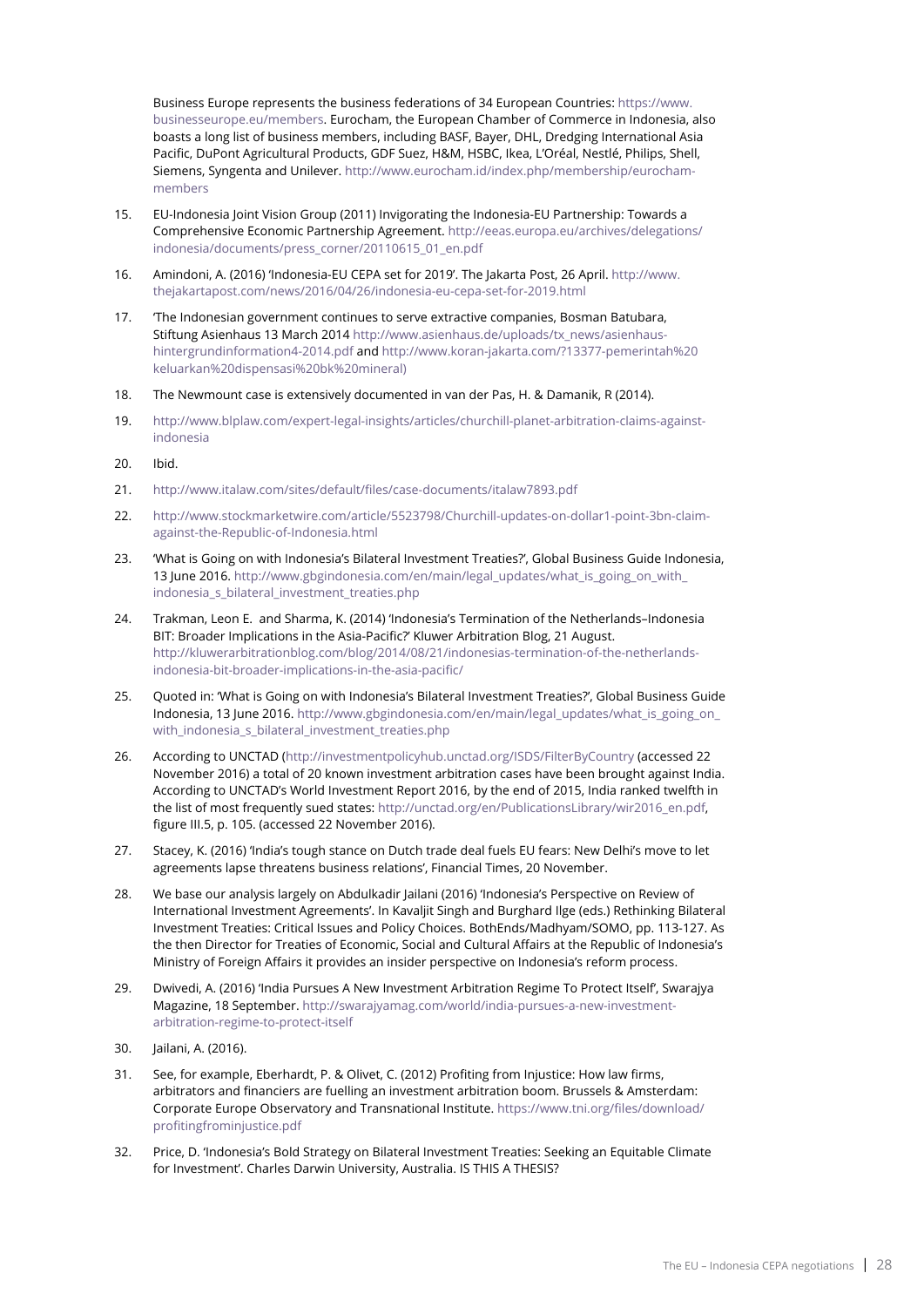Business Europe represents the business federations of 34 European Countries: [https://www.](https://www.businesseurope.eu/members) [businesseurope.eu/members.](https://www.businesseurope.eu/members) Eurocham, the European Chamber of Commerce in Indonesia, also boasts a long list of business members, including BASF, Bayer, DHL, Dredging International Asia Pacific, DuPont Agricultural Products, GDF Suez, H&M, HSBC, Ikea, L'Oréal, Nestlé, Philips, Shell, Siemens, Syngenta and Unilever. [http://www.eurocham.id/index.php/membership/eurocham](http://www.eurocham.id/index.php/membership/eurocham-members)[members](http://www.eurocham.id/index.php/membership/eurocham-members)

- 15. EU-Indonesia Joint Vision Group (2011) Invigorating the Indonesia-EU Partnership: Towards a Comprehensive Economic Partnership Agreement. [http://eeas.europa.eu/archives/delegations/](http://eeas.europa.eu/archives/delegations/indonesia/documents/press_corner/20110615_01_en.pdf) [indonesia/documents/press\\_corner/20110615\\_01\\_en.pdf](http://eeas.europa.eu/archives/delegations/indonesia/documents/press_corner/20110615_01_en.pdf)
- 16. Amindoni, A. (2016) 'Indonesia-EU CEPA set for 2019'. The Jakarta Post, 26 April. [http://www.](http://www.thejakartapost.com/news/2016/04/26/indonesia-eu-cepa-set-for-2019.html) [thejakartapost.com/news/2016/04/26/indonesia-eu-cepa-set-for-2019.html](http://www.thejakartapost.com/news/2016/04/26/indonesia-eu-cepa-set-for-2019.html)
- 17. 'The Indonesian government continues to serve extractive companies, Bosman Batubara, Stiftung Asienhaus 13 March 2014 [http://www.asienhaus.de/uploads/tx\\_news/asienhaus](http://www.asienhaus.de/uploads/tx_news/asienhaus-hintergrundinformation4-2014.pdf)[hintergrundinformation4-2014.pdf](http://www.asienhaus.de/uploads/tx_news/asienhaus-hintergrundinformation4-2014.pdf) and [http://www.koran-jakarta.com/?13377-pemerintah%20](http://www.koran-jakarta.com/?13377-pemerintah%20keluarkan%20dispensasi%20bk%20mineral)) [keluarkan%20dispensasi%20bk%20mineral\)](http://www.koran-jakarta.com/?13377-pemerintah%20keluarkan%20dispensasi%20bk%20mineral))
- 18. The Newmount case is extensively documented in van der Pas, H. & Damanik, R (2014).
- 19. [http://www.blplaw.com/expert-legal-insights/articles/churchill-planet-arbitration-claims-against](http://www.blplaw.com/expert-legal-insights/articles/churchill-planet-arbitration-claims-against-indonesia)[indonesia](http://www.blplaw.com/expert-legal-insights/articles/churchill-planet-arbitration-claims-against-indonesia)
- 20. Ibid.
- 21. <http://www.italaw.com/sites/default/files/case-documents/italaw7893.pdf>
- 22. [http://www.stockmarketwire.com/article/5523798/Churchill-updates-on-dollar1-point-3bn-claim](http://www.stockmarketwire.com/article/5523798/Churchill-updates-on-dollar1-point-3bn-claim-against-the-Republic-of-Indonesia.html)[against-the-Republic-of-Indonesia.html](http://www.stockmarketwire.com/article/5523798/Churchill-updates-on-dollar1-point-3bn-claim-against-the-Republic-of-Indonesia.html)
- 23. 'What is Going on with Indonesia's Bilateral Investment Treaties?', Global Business Guide Indonesia, 13 June 2016. http://www.gbgindonesia.com/en/main/legal\_updates/what\_is\_going\_on\_with indonesia s bilateral investment treaties.php
- 24. Trakman, Leon E. and Sharma, K. (2014) 'Indonesia's Termination of the Netherlands–Indonesia BIT: Broader Implications in the Asia-Pacific?' Kluwer Arbitration Blog, 21 August. [http://kluwerarbitrationblog.com/blog/2014/08/21/indonesias-termination-of-the-netherlands](http://kluwerarbitrationblog.com/blog/2014/08/21/indonesias-termination-of-the-netherlands-indonesia-bit-broader-implications-in-the-asia-pacific/)[indonesia-bit-broader-implications-in-the-asia-pacific/](http://kluwerarbitrationblog.com/blog/2014/08/21/indonesias-termination-of-the-netherlands-indonesia-bit-broader-implications-in-the-asia-pacific/)
- 25. Quoted in: 'What is Going on with Indonesia's Bilateral Investment Treaties?', Global Business Guide Indonesia, 13 June 2016. [http://www.gbgindonesia.com/en/main/legal\\_updates/what\\_is\\_going\\_on\\_](http://www.gbgindonesia.com/en/main/legal_updates/what_is_going_on_with_indonesia_s_bilateral_investment_treaties.php) with indonesia s bilateral investment treaties.php
- 26. According to UNCTAD [\(http://investmentpolicyhub.unctad.org/ISDS/FilterByCountry](http://investmentpolicyhub.unctad.org/ISDS/FilterByCountry) (accessed 22 November 2016) a total of 20 known investment arbitration cases have been brought against India. According to UNCTAD's World Investment Report 2016, by the end of 2015, India ranked twelfth in the list of most frequently sued states: [http://unctad.org/en/PublicationsLibrary/wir2016\\_en.pdf,](http://unctad.org/en/PublicationsLibrary/wir2016_en.pdf) figure III.5, p. 105. (accessed 22 November 2016).
- 27. Stacey, K. (2016) 'India's tough stance on Dutch trade deal fuels EU fears: New Delhi's move to let agreements lapse threatens business relations', Financial Times, 20 November.
- 28. We base our analysis largely on Abdulkadir Jailani (2016) 'Indonesia's Perspective on Review of International Investment Agreements'. In Kavaljit Singh and Burghard Ilge (eds.) Rethinking Bilateral Investment Treaties: Critical Issues and Policy Choices. BothEnds/Madhyam/SOMO, pp. 113-127. As the then Director for Treaties of Economic, Social and Cultural Affairs at the Republic of Indonesia's Ministry of Foreign Affairs it provides an insider perspective on Indonesia's reform process.
- 29. Dwivedi, A. (2016) 'India Pursues A New Investment Arbitration Regime To Protect Itself', Swarajya Magazine, 18 September. [http://swarajyamag.com/world/india-pursues-a-new-investment](http://swarajyamag.com/world/india-pursues-a-new-investment-arbitration-regime-to-protect-itself)[arbitration-regime-to-protect-itself](http://swarajyamag.com/world/india-pursues-a-new-investment-arbitration-regime-to-protect-itself)
- 30. Jailani, A. (2016).
- 31. See, for example, Eberhardt, P. & Olivet, C. (2012) Profiting from Injustice: How law firms, arbitrators and financiers are fuelling an investment arbitration boom. Brussels & Amsterdam: Corporate Europe Observatory and Transnational Institute. [https://www.tni.org/files/download/](https://www.tni.org/files/download/profitingfrominjustice.pdf) [profitingfrominjustice.pdf](https://www.tni.org/files/download/profitingfrominjustice.pdf)
- 32. Price, D. 'Indonesia's Bold Strategy on Bilateral Investment Treaties: Seeking an Equitable Climate for Investment'. Charles Darwin University, Australia. IS THIS A THESIS?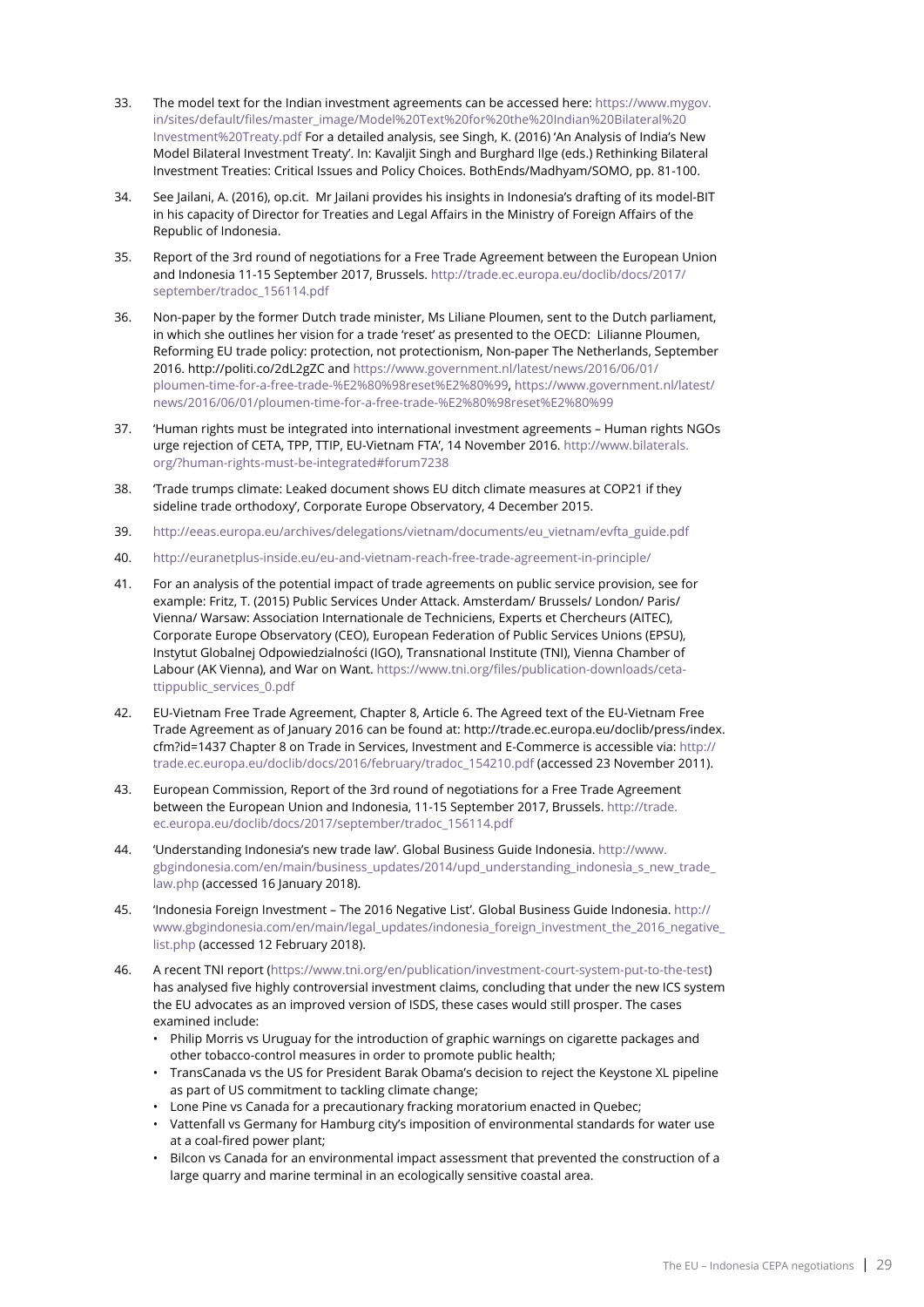- 33. The model text for the Indian investment agreements can be accessed here: [https://www.mygov.](https://www.mygov.in/sites/default/files/master_image/Model%20Text%20for%20the%20Indian%20Bilateral%20Investment%20Treaty.pdf) [in/sites/default/files/master\\_image/Model%20Text%20for%20the%20Indian%20Bilateral%20](https://www.mygov.in/sites/default/files/master_image/Model%20Text%20for%20the%20Indian%20Bilateral%20Investment%20Treaty.pdf) [Investment%20Treaty.pdf](https://www.mygov.in/sites/default/files/master_image/Model%20Text%20for%20the%20Indian%20Bilateral%20Investment%20Treaty.pdf) For a detailed analysis, see Singh, K. (2016) 'An Analysis of India's New Model Bilateral Investment Treaty'. In: Kavaljit Singh and Burghard Ilge (eds.) Rethinking Bilateral Investment Treaties: Critical Issues and Policy Choices. BothEnds/Madhyam/SOMO, pp. 81-100.
- 34. See Jailani, A. (2016), op.cit. Mr Jailani provides his insights in Indonesia's drafting of its model-BIT in his capacity of Director for Treaties and Legal Affairs in the Ministry of Foreign Affairs of the Republic of Indonesia.
- 35. Report of the 3rd round of negotiations for a Free Trade Agreement between the European Union and Indonesia 11-15 September 2017, Brussels. [http://trade.ec.europa.eu/doclib/docs/2017/](http://trade.ec.europa.eu/doclib/docs/2017/september/tradoc_156114.pdf) [september/tradoc\\_156114.pdf](http://trade.ec.europa.eu/doclib/docs/2017/september/tradoc_156114.pdf)
- 36. Non-paper by the former Dutch trade minister, Ms Liliane Ploumen, sent to the Dutch parliament, in which she outlines her vision for a trade 'reset' as presented to the OECD: Lilianne Ploumen, Reforming EU trade policy: protection, not protectionism, Non-paper The Netherlands, September 2016. http://politi.co/2dL2gZC and [https://www.government.nl/latest/news/2016/06/01/](https://www.government.nl/latest/news/2016/06/01/ploumen-time-for-a-free-trade-%E2%80%98reset%E2%80%99) [ploumen-time-for-a-free-trade-%E2%80%98reset%E2%80%99,](https://www.government.nl/latest/news/2016/06/01/ploumen-time-for-a-free-trade-%E2%80%98reset%E2%80%99) [https://www.government.nl/latest/](https://www.government.nl/latest/news/2016/06/01/ploumen-time-for-a-free-trade-%E2%80%98reset%E2%80%99) [news/2016/06/01/ploumen-time-for-a-free-trade-%E2%80%98reset%E2%80%99](https://www.government.nl/latest/news/2016/06/01/ploumen-time-for-a-free-trade-%E2%80%98reset%E2%80%99)
- 37. 'Human rights must be integrated into international investment agreements Human rights NGOs urge rejection of CETA, TPP, TTIP, EU-Vietnam FTA', 14 November 2016. [http://www.bilaterals.](http://www.bilaterals.org/?human-rights-must-be-integrated#forum7238) [org/?human-rights-must-be-integrated#forum7238](http://www.bilaterals.org/?human-rights-must-be-integrated#forum7238)
- 38. 'Trade trumps climate: Leaked document shows EU ditch climate measures at COP21 if they sideline trade orthodoxy', Corporate Europe Observatory, 4 December 2015.
- 39. [http://eeas.europa.eu/archives/delegations/vietnam/documents/eu\\_vietnam/evfta\\_guide.pdf](http://eeas.europa.eu/archives/delegations/vietnam/documents/eu_vietnam/evfta_guide.pdf)
- 40. <http://euranetplus-inside.eu/eu-and-vietnam-reach-free-trade-agreement-in-principle/>
- 41. For an analysis of the potential impact of trade agreements on public service provision, see for example: Fritz, T. (2015) Public Services Under Attack. Amsterdam/ Brussels/ London/ Paris/ Vienna/ Warsaw: Association Internationale de Techniciens, Experts et Chercheurs (AITEC), Corporate Europe Observatory (CEO), European Federation of Public Services Unions (EPSU), Instytut Globalnej Odpowiedzialności (IGO), Transnational Institute (TNI), Vienna Chamber of Labour (AK Vienna), and War on Want. [https://www.tni.org/files/publication-downloads/ceta](https://www.tni.org/files/publication-downloads/ceta-ttippublic_services_0.pdf)[ttippublic\\_services\\_0.pdf](https://www.tni.org/files/publication-downloads/ceta-ttippublic_services_0.pdf)
- 42. EU-Vietnam Free Trade Agreement, Chapter 8, Article 6. The Agreed text of the EU-Vietnam Free Trade Agreement as of January 2016 can be found at: http://trade.ec.europa.eu/doclib/press/index. cfm?id=1437 Chapter 8 on Trade in Services, Investment and E-Commerce is accessible via: [http://](http://trade.ec.europa.eu/doclib/docs/2016/february/tradoc_154210.pdf) [trade.ec.europa.eu/doclib/docs/2016/february/tradoc\\_154210.pdf](http://trade.ec.europa.eu/doclib/docs/2016/february/tradoc_154210.pdf) (accessed 23 November 2011).
- 43. European Commission, Report of the 3rd round of negotiations for a Free Trade Agreement between the European Union and Indonesia, 11-15 September 2017, Brussels. [http://trade.](http://trade.ec.europa.eu/doclib/docs/2017/september/tradoc_156114.pdf) [ec.europa.eu/doclib/docs/2017/september/tradoc\\_156114.pdf](http://trade.ec.europa.eu/doclib/docs/2017/september/tradoc_156114.pdf)
- 44. 'Understanding Indonesia's new trade law'. Global Business Guide Indonesia. [http://www.](http://www.gbgindonesia.com/en/main/business_updates/2014/upd_understanding_indonesia_s_new_trade_law.php) gbgindonesia.com/en/main/business\_updates/2014/upd\_understanding\_indonesia\_s\_new\_trade [law.php](http://www.gbgindonesia.com/en/main/business_updates/2014/upd_understanding_indonesia_s_new_trade_law.php) (accessed 16 January 2018).
- 45. 'Indonesia Foreign Investment The 2016 Negative List'. Global Business Guide Indonesia. [http://](http://www.gbgindonesia.com/en/main/legal_updates/indonesia_foreign_investment_the_2016_negative_list.php) www.gbgindonesia.com/en/main/legal\_updates/indonesia\_foreign\_investment\_the\_2016\_negative [list.php](http://www.gbgindonesia.com/en/main/legal_updates/indonesia_foreign_investment_the_2016_negative_list.php) (accessed 12 February 2018).
- 46. A recent TNI report [\(https://www.tni.org/en/publication/investment-court-system-put-to-the-test](https://www.tni.org/en/publication/investment-court-system-put-to-the-test)) has analysed five highly controversial investment claims, concluding that under the new ICS system the EU advocates as an improved version of ISDS, these cases would still prosper. The cases examined include:
	- Philip Morris vs Uruguay for the introduction of graphic warnings on cigarette packages and other tobacco-control measures in order to promote public health;
	- TransCanada vs the US for President Barak Obama's decision to reject the Keystone XL pipeline as part of US commitment to tackling climate change;
	- Lone Pine vs Canada for a precautionary fracking moratorium enacted in Quebec;
	- Vattenfall vs Germany for Hamburg city's imposition of environmental standards for water use at a coal-fired power plant;
	- Bilcon vs Canada for an environmental impact assessment that prevented the construction of a large quarry and marine terminal in an ecologically sensitive coastal area.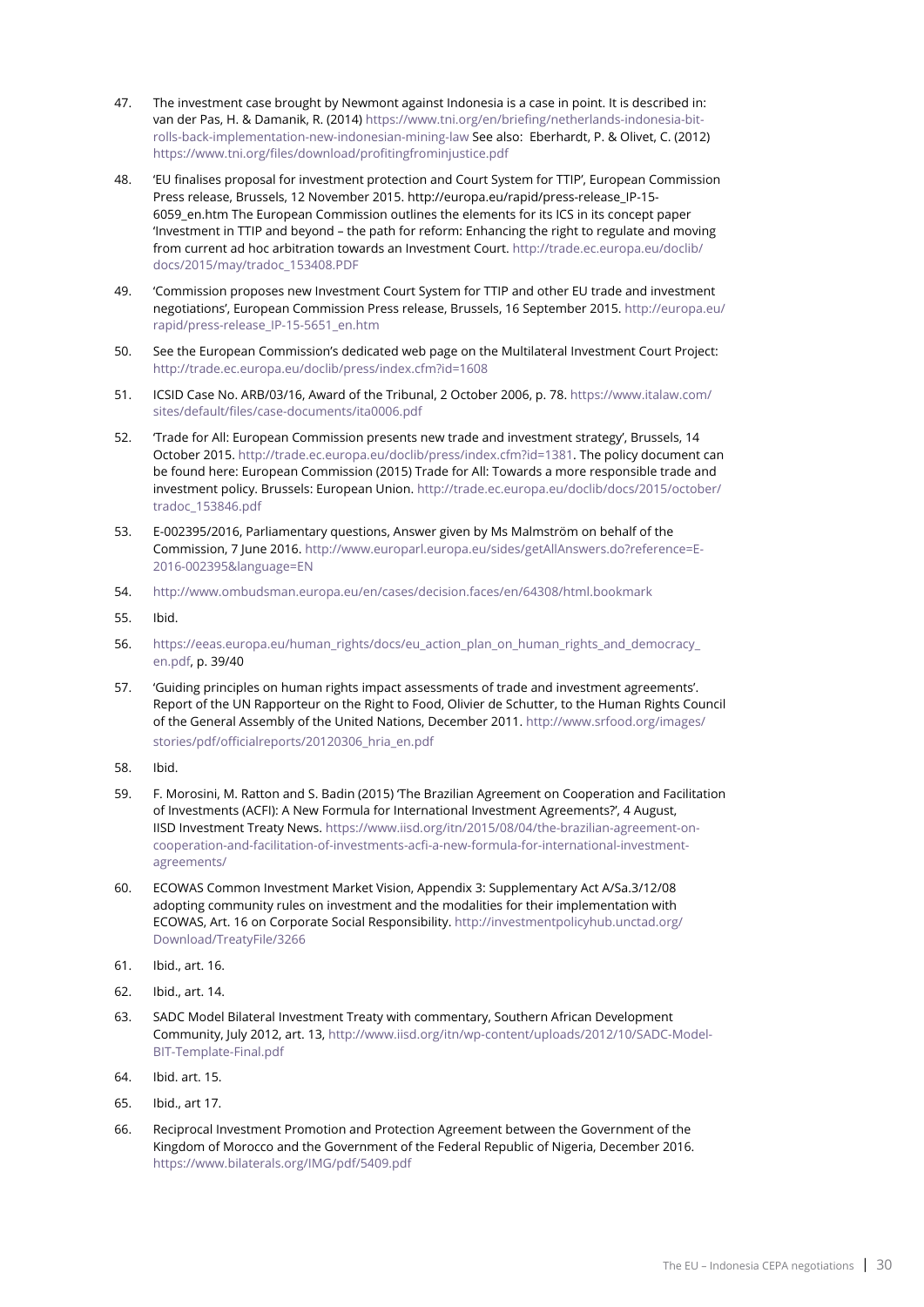- 47. The investment case brought by Newmont against Indonesia is a case in point. It is described in: van der Pas, H. & Damanik, R. (2014) [https://www.tni.org/en/briefing/netherlands-indonesia-bit](https://www.tni.org/en/briefing/netherlands-indonesia-bit-rolls-back-implementation-new-indonesian-mining-law)[rolls-back-implementation-new-indonesian-mining-law](https://www.tni.org/en/briefing/netherlands-indonesia-bit-rolls-back-implementation-new-indonesian-mining-law) See also: Eberhardt, P. & Olivet, C. (2012) <https://www.tni.org/files/download/profitingfrominjustice.pdf>
- 48. 'EU finalises proposal for investment protection and Court System for TTIP', European Commission Press release, Brussels, 12 November 2015. http://europa.eu/rapid/press-release\_IP-15- 6059\_en.htm The European Commission outlines the elements for its ICS in its concept paper 'Investment in TTIP and beyond – the path for reform: Enhancing the right to regulate and moving from current ad hoc arbitration towards an Investment Court. [http://trade.ec.europa.eu/doclib/](http://trade.ec.europa.eu/doclib/docs/2015/may/tradoc_153408.PDF) [docs/2015/may/tradoc\\_153408.PDF](http://trade.ec.europa.eu/doclib/docs/2015/may/tradoc_153408.PDF)
- 49. 'Commission proposes new Investment Court System for TTIP and other EU trade and investment negotiations', European Commission Press release, Brussels, 16 September 2015. [http://europa.eu/](http://europa.eu/rapid/press-release_IP-15-5651_en.htm) [rapid/press-release\\_IP-15-5651\\_en.htm](http://europa.eu/rapid/press-release_IP-15-5651_en.htm)
- 50. See the European Commission's dedicated web page on the Multilateral Investment Court Project: <http://trade.ec.europa.eu/doclib/press/index.cfm?id=1608>
- 51. ICSID Case No. ARB/03/16, Award of the Tribunal, 2 October 2006, p. 78. [https://www.italaw.com/](https://www.italaw.com/sites/default/files/case-documents/ita0006.pdf) [sites/default/files/case-documents/ita0006.pdf](https://www.italaw.com/sites/default/files/case-documents/ita0006.pdf)
- 52. 'Trade for All: European Commission presents new trade and investment strategy', Brussels, 14 October 2015. <http://trade.ec.europa.eu/doclib/press/index.cfm?id=1381>. The policy document can be found here: European Commission (2015) Trade for All: Towards a more responsible trade and investment policy. Brussels: European Union. [http://trade.ec.europa.eu/doclib/docs/2015/october/](http://trade.ec.europa.eu/doclib/docs/2015/october/tradoc_153846.pdf) [tradoc\\_153846.pdf](http://trade.ec.europa.eu/doclib/docs/2015/october/tradoc_153846.pdf)
- 53. E-002395/2016, Parliamentary questions, Answer given by Ms Malmström on behalf of the Commission, 7 June 2016. [http://www.europarl.europa.eu/sides/getAllAnswers.do?reference=E-](http://www.europarl.europa.eu/sides/getAllAnswers.do?reference=E-2016-002395&language=EN)[2016-002395&language=EN](http://www.europarl.europa.eu/sides/getAllAnswers.do?reference=E-2016-002395&language=EN)
- 54. <http://www.ombudsman.europa.eu/en/cases/decision.faces/en/64308/html.bookmark>
- 55. Ibid.
- 56. https://eeas.europa.eu/human\_rights/docs/eu\_action\_plan\_on\_human\_rights\_and\_democracy [en.pdf,](https://eeas.europa.eu/human_rights/docs/eu_action_plan_on_human_rights_and_democracy_en.pdf) p. 39/40
- 57. 'Guiding principles on human rights impact assessments of trade and investment agreements'. Report of the UN Rapporteur on the Right to Food, Olivier de Schutter, to the Human Rights Council of the General Assembly of the United Nations, December 2011. [http://www.srfood.org/images/](http://www.srfood.org/images/stories/pdf/officialreports/20120306_hria_en.pdf) [stories/pdf/officialreports/20120306\\_hria\\_en.pdf](http://www.srfood.org/images/stories/pdf/officialreports/20120306_hria_en.pdf)
- 58. Ibid.
- 59. F. Morosini, M. Ratton and S. Badin (2015) 'The Brazilian Agreement on Cooperation and Facilitation of Investments (ACFI): A New Formula for International Investment Agreements?', 4 August, IISD Investment Treaty News. [https://www.iisd.org/itn/2015/08/04/the-brazilian-agreement-on](https://www.iisd.org/itn/2015/08/04/the-brazilian-agreement-on-cooperation-and-facilitation-of-investments-acfi-a-new-formula-for-international-investment-agreements/)[cooperation-and-facilitation-of-investments-acfi-a-new-formula-for-international-investment](https://www.iisd.org/itn/2015/08/04/the-brazilian-agreement-on-cooperation-and-facilitation-of-investments-acfi-a-new-formula-for-international-investment-agreements/)[agreements/](https://www.iisd.org/itn/2015/08/04/the-brazilian-agreement-on-cooperation-and-facilitation-of-investments-acfi-a-new-formula-for-international-investment-agreements/)
- 60. ECOWAS Common Investment Market Vision, Appendix 3: Supplementary Act A/Sa.3/12/08 adopting community rules on investment and the modalities for their implementation with ECOWAS, Art. 16 on Corporate Social Responsibility. [http://investmentpolicyhub.unctad.org/](http://investmentpolicyhub.unctad.org/Download/TreatyFile/3266) [Download/TreatyFile/3266](http://investmentpolicyhub.unctad.org/Download/TreatyFile/3266)
- 61. Ibid., art. 16.
- 62. Ibid., art. 14.
- 63. SADC Model Bilateral Investment Treaty with commentary, Southern African Development Community, July 2012, art. 13, [http://www.iisd.org/itn/wp-content/uploads/2012/10/SADC-Model-](http://www.iisd.org/itn/wp-content/uploads/2012/10/SADC-Model-BIT-Template-Final.pdf)[BIT-Template-Final.pdf](http://www.iisd.org/itn/wp-content/uploads/2012/10/SADC-Model-BIT-Template-Final.pdf)
- 64. Ibid. art. 15.
- 65. Ibid., art 17.
- 66. Reciprocal Investment Promotion and Protection Agreement between the Government of the Kingdom of Morocco and the Government of the Federal Republic of Nigeria, December 2016. <https://www.bilaterals.org/IMG/pdf/5409.pdf>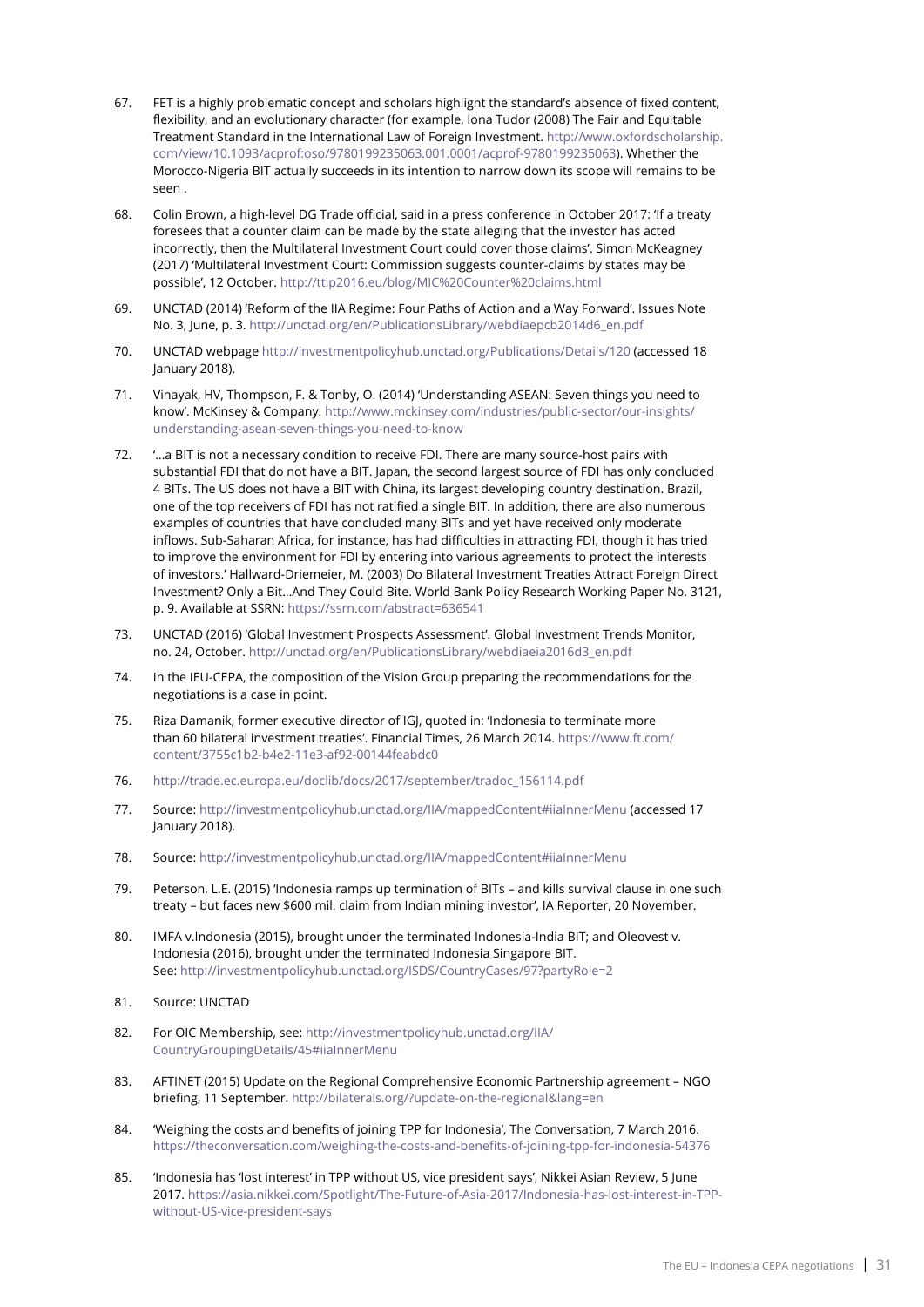- 67. FET is a highly problematic concept and scholars highlight the standard's absence of fixed content, flexibility, and an evolutionary character (for example, Iona Tudor (2008) The Fair and Equitable Treatment Standard in the International Law of Foreign Investment. [http://www.oxfordscholarship.](http://www.oxfordscholarship.com/view/10.1093/acprof:oso/9780199235063.001.0001/acprof-9780199235063) [com/view/10.1093/acprof:oso/9780199235063.001.0001/acprof-9780199235063](http://www.oxfordscholarship.com/view/10.1093/acprof:oso/9780199235063.001.0001/acprof-9780199235063)). Whether the Morocco-Nigeria BIT actually succeeds in its intention to narrow down its scope will remains to be seen .
- 68. Colin Brown, a high-level DG Trade official, said in a press conference in October 2017: 'If a treaty foresees that a counter claim can be made by the state alleging that the investor has acted incorrectly, then the Multilateral Investment Court could cover those claims'. Simon McKeagney (2017) 'Multilateral Investment Court: Commission suggests counter-claims by states may be possible', 12 October. <http://ttip2016.eu/blog/MIC%20Counter%20claims.html>
- 69. UNCTAD (2014) 'Reform of the IIA Regime: Four Paths of Action and a Way Forward'. Issues Note No. 3, June, p. 3. [http://unctad.org/en/PublicationsLibrary/webdiaepcb2014d6\\_en.pdf](http://unctad.org/en/PublicationsLibrary/webdiaepcb2014d6_en.pdf)
- 70. UNCTAD webpage <http://investmentpolicyhub.unctad.org/Publications/Details/120> (accessed 18 January 2018).
- 71. Vinayak, HV, Thompson, F. & Tonby, O. (2014) 'Understanding ASEAN: Seven things you need to know'. McKinsey & Company. [http://www.mckinsey.com/industries/public-sector/our-insights/](http://www.mckinsey.com/industries/public-sector/our-insights/understanding-asean-seven-things-you-need-to-know) [understanding-asean-seven-things-you-need-to-know](http://www.mckinsey.com/industries/public-sector/our-insights/understanding-asean-seven-things-you-need-to-know)
- 72. '…a BIT is not a necessary condition to receive FDI. There are many source-host pairs with substantial FDI that do not have a BIT. Japan, the second largest source of FDI has only concluded 4 BITs. The US does not have a BIT with China, its largest developing country destination. Brazil, one of the top receivers of FDI has not ratified a single BIT. In addition, there are also numerous examples of countries that have concluded many BITs and yet have received only moderate inflows. Sub-Saharan Africa, for instance, has had difficulties in attracting FDI, though it has tried to improve the environment for FDI by entering into various agreements to protect the interests of investors.' Hallward-Driemeier, M. (2003) Do Bilateral Investment Treaties Attract Foreign Direct Investment? Only a Bit…And They Could Bite. World Bank Policy Research Working Paper No. 3121, p. 9. Available at SSRN: <https://ssrn.com/abstract=636541>
- 73. UNCTAD (2016) 'Global Investment Prospects Assessment'. Global Investment Trends Monitor, no. 24, October. [http://unctad.org/en/PublicationsLibrary/webdiaeia2016d3\\_en.pdf](http://unctad.org/en/PublicationsLibrary/webdiaeia2016d3_en.pdf)
- 74. In the IEU-CEPA, the composition of the Vision Group preparing the recommendations for the negotiations is a case in point.
- 75. Riza Damanik, former executive director of IGJ, quoted in: 'Indonesia to terminate more than 60 bilateral investment treaties'. Financial Times, 26 March 2014. [https://www.ft.com/](https://www.ft.com/content/3755c1b2-b4e2-11e3-af92-00144feabdc0) [content/3755c1b2-b4e2-11e3-af92-00144feabdc0](https://www.ft.com/content/3755c1b2-b4e2-11e3-af92-00144feabdc0)
- 76. [http://trade.ec.europa.eu/doclib/docs/2017/september/tradoc\\_156114.pdf](http://trade.ec.europa.eu/doclib/docs/2017/september/tradoc_156114.pdf)
- 77. Source: <http://investmentpolicyhub.unctad.org/IIA/mappedContent#iiaInnerMenu> (accessed 17 January 2018).
- 78. Source: <http://investmentpolicyhub.unctad.org/IIA/mappedContent#iiaInnerMenu>
- 79. Peterson, L.E. (2015) 'Indonesia ramps up termination of BITs and kills survival clause in one such treaty – but faces new \$600 mil. claim from Indian mining investor', IA Reporter, 20 November.
- 80. IMFA v.Indonesia (2015), brought under the terminated Indonesia-India BIT; and Oleovest v. Indonesia (2016), brought under the terminated Indonesia Singapore BIT. See: <http://investmentpolicyhub.unctad.org/ISDS/CountryCases/97?partyRole=2>
- 81. Source: UNCTAD
- 82. For OIC Membership, see: [http://investmentpolicyhub.unctad.org/IIA/](http://investmentpolicyhub.unctad.org/IIA/CountryGroupingDetails/45#iiaInnerMenu) [CountryGroupingDetails/45#iiaInnerMenu](http://investmentpolicyhub.unctad.org/IIA/CountryGroupingDetails/45#iiaInnerMenu)
- 83. AFTINET (2015) Update on the Regional Comprehensive Economic Partnership agreement NGO briefing, 11 September.<http://bilaterals.org/?update-on-the-regional&lang=en>
- 84. 'Weighing the costs and benefits of joining TPP for Indonesia', The Conversation, 7 March 2016. <https://theconversation.com/weighing-the-costs-and-benefits-of-joining-tpp-for-indonesia-54376>
- 85. 'Indonesia has 'lost interest' in TPP without US, vice president says', Nikkei Asian Review, 5 June 2017. [https://asia.nikkei.com/Spotlight/The-Future-of-Asia-2017/Indonesia-has-lost-interest-in-TPP](https://asia.nikkei.com/Spotlight/The-Future-of-Asia-2017/Indonesia-has-lost-interest-in-TPP-without-US-vice-president-says)[without-US-vice-president-says](https://asia.nikkei.com/Spotlight/The-Future-of-Asia-2017/Indonesia-has-lost-interest-in-TPP-without-US-vice-president-says)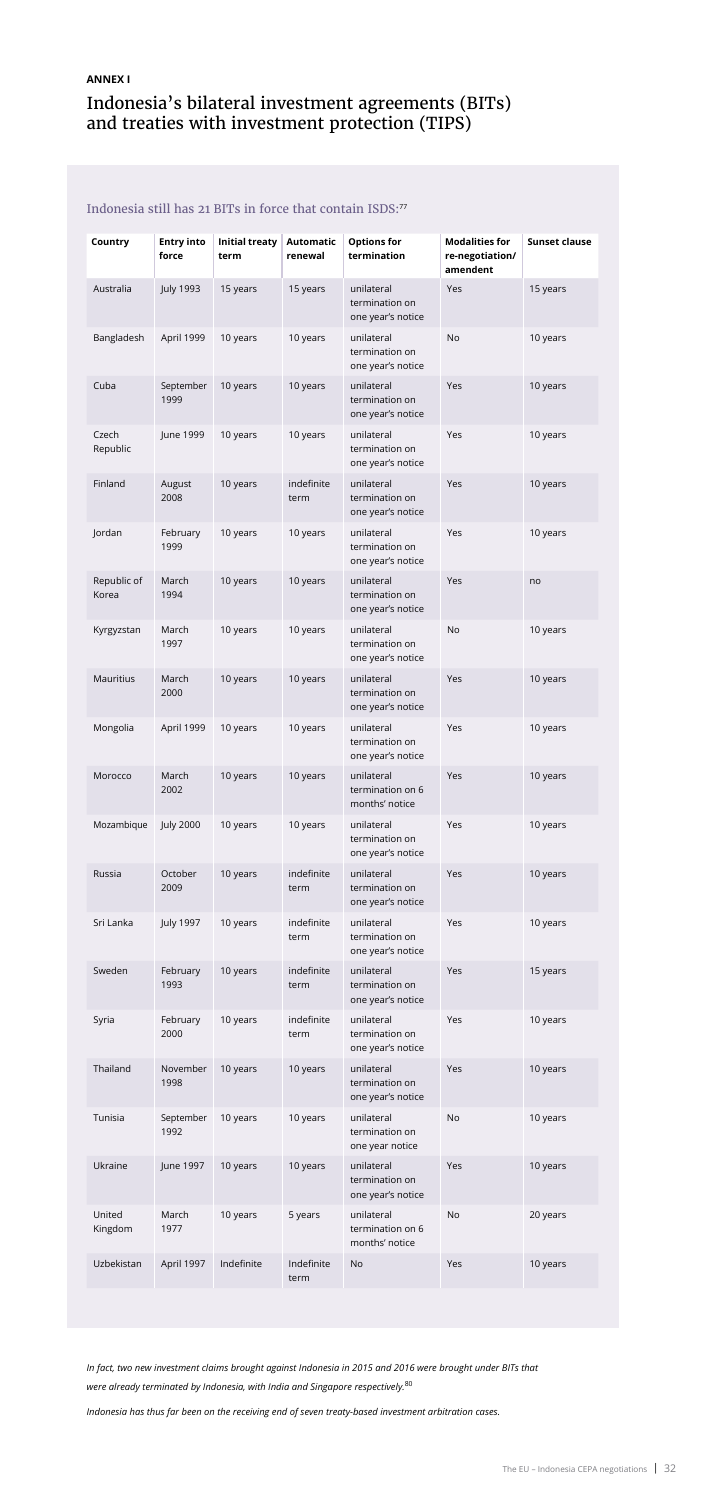### Indonesia's bilateral investment agreements (BITs) and treaties with investment protection (TIPS)

#### Indonesia still has 21 BITs in force that contain ISDS:<sup>77</sup>

*In fact, two new investment claims brought against Indonesia in 2015 and 2016 were brought under BITs that were already terminated by Indonesia, with India and Singapore respectively.*<sup>80</sup>

*Indonesia has thus far been on the receiving end of seven treaty-based investment arbitration cases.*

| Australia<br>15 years<br>unilateral<br>Yes<br>15 years<br><b>July 1993</b><br>15 years<br>termination on<br>one year's notice<br>April 1999<br>10 years<br>unilateral<br><b>No</b><br>Bangladesh<br>10 years<br>10 years<br>termination on<br>one year's notice<br>Cuba<br>unilateral<br>Yes<br>10 years<br>September<br>10 years<br>10 years<br>1999<br>termination on<br>one year's notice<br>Czech<br>10 years<br>unilateral<br>Yes<br>10 years<br>June 1999<br>10 years<br>Republic<br>termination on<br>one year's notice<br>Finland<br>indefinite<br>unilateral<br>Yes<br>August<br>10 years<br>10 years<br>2008<br>termination on<br>term<br>one year's notice<br>10 years<br>unilateral<br>Yes<br>Jordan<br>February<br>10 years<br>10 years<br>1999<br>termination on<br>one year's notice<br>Republic of<br>March<br>10 years<br>unilateral<br>Yes<br>10 years<br>no<br>Korea<br>termination on<br>1994<br>one year's notice<br>10 years<br>unilateral<br><b>No</b><br>Kyrgyzstan<br>March<br>10 years<br>10 years<br>1997<br>termination on<br>one year's notice<br>Mauritius<br>March<br>unilateral<br>Yes<br>10 years<br>10 years<br>10 years<br>termination on<br>2000<br>one year's notice<br>unilateral<br>Mongolia<br>April 1999<br>10 years<br>10 years<br>Yes<br>10 years<br>termination on<br>one year's notice<br>March<br>unilateral<br>Yes<br>Morocco<br>10 years<br>10 years<br>10 years<br>2002<br>termination on 6<br>months' notice<br>Yes<br>Mozambique<br><b>July 2000</b><br>10 years<br>10 years<br>unilateral<br>10 years<br>termination on<br>one year's notice<br>October<br>indefinite<br>unilateral<br>Russia<br>10 years<br>Yes<br>10 years<br>2009<br>termination on<br>term<br>one year's notice<br>Sri Lanka<br>indefinite<br>unilateral<br>Yes<br><b>July 1997</b><br>10 years<br>10 years<br>termination on<br>term<br>one year's notice<br>Sweden<br>10 years<br>indefinite<br>unilateral<br>Yes<br>February<br>15 years<br>1993<br>termination on<br>term<br>one year's notice<br>indefinite<br>unilateral<br>Yes<br>February<br>10 years<br>10 years<br>Syria<br>2000<br>termination on<br>term<br>one year's notice<br>Thailand<br>November<br>unilateral<br>Yes<br>10 years<br>10 years<br>10 years<br>1998<br>termination on<br>one year's notice<br>Tunisia<br><b>No</b><br>September<br>10 years<br>10 years<br>unilateral<br>10 years<br>1992<br>termination on<br>one year notice<br>Ukraine<br>unilateral<br>Yes<br>June 1997<br>10 years<br>10 years<br>10 years<br>termination on<br>one year's notice<br>United<br>unilateral<br><b>No</b><br>March<br>10 years<br>5 years<br>20 years<br>1977<br>termination on 6<br>Kingdom<br>months' notice<br>Uzbekistan<br>Indefinite<br>Indefinite<br>April 1997<br>No<br>Yes<br>10 years<br>term | Country | <b>Entry into</b><br>force | Initial treaty<br>term | <b>Automatic</b><br>renewal | <b>Options for</b><br>termination | <b>Modalities for</b><br>re-negotiation/<br>amendent | <b>Sunset clause</b> |
|--------------------------------------------------------------------------------------------------------------------------------------------------------------------------------------------------------------------------------------------------------------------------------------------------------------------------------------------------------------------------------------------------------------------------------------------------------------------------------------------------------------------------------------------------------------------------------------------------------------------------------------------------------------------------------------------------------------------------------------------------------------------------------------------------------------------------------------------------------------------------------------------------------------------------------------------------------------------------------------------------------------------------------------------------------------------------------------------------------------------------------------------------------------------------------------------------------------------------------------------------------------------------------------------------------------------------------------------------------------------------------------------------------------------------------------------------------------------------------------------------------------------------------------------------------------------------------------------------------------------------------------------------------------------------------------------------------------------------------------------------------------------------------------------------------------------------------------------------------------------------------------------------------------------------------------------------------------------------------------------------------------------------------------------------------------------------------------------------------------------------------------------------------------------------------------------------------------------------------------------------------------------------------------------------------------------------------------------------------------------------------------------------------------------------------------------------------------------------------------------------------------------------------------------------------------------------------------------------------------------------------------------------------------------------------------------------------------------------------------------------------------------------------------------------|---------|----------------------------|------------------------|-----------------------------|-----------------------------------|------------------------------------------------------|----------------------|
|                                                                                                                                                                                                                                                                                                                                                                                                                                                                                                                                                                                                                                                                                                                                                                                                                                                                                                                                                                                                                                                                                                                                                                                                                                                                                                                                                                                                                                                                                                                                                                                                                                                                                                                                                                                                                                                                                                                                                                                                                                                                                                                                                                                                                                                                                                                                                                                                                                                                                                                                                                                                                                                                                                                                                                                                  |         |                            |                        |                             |                                   |                                                      |                      |
|                                                                                                                                                                                                                                                                                                                                                                                                                                                                                                                                                                                                                                                                                                                                                                                                                                                                                                                                                                                                                                                                                                                                                                                                                                                                                                                                                                                                                                                                                                                                                                                                                                                                                                                                                                                                                                                                                                                                                                                                                                                                                                                                                                                                                                                                                                                                                                                                                                                                                                                                                                                                                                                                                                                                                                                                  |         |                            |                        |                             |                                   |                                                      |                      |
|                                                                                                                                                                                                                                                                                                                                                                                                                                                                                                                                                                                                                                                                                                                                                                                                                                                                                                                                                                                                                                                                                                                                                                                                                                                                                                                                                                                                                                                                                                                                                                                                                                                                                                                                                                                                                                                                                                                                                                                                                                                                                                                                                                                                                                                                                                                                                                                                                                                                                                                                                                                                                                                                                                                                                                                                  |         |                            |                        |                             |                                   |                                                      |                      |
|                                                                                                                                                                                                                                                                                                                                                                                                                                                                                                                                                                                                                                                                                                                                                                                                                                                                                                                                                                                                                                                                                                                                                                                                                                                                                                                                                                                                                                                                                                                                                                                                                                                                                                                                                                                                                                                                                                                                                                                                                                                                                                                                                                                                                                                                                                                                                                                                                                                                                                                                                                                                                                                                                                                                                                                                  |         |                            |                        |                             |                                   |                                                      |                      |
|                                                                                                                                                                                                                                                                                                                                                                                                                                                                                                                                                                                                                                                                                                                                                                                                                                                                                                                                                                                                                                                                                                                                                                                                                                                                                                                                                                                                                                                                                                                                                                                                                                                                                                                                                                                                                                                                                                                                                                                                                                                                                                                                                                                                                                                                                                                                                                                                                                                                                                                                                                                                                                                                                                                                                                                                  |         |                            |                        |                             |                                   |                                                      |                      |
|                                                                                                                                                                                                                                                                                                                                                                                                                                                                                                                                                                                                                                                                                                                                                                                                                                                                                                                                                                                                                                                                                                                                                                                                                                                                                                                                                                                                                                                                                                                                                                                                                                                                                                                                                                                                                                                                                                                                                                                                                                                                                                                                                                                                                                                                                                                                                                                                                                                                                                                                                                                                                                                                                                                                                                                                  |         |                            |                        |                             |                                   |                                                      |                      |
|                                                                                                                                                                                                                                                                                                                                                                                                                                                                                                                                                                                                                                                                                                                                                                                                                                                                                                                                                                                                                                                                                                                                                                                                                                                                                                                                                                                                                                                                                                                                                                                                                                                                                                                                                                                                                                                                                                                                                                                                                                                                                                                                                                                                                                                                                                                                                                                                                                                                                                                                                                                                                                                                                                                                                                                                  |         |                            |                        |                             |                                   |                                                      |                      |
|                                                                                                                                                                                                                                                                                                                                                                                                                                                                                                                                                                                                                                                                                                                                                                                                                                                                                                                                                                                                                                                                                                                                                                                                                                                                                                                                                                                                                                                                                                                                                                                                                                                                                                                                                                                                                                                                                                                                                                                                                                                                                                                                                                                                                                                                                                                                                                                                                                                                                                                                                                                                                                                                                                                                                                                                  |         |                            |                        |                             |                                   |                                                      |                      |
|                                                                                                                                                                                                                                                                                                                                                                                                                                                                                                                                                                                                                                                                                                                                                                                                                                                                                                                                                                                                                                                                                                                                                                                                                                                                                                                                                                                                                                                                                                                                                                                                                                                                                                                                                                                                                                                                                                                                                                                                                                                                                                                                                                                                                                                                                                                                                                                                                                                                                                                                                                                                                                                                                                                                                                                                  |         |                            |                        |                             |                                   |                                                      |                      |
|                                                                                                                                                                                                                                                                                                                                                                                                                                                                                                                                                                                                                                                                                                                                                                                                                                                                                                                                                                                                                                                                                                                                                                                                                                                                                                                                                                                                                                                                                                                                                                                                                                                                                                                                                                                                                                                                                                                                                                                                                                                                                                                                                                                                                                                                                                                                                                                                                                                                                                                                                                                                                                                                                                                                                                                                  |         |                            |                        |                             |                                   |                                                      |                      |
|                                                                                                                                                                                                                                                                                                                                                                                                                                                                                                                                                                                                                                                                                                                                                                                                                                                                                                                                                                                                                                                                                                                                                                                                                                                                                                                                                                                                                                                                                                                                                                                                                                                                                                                                                                                                                                                                                                                                                                                                                                                                                                                                                                                                                                                                                                                                                                                                                                                                                                                                                                                                                                                                                                                                                                                                  |         |                            |                        |                             |                                   |                                                      |                      |
|                                                                                                                                                                                                                                                                                                                                                                                                                                                                                                                                                                                                                                                                                                                                                                                                                                                                                                                                                                                                                                                                                                                                                                                                                                                                                                                                                                                                                                                                                                                                                                                                                                                                                                                                                                                                                                                                                                                                                                                                                                                                                                                                                                                                                                                                                                                                                                                                                                                                                                                                                                                                                                                                                                                                                                                                  |         |                            |                        |                             |                                   |                                                      |                      |
|                                                                                                                                                                                                                                                                                                                                                                                                                                                                                                                                                                                                                                                                                                                                                                                                                                                                                                                                                                                                                                                                                                                                                                                                                                                                                                                                                                                                                                                                                                                                                                                                                                                                                                                                                                                                                                                                                                                                                                                                                                                                                                                                                                                                                                                                                                                                                                                                                                                                                                                                                                                                                                                                                                                                                                                                  |         |                            |                        |                             |                                   |                                                      |                      |
|                                                                                                                                                                                                                                                                                                                                                                                                                                                                                                                                                                                                                                                                                                                                                                                                                                                                                                                                                                                                                                                                                                                                                                                                                                                                                                                                                                                                                                                                                                                                                                                                                                                                                                                                                                                                                                                                                                                                                                                                                                                                                                                                                                                                                                                                                                                                                                                                                                                                                                                                                                                                                                                                                                                                                                                                  |         |                            |                        |                             |                                   |                                                      |                      |
|                                                                                                                                                                                                                                                                                                                                                                                                                                                                                                                                                                                                                                                                                                                                                                                                                                                                                                                                                                                                                                                                                                                                                                                                                                                                                                                                                                                                                                                                                                                                                                                                                                                                                                                                                                                                                                                                                                                                                                                                                                                                                                                                                                                                                                                                                                                                                                                                                                                                                                                                                                                                                                                                                                                                                                                                  |         |                            |                        |                             |                                   |                                                      |                      |
|                                                                                                                                                                                                                                                                                                                                                                                                                                                                                                                                                                                                                                                                                                                                                                                                                                                                                                                                                                                                                                                                                                                                                                                                                                                                                                                                                                                                                                                                                                                                                                                                                                                                                                                                                                                                                                                                                                                                                                                                                                                                                                                                                                                                                                                                                                                                                                                                                                                                                                                                                                                                                                                                                                                                                                                                  |         |                            |                        |                             |                                   |                                                      |                      |
|                                                                                                                                                                                                                                                                                                                                                                                                                                                                                                                                                                                                                                                                                                                                                                                                                                                                                                                                                                                                                                                                                                                                                                                                                                                                                                                                                                                                                                                                                                                                                                                                                                                                                                                                                                                                                                                                                                                                                                                                                                                                                                                                                                                                                                                                                                                                                                                                                                                                                                                                                                                                                                                                                                                                                                                                  |         |                            |                        |                             |                                   |                                                      |                      |
|                                                                                                                                                                                                                                                                                                                                                                                                                                                                                                                                                                                                                                                                                                                                                                                                                                                                                                                                                                                                                                                                                                                                                                                                                                                                                                                                                                                                                                                                                                                                                                                                                                                                                                                                                                                                                                                                                                                                                                                                                                                                                                                                                                                                                                                                                                                                                                                                                                                                                                                                                                                                                                                                                                                                                                                                  |         |                            |                        |                             |                                   |                                                      |                      |
|                                                                                                                                                                                                                                                                                                                                                                                                                                                                                                                                                                                                                                                                                                                                                                                                                                                                                                                                                                                                                                                                                                                                                                                                                                                                                                                                                                                                                                                                                                                                                                                                                                                                                                                                                                                                                                                                                                                                                                                                                                                                                                                                                                                                                                                                                                                                                                                                                                                                                                                                                                                                                                                                                                                                                                                                  |         |                            |                        |                             |                                   |                                                      |                      |
|                                                                                                                                                                                                                                                                                                                                                                                                                                                                                                                                                                                                                                                                                                                                                                                                                                                                                                                                                                                                                                                                                                                                                                                                                                                                                                                                                                                                                                                                                                                                                                                                                                                                                                                                                                                                                                                                                                                                                                                                                                                                                                                                                                                                                                                                                                                                                                                                                                                                                                                                                                                                                                                                                                                                                                                                  |         |                            |                        |                             |                                   |                                                      |                      |
|                                                                                                                                                                                                                                                                                                                                                                                                                                                                                                                                                                                                                                                                                                                                                                                                                                                                                                                                                                                                                                                                                                                                                                                                                                                                                                                                                                                                                                                                                                                                                                                                                                                                                                                                                                                                                                                                                                                                                                                                                                                                                                                                                                                                                                                                                                                                                                                                                                                                                                                                                                                                                                                                                                                                                                                                  |         |                            |                        |                             |                                   |                                                      |                      |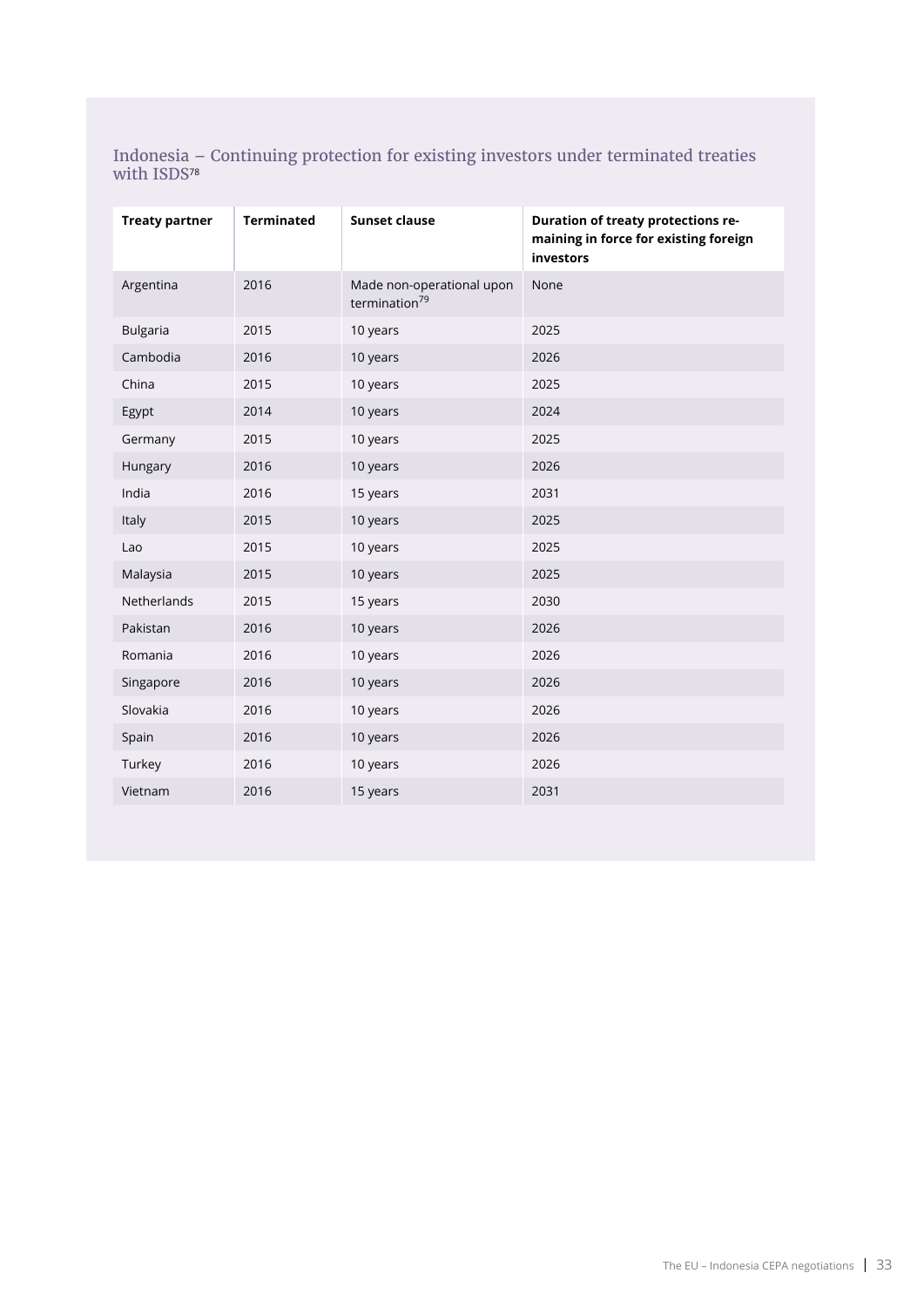Indonesia – Continuing protection for existing investors under terminated treaties with ISDS<sup>78</sup>

| <b>Treaty partner</b> | <b>Terminated</b> | <b>Sunset clause</b>                                   | <b>Duration of treaty protections re-</b><br>maining in force for existing foreign<br>investors |
|-----------------------|-------------------|--------------------------------------------------------|-------------------------------------------------------------------------------------------------|
| Argentina             | 2016              | Made non-operational upon<br>termination <sup>79</sup> | None                                                                                            |
| <b>Bulgaria</b>       | 2015              | 10 years                                               | 2025                                                                                            |
| Cambodia              | 2016              | 10 years                                               | 2026                                                                                            |
| China                 | 2015              | 10 years                                               | 2025                                                                                            |
| Egypt                 | 2014              | 10 years                                               | 2024                                                                                            |
| Germany               | 2015              | 10 years                                               | 2025                                                                                            |
| Hungary               | 2016              | 10 years                                               | 2026                                                                                            |
| India                 | 2016              | 15 years                                               | 2031                                                                                            |
| Italy                 | 2015              | 10 years                                               | 2025                                                                                            |
| Lao                   | 2015              | 10 years                                               | 2025                                                                                            |
| Malaysia              | 2015              | 10 years                                               | 2025                                                                                            |
| Netherlands           | 2015              | 15 years                                               | 2030                                                                                            |
| Pakistan              | 2016              | 10 years                                               | 2026                                                                                            |
| Romania               | 2016              | 10 years                                               | 2026                                                                                            |
| Singapore             | 2016              | 10 years                                               | 2026                                                                                            |
| Slovakia              | 2016              | 10 years                                               | 2026                                                                                            |
| Spain                 | 2016              | 10 years                                               | 2026                                                                                            |
| Turkey                | 2016              | 10 years                                               | 2026                                                                                            |
| Vietnam               | 2016              | 15 years                                               | 2031                                                                                            |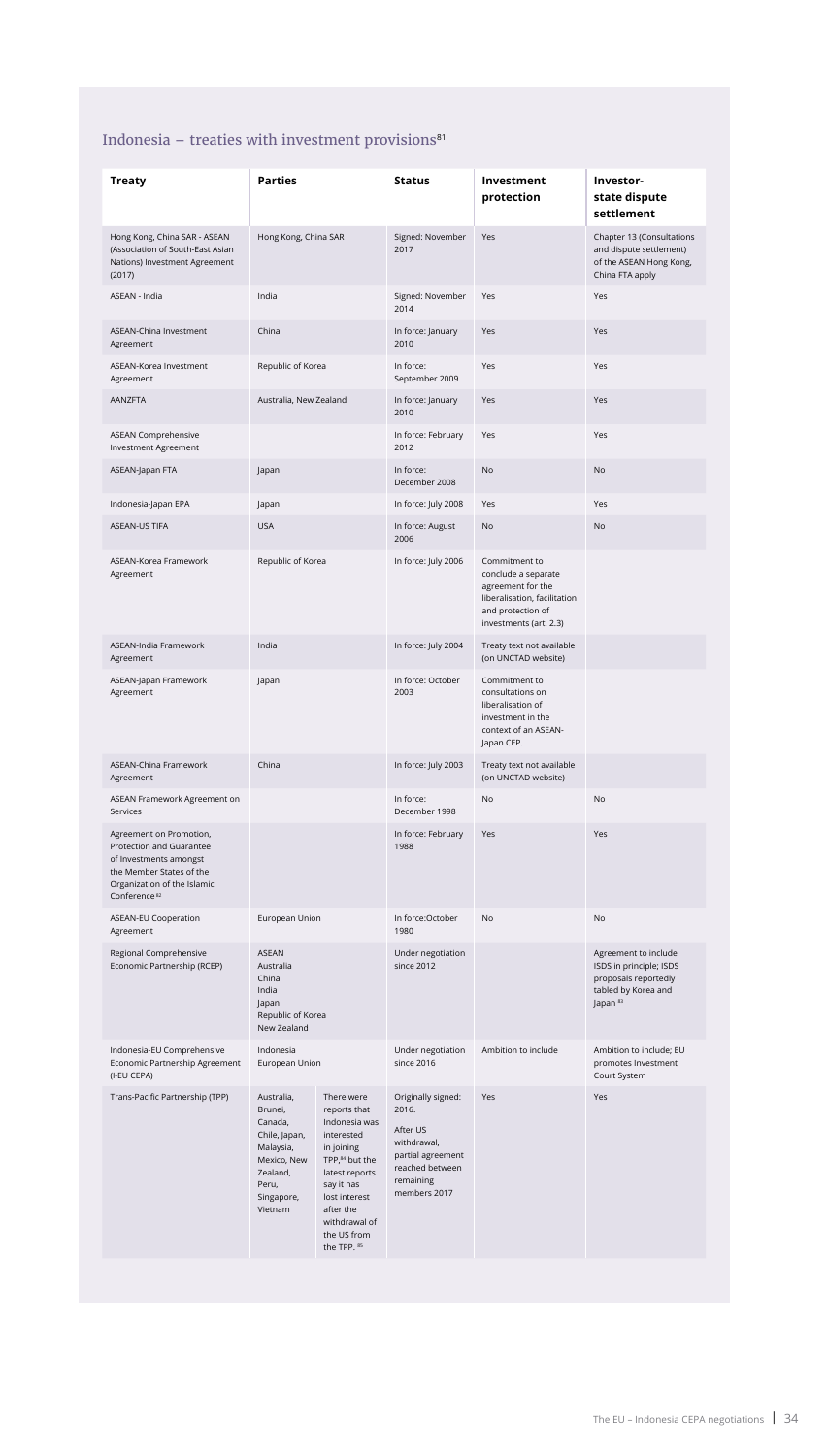### Indonesia – treaties with investment provisions $81$

| <b>Treaty</b>                                                                                                                                                        | <b>Parties</b>                                                                                                              |                                                                                                                                                                                                        | <b>Status</b>                                                                                                               | Investment<br>protection                                                                                                                 | Investor-<br>state dispute<br>settlement                                                                   |
|----------------------------------------------------------------------------------------------------------------------------------------------------------------------|-----------------------------------------------------------------------------------------------------------------------------|--------------------------------------------------------------------------------------------------------------------------------------------------------------------------------------------------------|-----------------------------------------------------------------------------------------------------------------------------|------------------------------------------------------------------------------------------------------------------------------------------|------------------------------------------------------------------------------------------------------------|
| Hong Kong, China SAR - ASEAN<br>(Association of South-East Asian<br>Nations) Investment Agreement<br>(2017)                                                          | Hong Kong, China SAR                                                                                                        |                                                                                                                                                                                                        | Signed: November<br>2017                                                                                                    | Yes                                                                                                                                      | Chapter 13 (Consultations<br>and dispute settlement)<br>of the ASEAN Hong Kong,<br>China FTA apply         |
| ASEAN - India                                                                                                                                                        | India                                                                                                                       |                                                                                                                                                                                                        | Signed: November<br>2014                                                                                                    | Yes                                                                                                                                      | Yes                                                                                                        |
| ASEAN-China Investment<br>Agreement                                                                                                                                  | China                                                                                                                       |                                                                                                                                                                                                        | In force: January<br>2010                                                                                                   | Yes                                                                                                                                      | Yes                                                                                                        |
| ASEAN-Korea Investment<br>Agreement                                                                                                                                  | Republic of Korea                                                                                                           |                                                                                                                                                                                                        | In force:<br>September 2009                                                                                                 | Yes                                                                                                                                      | Yes                                                                                                        |
| <b>AANZFTA</b>                                                                                                                                                       | Australia, New Zealand                                                                                                      |                                                                                                                                                                                                        | In force: January<br>2010                                                                                                   | Yes                                                                                                                                      | Yes                                                                                                        |
| <b>ASEAN Comprehensive</b><br>Investment Agreement                                                                                                                   |                                                                                                                             |                                                                                                                                                                                                        | In force: February<br>2012                                                                                                  | Yes                                                                                                                                      | Yes                                                                                                        |
| ASEAN-Japan FTA                                                                                                                                                      | Japan                                                                                                                       |                                                                                                                                                                                                        | In force:<br>December 2008                                                                                                  | No                                                                                                                                       | No                                                                                                         |
| Indonesia-Japan EPA                                                                                                                                                  | Japan                                                                                                                       |                                                                                                                                                                                                        | In force: July 2008                                                                                                         | Yes                                                                                                                                      | Yes                                                                                                        |
| <b>ASEAN-US TIFA</b>                                                                                                                                                 | <b>USA</b>                                                                                                                  |                                                                                                                                                                                                        | In force: August<br>2006                                                                                                    | No                                                                                                                                       | No                                                                                                         |
| ASEAN-Korea Framework<br>Agreement                                                                                                                                   | Republic of Korea                                                                                                           |                                                                                                                                                                                                        | In force: July 2006                                                                                                         | Commitment to<br>conclude a separate<br>agreement for the<br>liberalisation, facilitation<br>and protection of<br>investments (art. 2.3) |                                                                                                            |
| ASEAN-India Framework<br>Agreement                                                                                                                                   | India                                                                                                                       |                                                                                                                                                                                                        | In force: July 2004                                                                                                         | Treaty text not available<br>(on UNCTAD website)                                                                                         |                                                                                                            |
| ASEAN-Japan Framework<br>Agreement                                                                                                                                   | Japan                                                                                                                       |                                                                                                                                                                                                        | In force: October<br>2003                                                                                                   | Commitment to<br>consultations on<br>liberalisation of<br>investment in the<br>context of an ASEAN-<br>Japan CEP.                        |                                                                                                            |
| ASEAN-China Framework<br>Agreement                                                                                                                                   | China                                                                                                                       |                                                                                                                                                                                                        | In force: July 2003                                                                                                         | Treaty text not available<br>(on UNCTAD website)                                                                                         |                                                                                                            |
| ASEAN Framework Agreement on<br>Services                                                                                                                             |                                                                                                                             |                                                                                                                                                                                                        | In force:<br>December 1998                                                                                                  | <b>No</b>                                                                                                                                | No                                                                                                         |
| Agreement on Promotion,<br>Protection and Guarantee<br>of Investments amongst<br>the Member States of the<br>Organization of the Islamic<br>Conference <sup>82</sup> |                                                                                                                             |                                                                                                                                                                                                        | In force: February<br>1988                                                                                                  | Yes                                                                                                                                      | Yes                                                                                                        |
| <b>ASEAN-EU Cooperation</b><br>Agreement                                                                                                                             | European Union                                                                                                              |                                                                                                                                                                                                        | In force:October<br>1980                                                                                                    | No                                                                                                                                       | No                                                                                                         |
| Regional Comprehensive<br>Economic Partnership (RCEP)                                                                                                                | <b>ASEAN</b><br>Australia<br>China<br>India<br>Japan<br>Republic of Korea<br>New Zealand                                    |                                                                                                                                                                                                        | Under negotiation<br>since 2012                                                                                             |                                                                                                                                          | Agreement to include<br>ISDS in principle; ISDS<br>proposals reportedly<br>tabled by Korea and<br>Japan 83 |
| Indonesia-EU Comprehensive<br>Economic Partnership Agreement<br>(I-EU CEPA)                                                                                          | Indonesia<br>European Union                                                                                                 |                                                                                                                                                                                                        | Under negotiation<br>since 2016                                                                                             | Ambition to include                                                                                                                      | Ambition to include; EU<br>promotes Investment<br>Court System                                             |
| Trans-Pacific Partnership (TPP)                                                                                                                                      | Australia,<br>Brunei,<br>Canada,<br>Chile, Japan,<br>Malaysia,<br>Mexico, New<br>Zealand,<br>Peru,<br>Singapore,<br>Vietnam | There were<br>reports that<br>Indonesia was<br>interested<br>in joining<br>TPP,84 but the<br>latest reports<br>say it has<br>lost interest<br>after the<br>withdrawal of<br>the US from<br>the TPP. 85 | Originally signed:<br>2016.<br>After US<br>withdrawal,<br>partial agreement<br>reached between<br>remaining<br>members 2017 | Yes                                                                                                                                      | Yes                                                                                                        |